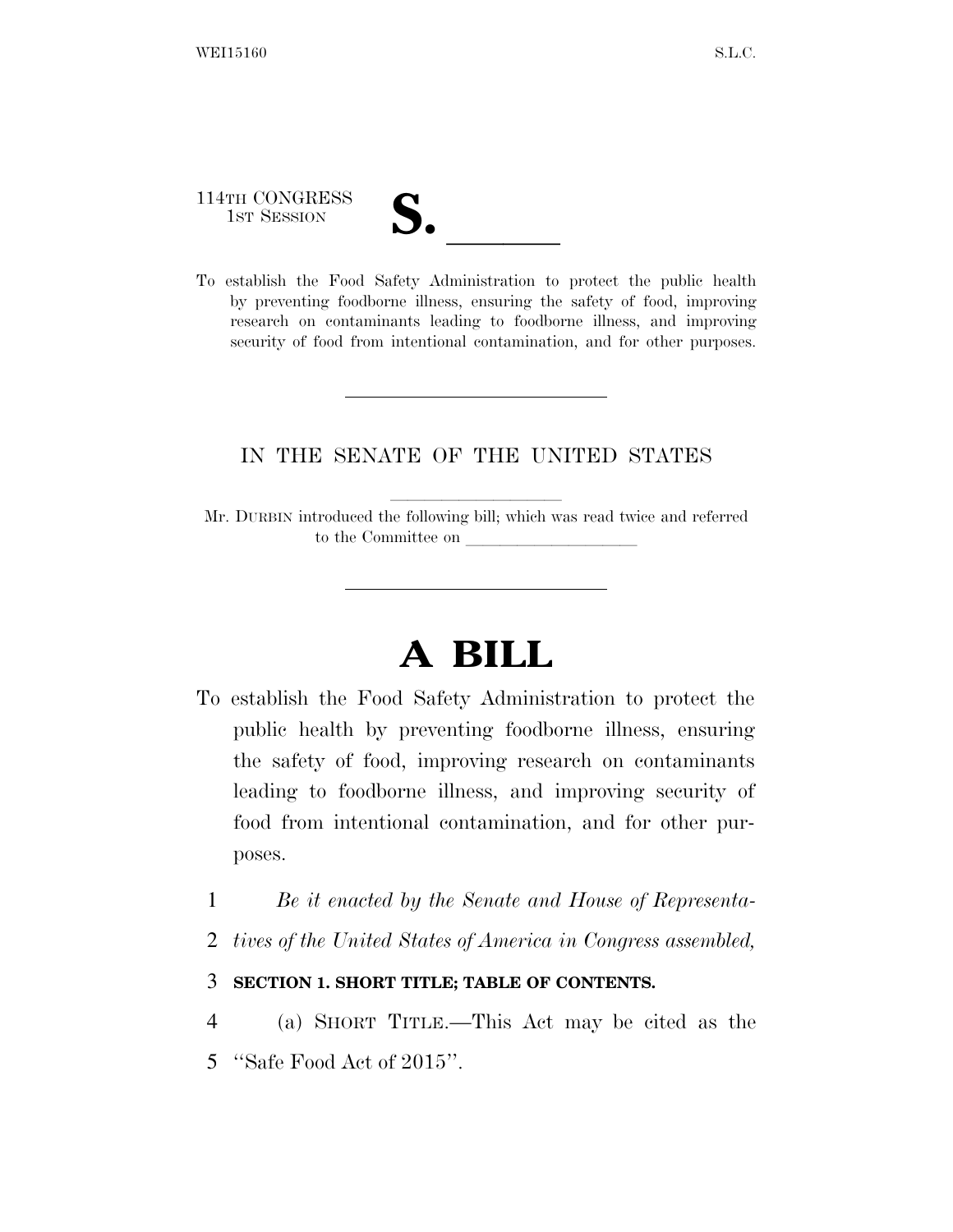114TH CONGRESS

114TH CONGRESS<br>
1ST SESSION<br>
To establish the Food Safety Administration to protect the public health by preventing foodborne illness, ensuring the safety of food, improving research on contaminants leading to foodborne illness, and improving security of food from intentional contamination, and for other purposes.

# IN THE SENATE OF THE UNITED STATES

Mr. DURBIN introduced the following bill; which was read twice and referred to the Committee on

# **A BILL**

- To establish the Food Safety Administration to protect the public health by preventing foodborne illness, ensuring the safety of food, improving research on contaminants leading to foodborne illness, and improving security of food from intentional contamination, and for other purposes.
	- 1 *Be it enacted by the Senate and House of Representa-*
	- 2 *tives of the United States of America in Congress assembled,*

# 3 **SECTION 1. SHORT TITLE; TABLE OF CONTENTS.**

4 (a) SHORT TITLE.—This Act may be cited as the 5 ''Safe Food Act of 2015''.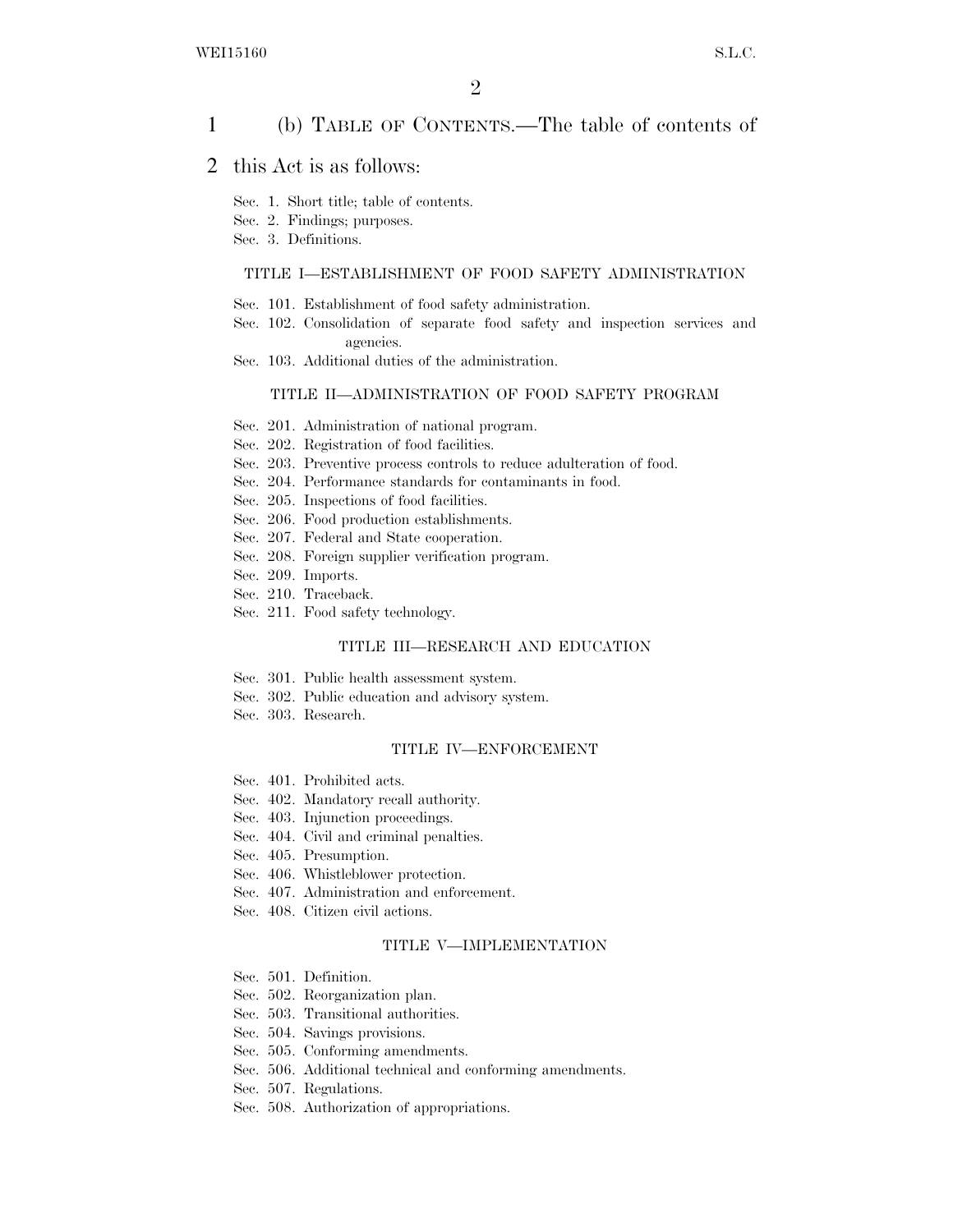# 1 (b) TABLE OF CONTENTS.—The table of contents of

### 2 this Act is as follows:

Sec. 1. Short title; table of contents.

Sec. 2. Findings; purposes.

Sec. 3. Definitions.

#### TITLE I—ESTABLISHMENT OF FOOD SAFETY ADMINISTRATION

- Sec. 101. Establishment of food safety administration.
- Sec. 102. Consolidation of separate food safety and inspection services and agencies.
- Sec. 103. Additional duties of the administration.

#### TITLE II—ADMINISTRATION OF FOOD SAFETY PROGRAM

- Sec. 201. Administration of national program.
- Sec. 202. Registration of food facilities.
- Sec. 203. Preventive process controls to reduce adulteration of food.
- Sec. 204. Performance standards for contaminants in food.
- Sec. 205. Inspections of food facilities.
- Sec. 206. Food production establishments.
- Sec. 207. Federal and State cooperation.
- Sec. 208. Foreign supplier verification program.
- Sec. 209. Imports.
- Sec. 210. Traceback.
- Sec. 211. Food safety technology.

#### TITLE III—RESEARCH AND EDUCATION

- Sec. 301. Public health assessment system.
- Sec. 302. Public education and advisory system.
- Sec. 303. Research.

#### TITLE IV—ENFORCEMENT

- Sec. 401. Prohibited acts.
- Sec. 402. Mandatory recall authority.
- Sec. 403. Injunction proceedings.
- Sec. 404. Civil and criminal penalties.
- Sec. 405. Presumption.
- Sec. 406. Whistleblower protection.
- Sec. 407. Administration and enforcement.
- Sec. 408. Citizen civil actions.

#### TITLE V—IMPLEMENTATION

- Sec. 501. Definition.
- Sec. 502. Reorganization plan.
- Sec. 503. Transitional authorities.
- Sec. 504. Savings provisions.
- Sec. 505. Conforming amendments.
- Sec. 506. Additional technical and conforming amendments.
- Sec. 507. Regulations.
- Sec. 508. Authorization of appropriations.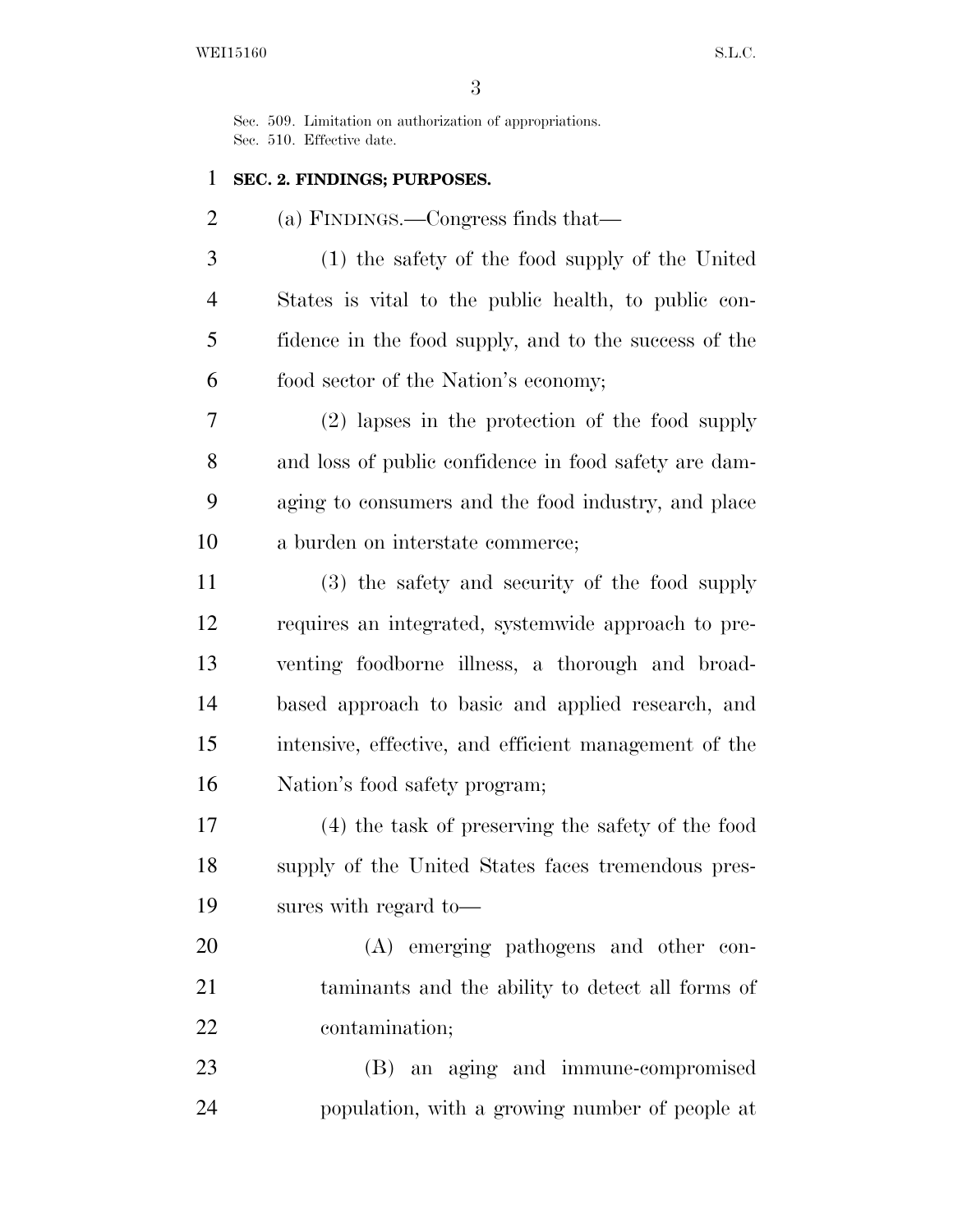Sec. 509. Limitation on authorization of appropriations. Sec. 510. Effective date.

# **SEC. 2. FINDINGS; PURPOSES.**

(a) FINDINGS.—Congress finds that—

 (1) the safety of the food supply of the United States is vital to the public health, to public con- fidence in the food supply, and to the success of the food sector of the Nation's economy;

 (2) lapses in the protection of the food supply and loss of public confidence in food safety are dam- aging to consumers and the food industry, and place a burden on interstate commerce;

 (3) the safety and security of the food supply requires an integrated, systemwide approach to pre- venting foodborne illness, a thorough and broad- based approach to basic and applied research, and intensive, effective, and efficient management of the Nation's food safety program;

 (4) the task of preserving the safety of the food supply of the United States faces tremendous pres-sures with regard to—

 (A) emerging pathogens and other con- taminants and the ability to detect all forms of contamination;

 (B) an aging and immune-compromised population, with a growing number of people at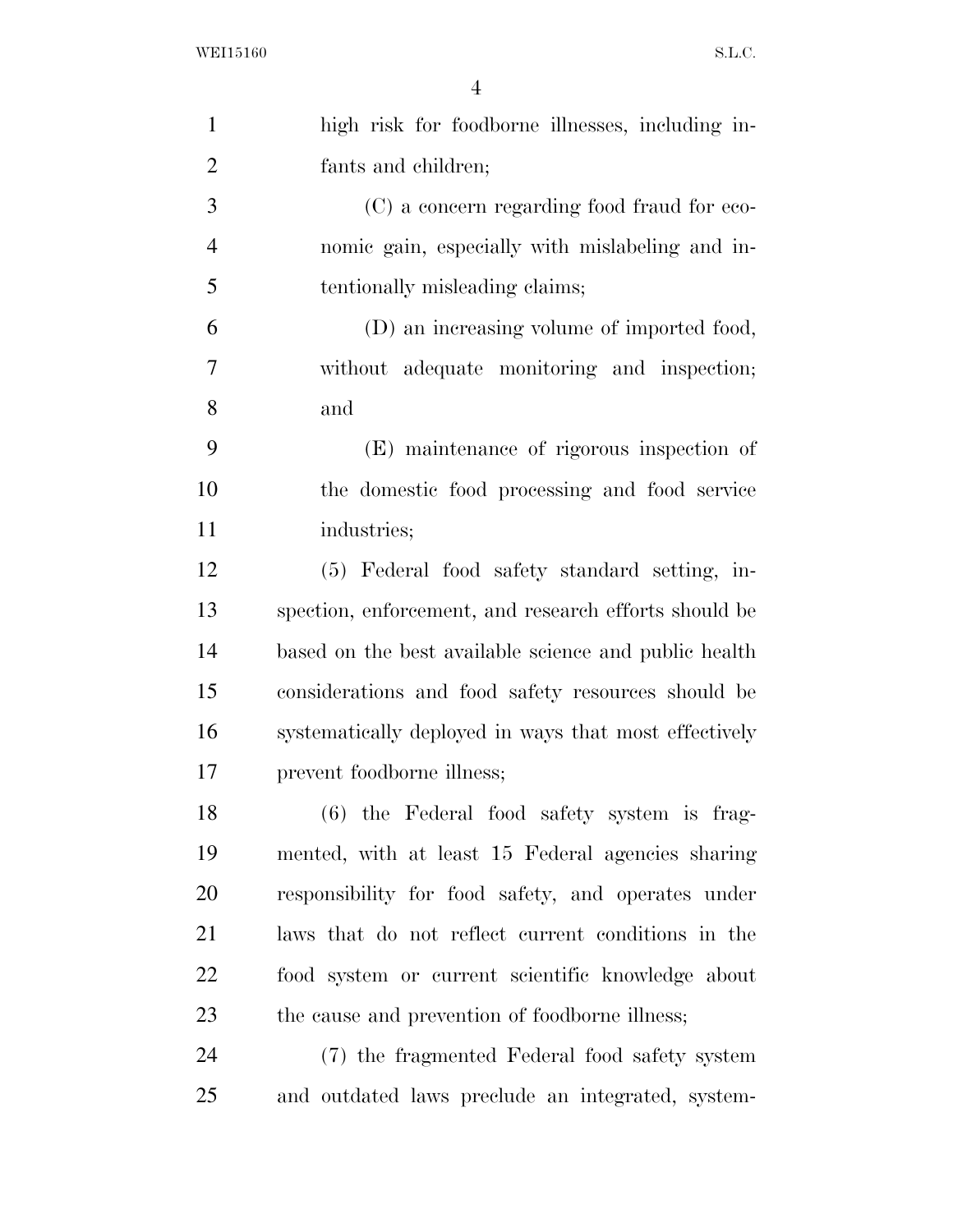| $\mathbf{1}$   | high risk for foodborne illnesses, including in-      |
|----------------|-------------------------------------------------------|
| $\overline{2}$ | fants and children;                                   |
| 3              | (C) a concern regarding food fraud for eco-           |
| $\overline{4}$ | nomic gain, especially with mislabeling and in-       |
| 5              | tentionally misleading claims;                        |
| 6              | (D) an increasing volume of imported food,            |
| 7              | without adequate monitoring and inspection;           |
| 8              | and                                                   |
| 9              | (E) maintenance of rigorous inspection of             |
| 10             | the domestic food processing and food service         |
| 11             | industries;                                           |
| 12             | (5) Federal food safety standard setting, in-         |
| 13             | spection, enforcement, and research efforts should be |
| 14             | based on the best available science and public health |
| 15             | considerations and food safety resources should be    |
| 16             | systematically deployed in ways that most effectively |
| 17             | prevent foodborne illness;                            |
| 18             | (6) the Federal food safety system is frag-           |
| 19             | mented, with at least 15 Federal agencies sharing     |
| 20             | responsibility for food safety, and operates under    |
| 21             | laws that do not reflect current conditions in the    |
| 22             | food system or current scientific knowledge about     |
| 23             | the cause and prevention of foodborne illness;        |
| 24             | (7) the fragmented Federal food safety system         |
| 25             | and outdated laws preclude an integrated, system-     |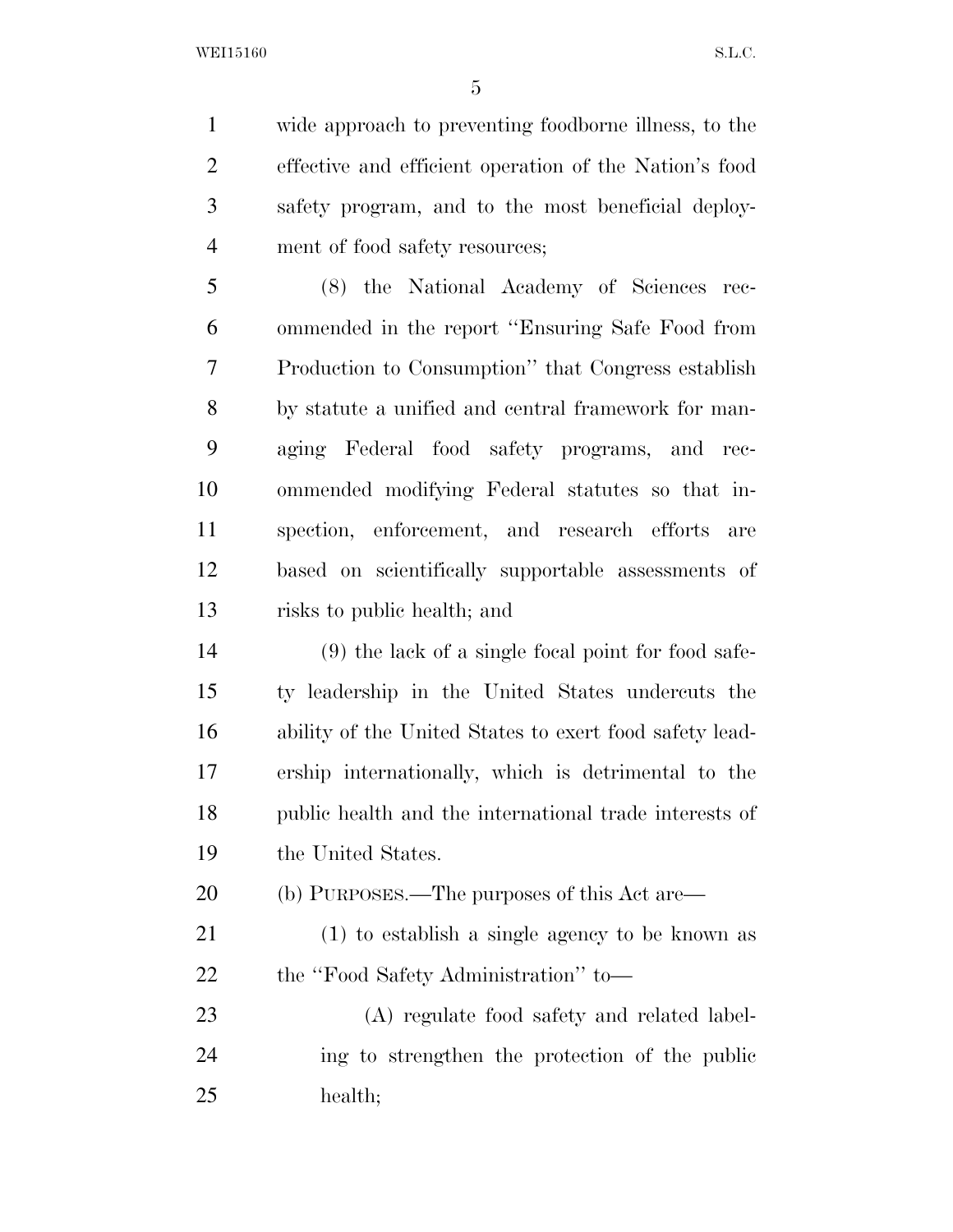WEI15160 S.L.C.

 wide approach to preventing foodborne illness, to the effective and efficient operation of the Nation's food safety program, and to the most beneficial deploy-ment of food safety resources;

 (8) the National Academy of Sciences rec- ommended in the report ''Ensuring Safe Food from Production to Consumption'' that Congress establish by statute a unified and central framework for man- aging Federal food safety programs, and rec- ommended modifying Federal statutes so that in- spection, enforcement, and research efforts are based on scientifically supportable assessments of risks to public health; and

 (9) the lack of a single focal point for food safe- ty leadership in the United States undercuts the ability of the United States to exert food safety lead- ership internationally, which is detrimental to the public health and the international trade interests of the United States.

(b) PURPOSES.—The purposes of this Act are—

 (1) to establish a single agency to be known as 22 the "Food Safety Administration" to—

 (A) regulate food safety and related label- ing to strengthen the protection of the public health;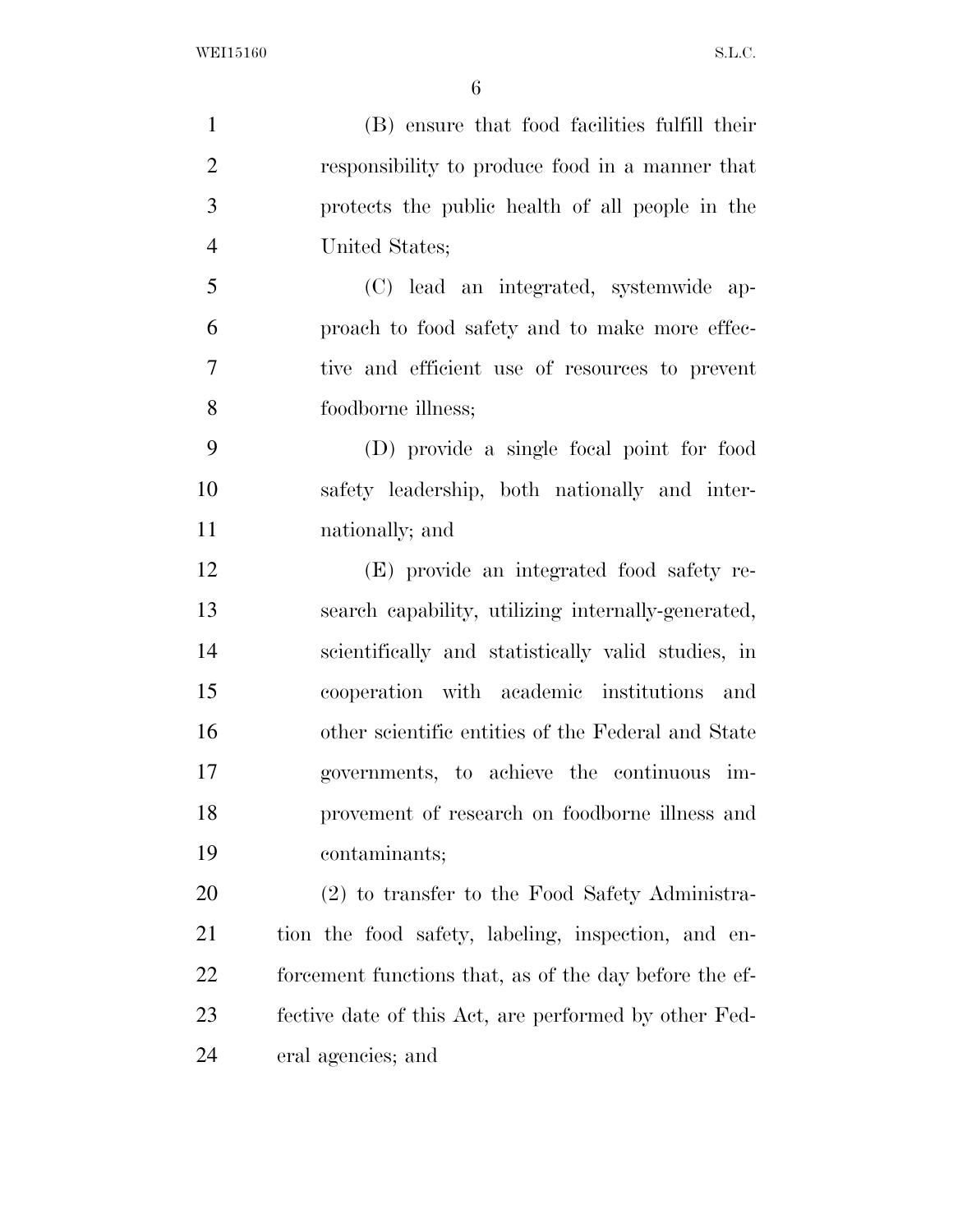(B) ensure that food facilities fulfill their responsibility to produce food in a manner that protects the public health of all people in the United States; (C) lead an integrated, systemwide ap- proach to food safety and to make more effec- tive and efficient use of resources to prevent foodborne illness; (D) provide a single focal point for food safety leadership, both nationally and inter- nationally; and (E) provide an integrated food safety re- search capability, utilizing internally-generated, scientifically and statistically valid studies, in cooperation with academic institutions and other scientific entities of the Federal and State governments, to achieve the continuous im- provement of research on foodborne illness and contaminants; (2) to transfer to the Food Safety Administra- tion the food safety, labeling, inspection, and en-forcement functions that, as of the day before the ef-

fective date of this Act, are performed by other Fed-

eral agencies; and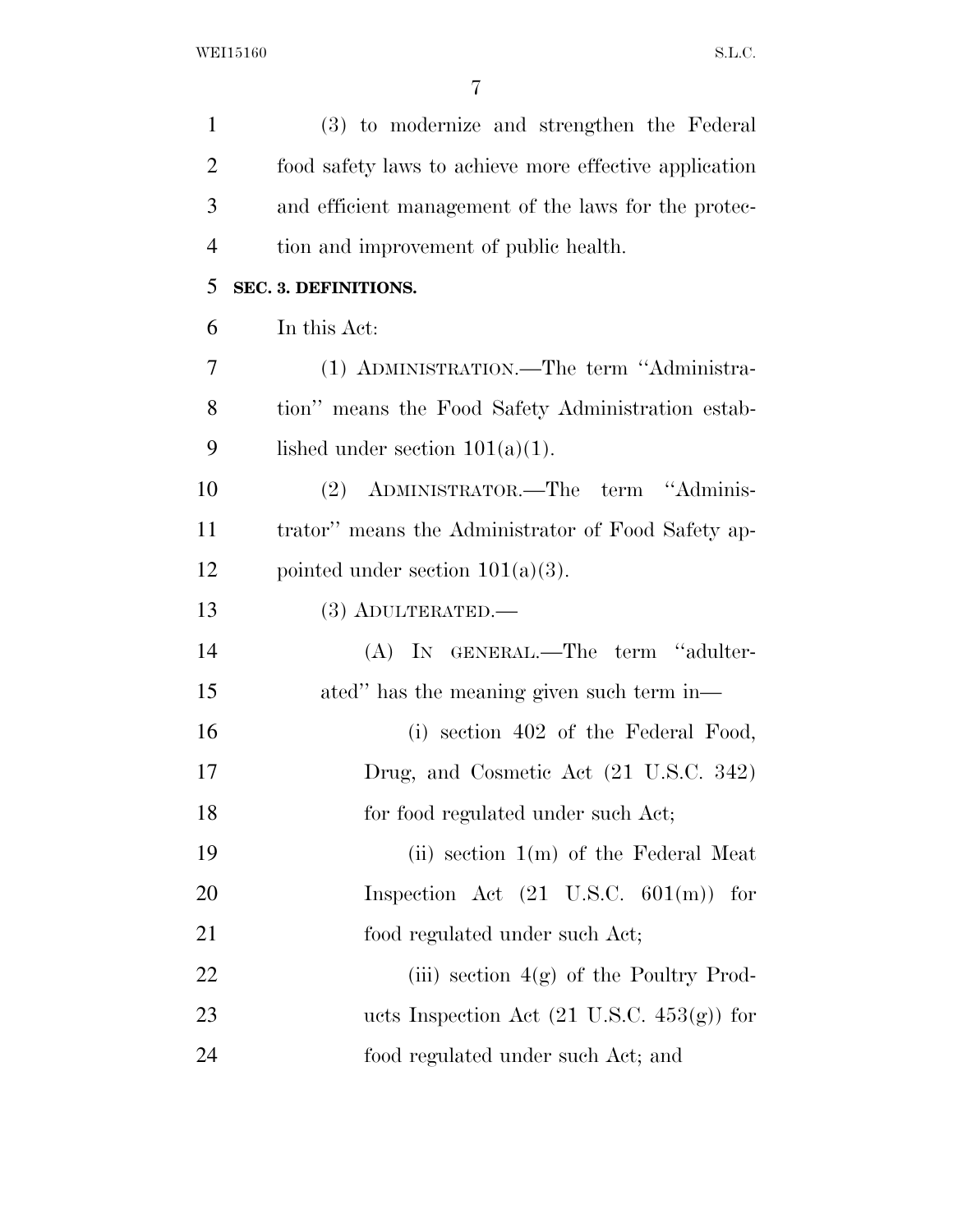| $\mathbf{1}$   | (3) to modernize and strengthen the Federal            |
|----------------|--------------------------------------------------------|
| $\overline{2}$ | food safety laws to achieve more effective application |
| 3              | and efficient management of the laws for the protec-   |
| $\overline{4}$ | tion and improvement of public health.                 |
| 5              | SEC. 3. DEFINITIONS.                                   |
| 6              | In this Act:                                           |
| 7              | (1) ADMINISTRATION.—The term "Administra-              |
| 8              | tion" means the Food Safety Administration estab-      |
| 9              | lished under section $101(a)(1)$ .                     |
| 10             | ADMINISTRATOR.—The term "Adminis-<br>(2)               |
| 11             | trator" means the Administrator of Food Safety ap-     |
| 12             | pointed under section $101(a)(3)$ .                    |
| 13             | $(3)$ ADULTERATED.—                                    |
| 14             | (A) IN GENERAL.—The term "adulter-                     |
| 15             | ated" has the meaning given such term in—              |
| 16             | (i) section 402 of the Federal Food,                   |
| 17             | Drug, and Cosmetic Act (21 U.S.C. 342)                 |
| 18             | for food regulated under such Act;                     |
| 19             | (ii) section $1(m)$ of the Federal Meat                |
| 20             | Inspection Act $(21 \text{ U.S.C. } 601(m))$<br>for    |
| 21             | food regulated under such Act;                         |
| 22             | (iii) section $4(g)$ of the Poultry Prod-              |
| 23             | ucts Inspection Act $(21 \text{ U.S.C. } 453(g))$ for  |
| 24             | food regulated under such Act; and                     |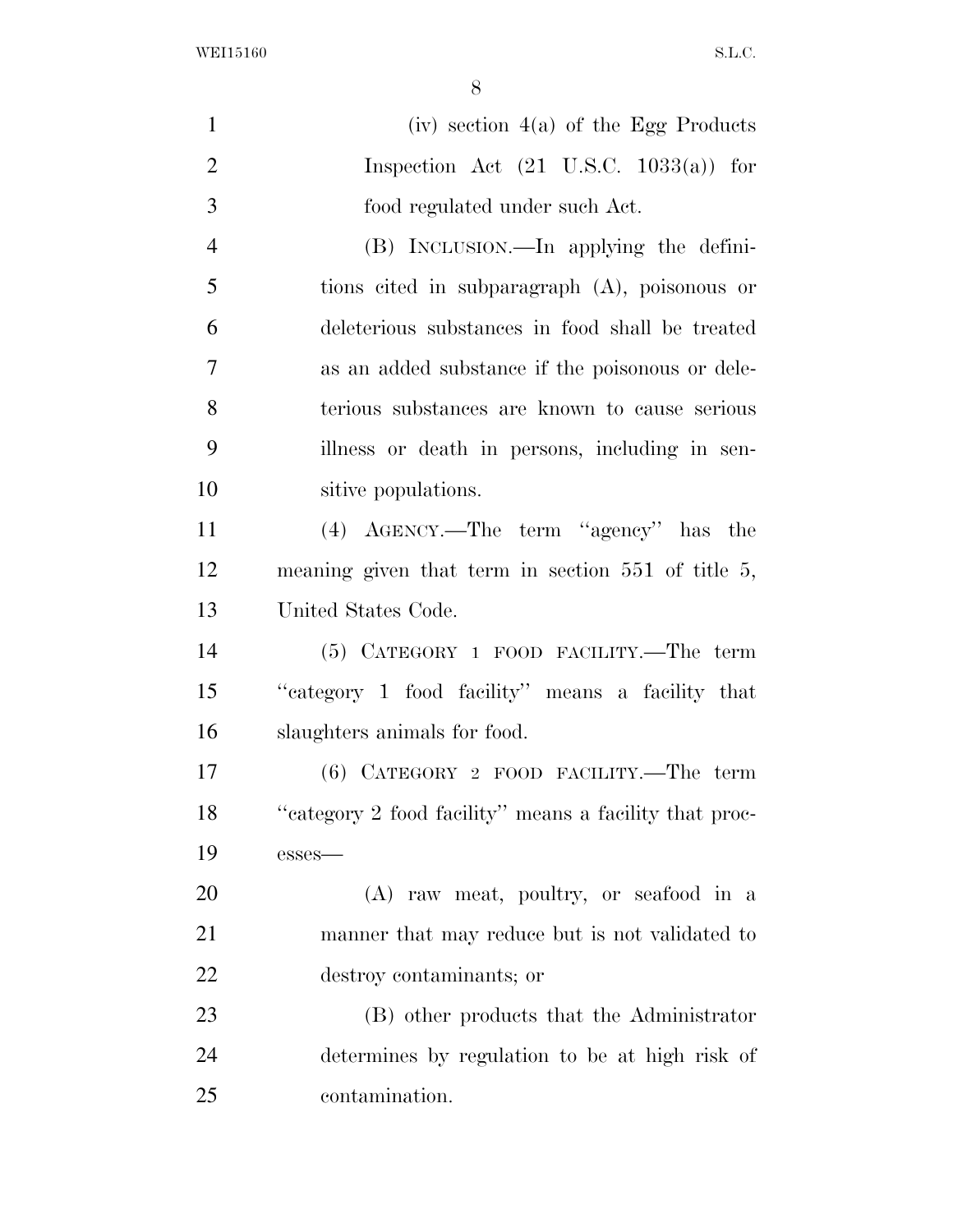WEI15160 S.L.C.

| $\mathbf{1}$   | (iv) section $4(a)$ of the Egg Products                 |
|----------------|---------------------------------------------------------|
| $\overline{2}$ | Inspection Act $(21 \text{ U.S.C. } 1033(a))$ for       |
| 3              | food regulated under such Act.                          |
| $\overline{4}$ | (B) INCLUSION.—In applying the defini-                  |
| 5              | tions cited in subparagraph $(A)$ , poisonous or        |
| 6              | deleterious substances in food shall be treated         |
| 7              | as an added substance if the poisonous or dele-         |
| 8              | terious substances are known to cause serious           |
| 9              | illness or death in persons, including in sen-          |
| 10             | sitive populations.                                     |
| 11             | (4) AGENCY.—The term "agency" has the                   |
| 12             | meaning given that term in section $551$ of title $5$ , |
| 13             | United States Code.                                     |
| 14             | $(5)$ CATEGORY 1 FOOD FACILITY.—The term                |
| 15             | "eategory 1 food facility" means a facility that        |
| 16             | slaughters animals for food.                            |
| 17             | $(6)$ CATEGORY 2 FOOD FACILITY.—The term                |
| 18             | "category 2 food facility" means a facility that proc-  |
| 19             | esses-                                                  |
| 20             | (A) raw meat, poultry, or seafood in a                  |
| 21             | manner that may reduce but is not validated to          |
| 22             | destroy contaminants; or                                |
| 23             | (B) other products that the Administrator               |
| 24             | determines by regulation to be at high risk of          |
| 25             | contamination.                                          |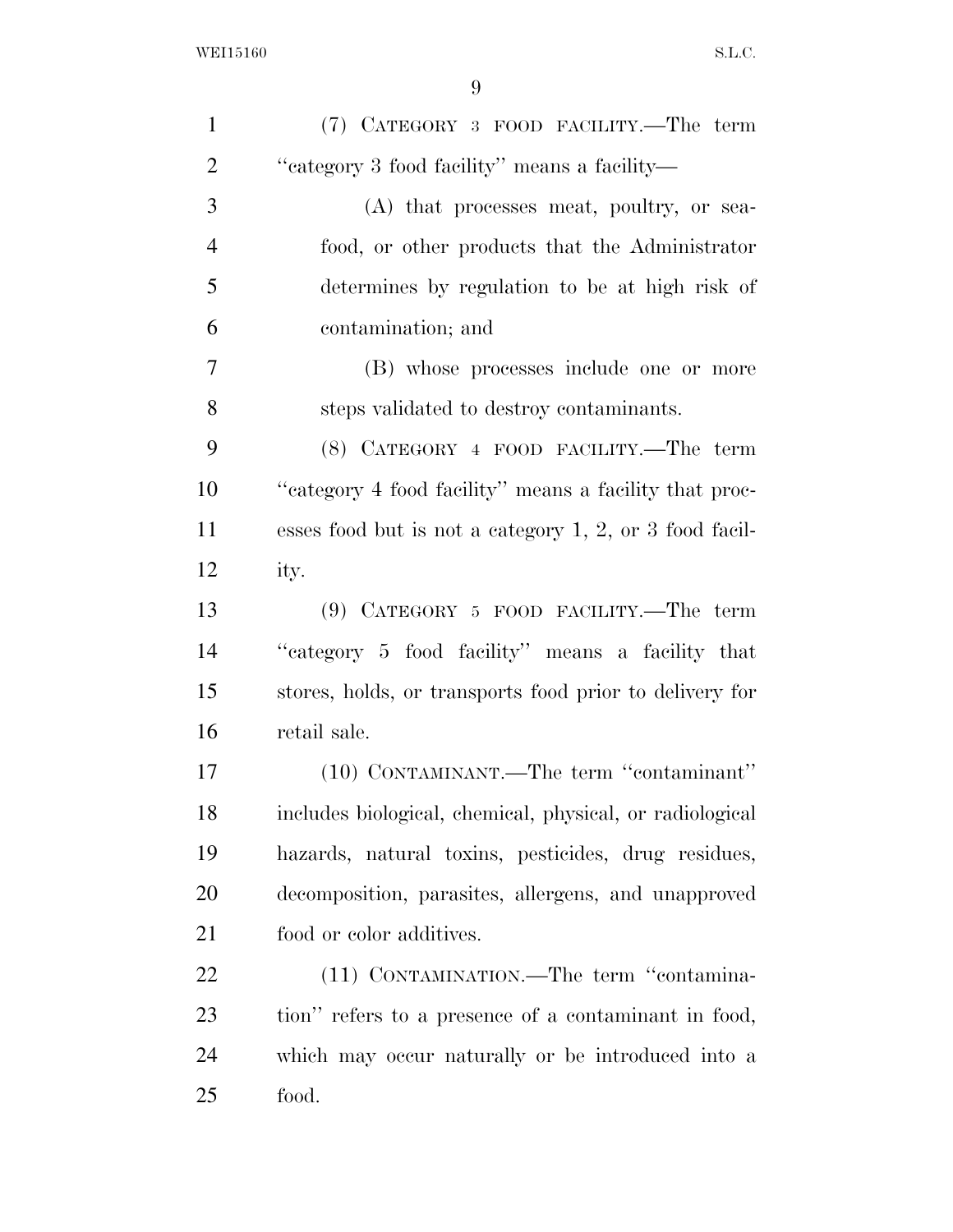| $\mathbf{1}$   | (7) CATEGORY 3 FOOD FACILITY.—The term                     |
|----------------|------------------------------------------------------------|
| $\overline{2}$ | "category 3 food facility" means a facility-               |
| 3              | (A) that processes meat, poultry, or sea-                  |
| $\overline{4}$ | food, or other products that the Administrator             |
| 5              | determines by regulation to be at high risk of             |
| 6              | contamination; and                                         |
| $\overline{7}$ | (B) whose processes include one or more                    |
| 8              | steps validated to destroy contaminants.                   |
| 9              | (8) CATEGORY 4 FOOD FACILITY.—The term                     |
| 10             | "category 4 food facility" means a facility that proc-     |
| 11             | esses food but is not a category $1, 2$ , or 3 food facil- |
| 12             | ity.                                                       |
| 13             | $(9)$ CATEGORY 5 FOOD FACILITY.—The term                   |
| 14             | "category 5 food facility" means a facility that           |
| 15             | stores, holds, or transports food prior to delivery for    |
| 16             | retail sale.                                               |
| 17             | (10) CONTAMINANT.—The term "contaminant"                   |
| 18             | includes biological, chemical, physical, or radiological   |
| 19             | hazards, natural toxins, pesticides, drug residues,        |
| 20             | decomposition, parasites, allergens, and unapproved        |
| 21             | food or color additives.                                   |
| 22             | (11) CONTAMINATION.—The term "contamina-                   |
| 23             | tion" refers to a presence of a contaminant in food,       |
| 24             | which may occur naturally or be introduced into a          |
| 25             | food.                                                      |
|                |                                                            |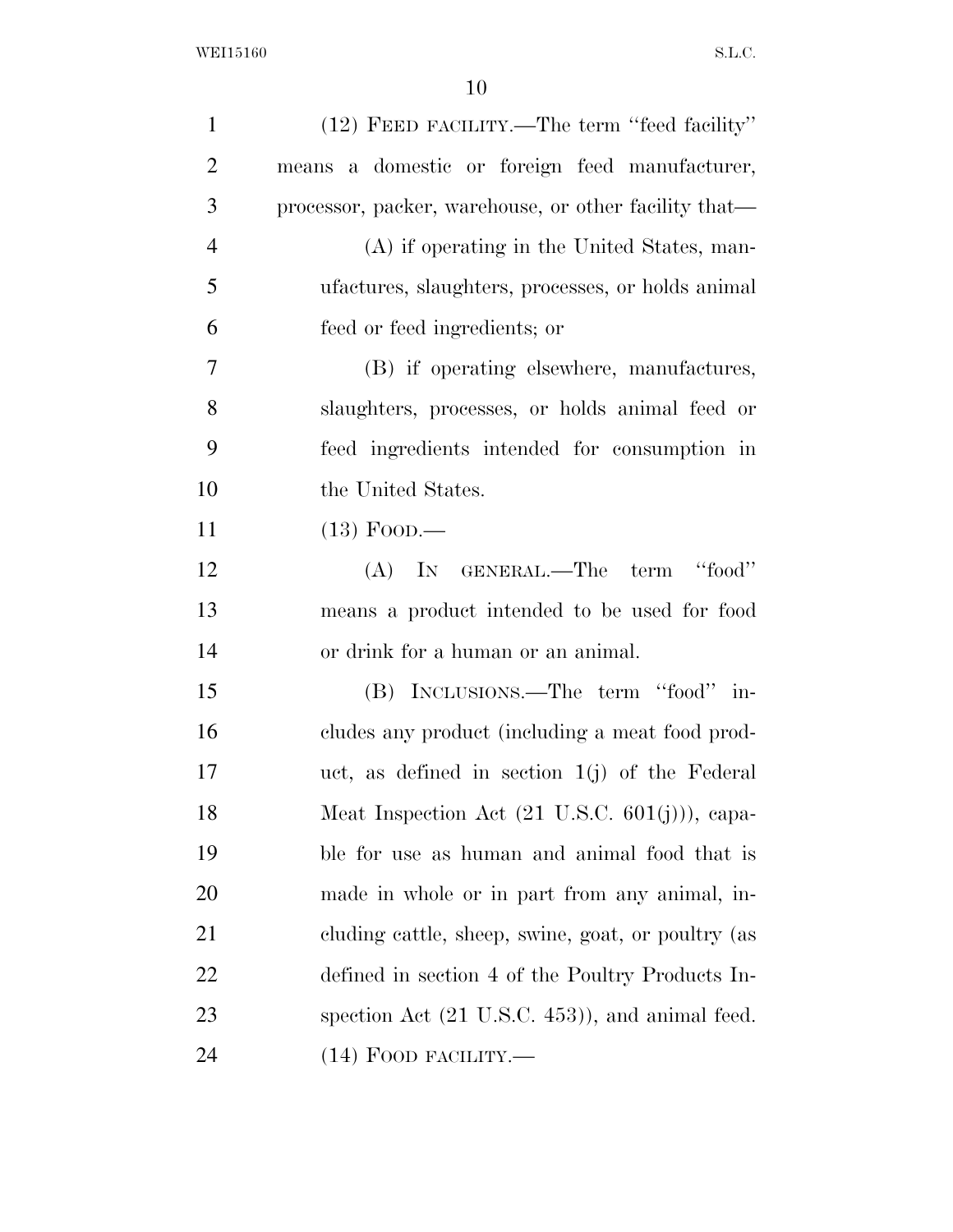| $\mathbf{1}$   | (12) FEED FACILITY.—The term "feed facility"              |
|----------------|-----------------------------------------------------------|
| $\overline{2}$ | means a domestic or foreign feed manufacturer,            |
| 3              | processor, packer, warehouse, or other facility that—     |
| $\overline{4}$ | (A) if operating in the United States, man-               |
| 5              | ufactures, slaughters, processes, or holds animal         |
| 6              | feed or feed ingredients; or                              |
| 7              | (B) if operating elsewhere, manufactures,                 |
| 8              | slaughters, processes, or holds animal feed or            |
| 9              | feed ingredients intended for consumption in              |
| 10             | the United States.                                        |
| 11             | $(13)$ Food.—                                             |
| 12             | (A) IN GENERAL.—The term "food"                           |
| 13             | means a product intended to be used for food              |
| 14             | or drink for a human or an animal.                        |
| 15             | (B) INCLUSIONS.—The term "food" in-                       |
| 16             | cludes any product (including a meat food prod-           |
| 17             | uct, as defined in section $1(j)$ of the Federal          |
| 18             | Meat Inspection Act $(21 \text{ U.S.C. } 601(j))$ , capa- |
| 19             | ble for use as human and animal food that is              |
| 20             | made in whole or in part from any animal, in-             |
| 21             | cluding cattle, sheep, swine, goat, or poultry (as        |
| 22             | defined in section 4 of the Poultry Products In-          |
| 23             | spection Act (21 U.S.C. 453)), and animal feed.           |
| 24             | $(14)$ FOOD FACILITY.—                                    |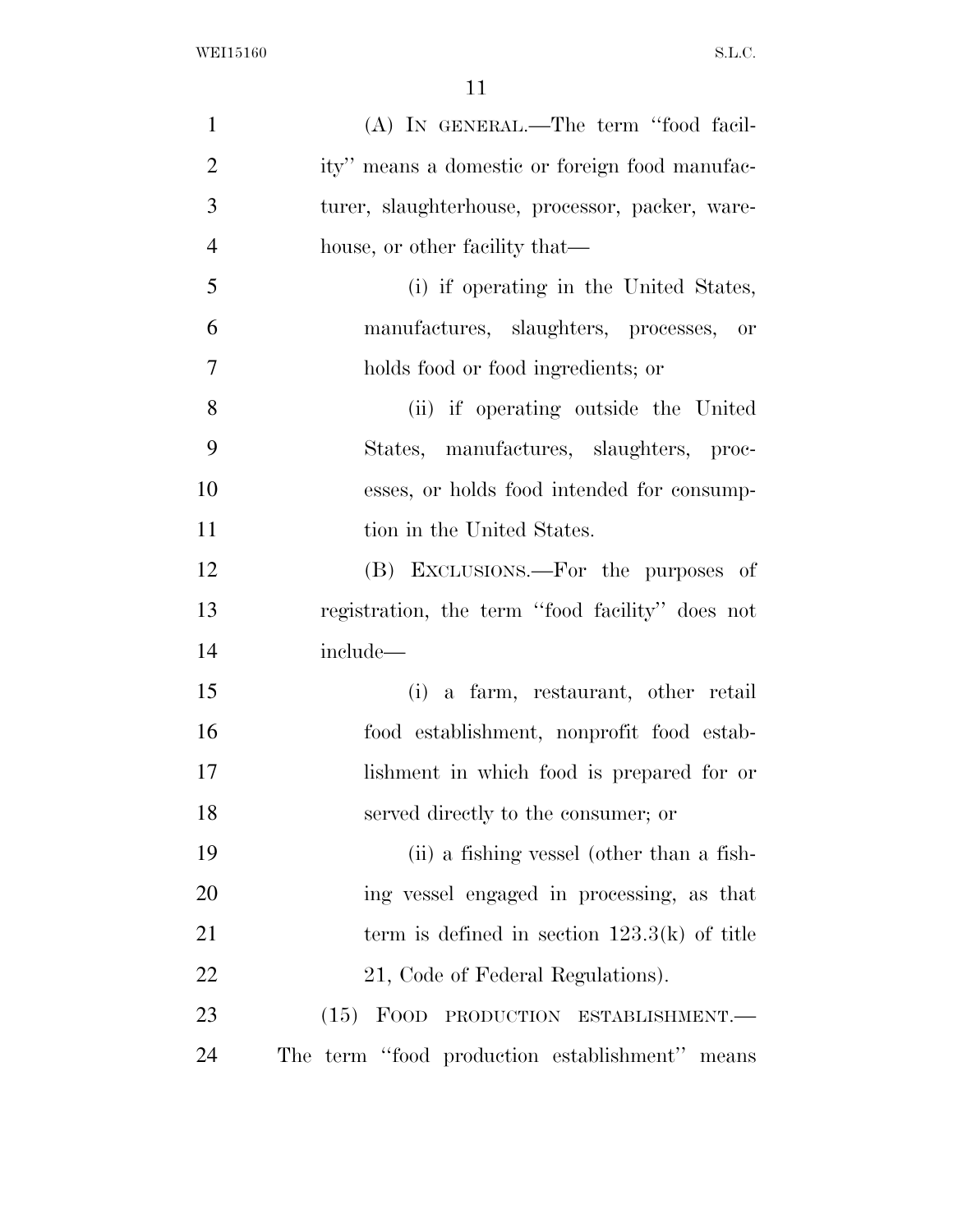| $\mathbf{1}$   | (A) IN GENERAL.—The term "food facil-           |
|----------------|-------------------------------------------------|
| $\overline{2}$ | ity" means a domestic or foreign food manufac-  |
| 3              | turer, slaughterhouse, processor, packer, ware- |
| $\overline{4}$ | house, or other facility that—                  |
| 5              | (i) if operating in the United States,          |
| 6              | manufactures, slaughters, processes, or         |
| 7              | holds food or food ingredients; or              |
| 8              | (ii) if operating outside the United            |
| 9              | States, manufactures, slaughters, proc-         |
| 10             | esses, or holds food intended for consump-      |
| 11             | tion in the United States.                      |
| 12             | (B) EXCLUSIONS.—For the purposes of             |
| 13             | registration, the term "food facility" does not |
| 14             | include—                                        |
| 15             | (i) a farm, restaurant, other retail            |
| 16             | food establishment, nonprofit food estab-       |
| 17             | lishment in which food is prepared for or       |
| 18             | served directly to the consumer; or             |
| 19             | (ii) a fishing vessel (other than a fish-       |
| 20             | ing vessel engaged in processing, as that       |
| 21             | term is defined in section $123.3(k)$ of title  |
| 22             | 21, Code of Federal Regulations).               |
| 23             | (15) FOOD PRODUCTION ESTABLISHMENT.—            |
| 24             | The term "food production establishment" means  |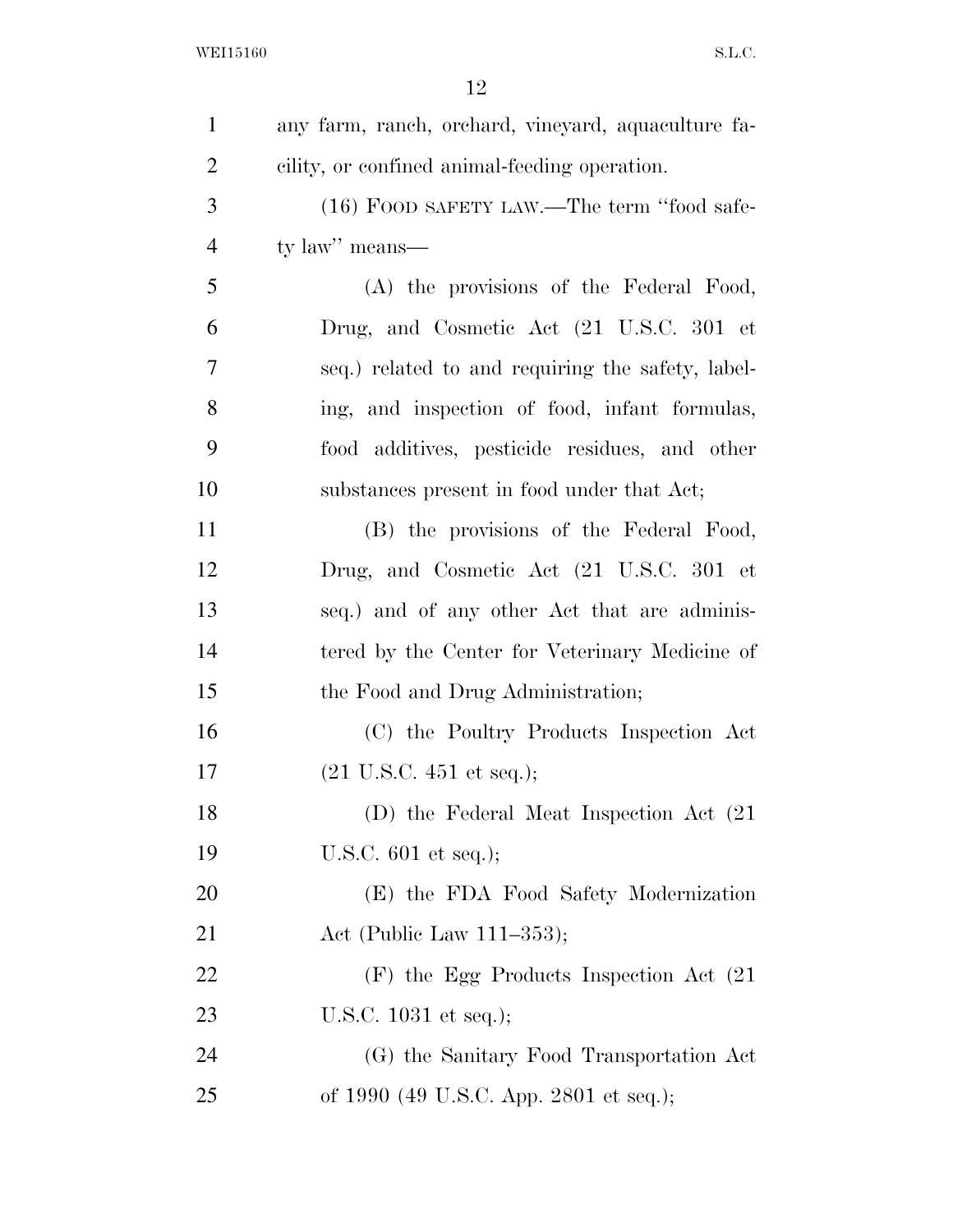| $\mathbf{1}$   | any farm, ranch, orchard, vineyard, aquaculture fa- |
|----------------|-----------------------------------------------------|
| $\overline{2}$ | cility, or confined animal-feeding operation.       |
| 3              | (16) FOOD SAFETY LAW.—The term "food safe-          |
| $\overline{4}$ | ty law" means—                                      |
| 5              | (A) the provisions of the Federal Food,             |
| 6              | Drug, and Cosmetic Act (21 U.S.C. 301 et            |
| 7              | seq.) related to and requiring the safety, label-   |
| 8              | ing, and inspection of food, infant formulas,       |
| 9              | food additives, pesticide residues, and other       |
| 10             | substances present in food under that Act;          |
| 11             | (B) the provisions of the Federal Food,             |
| 12             | Drug, and Cosmetic Act (21 U.S.C. 301 et            |
| 13             | seq.) and of any other Act that are adminis-        |
| 14             | tered by the Center for Veterinary Medicine of      |
| 15             | the Food and Drug Administration;                   |
| 16             | (C) the Poultry Products Inspection Act             |
| 17             | $(21 \text{ U.S.C. } 451 \text{ et seq.});$         |
| 18             | (D) the Federal Meat Inspection Act (21)            |
| 19             | U.S.C. $601$ et seq.);                              |
| 20             | (E) the FDA Food Safety Modernization               |
| 21             | Act (Public Law $111-353$ );                        |
| 22             | $(F)$ the Egg Products Inspection Act $(21)$        |
| 23             | U.S.C. $1031$ et seq.);                             |
| 24             | (G) the Sanitary Food Transportation Act            |
| 25             | of 1990 (49 U.S.C. App. 2801 et seq.);              |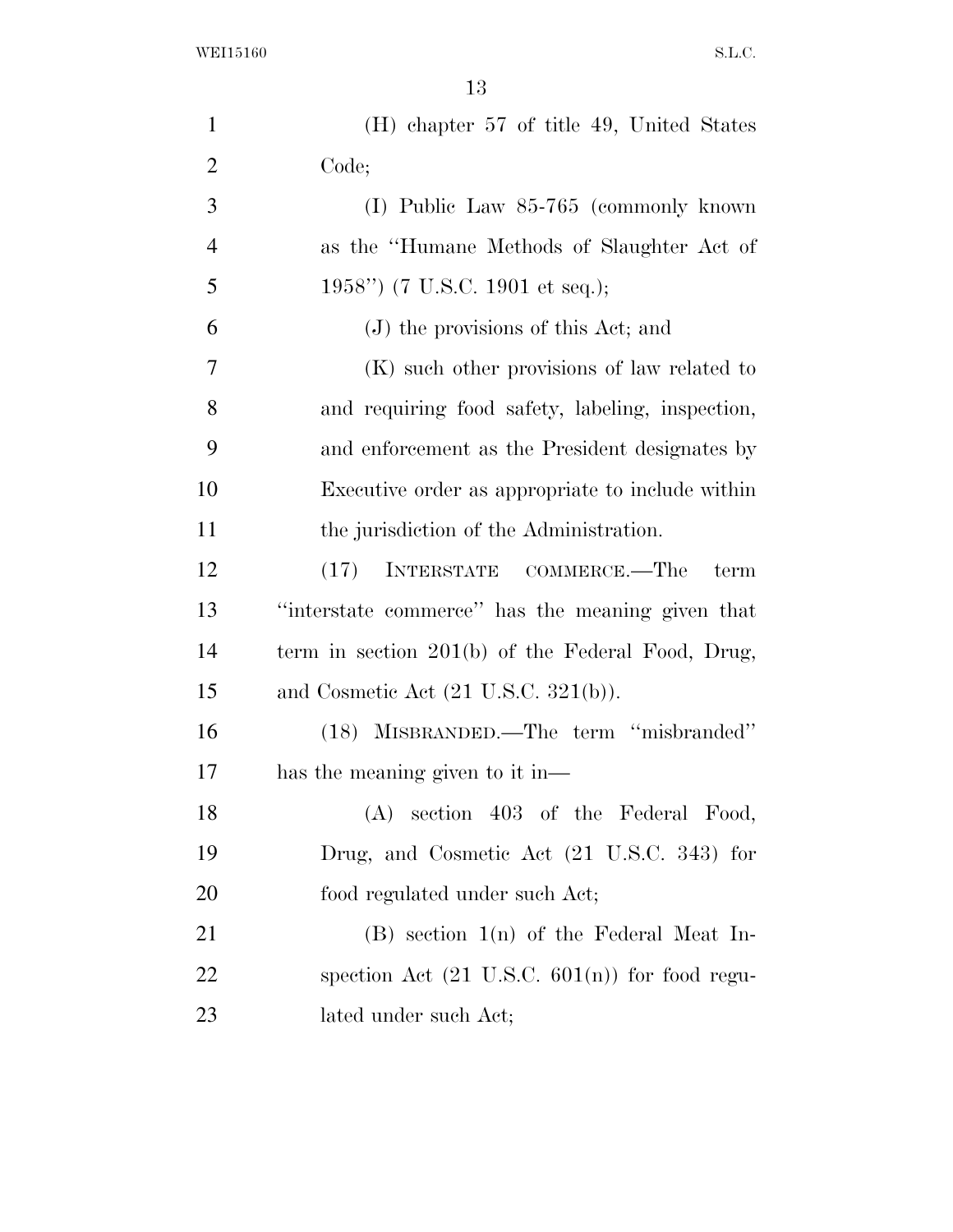WEI15160 S.L.C.

| $\mathbf{1}$   | (H) chapter 57 of title 49, United States                 |
|----------------|-----------------------------------------------------------|
| $\overline{2}$ | Code;                                                     |
| 3              | (I) Public Law 85-765 (commonly known                     |
| $\overline{4}$ | as the "Humane Methods of Slaughter Act of                |
| 5              | 1958") (7 U.S.C. 1901 et seq.);                           |
| 6              | (J) the provisions of this Act; and                       |
| 7              | (K) such other provisions of law related to               |
| 8              | and requiring food safety, labeling, inspection,          |
| 9              | and enforcement as the President designates by            |
| 10             | Executive order as appropriate to include within          |
| 11             | the jurisdiction of the Administration.                   |
| 12             | (17)<br>INTERSTATE COMMERCE.—The<br>term                  |
| 13             | "interstate commerce" has the meaning given that          |
| 14             | term in section $201(b)$ of the Federal Food, Drug,       |
| 15             | and Cosmetic Act $(21 \text{ U.S.C. } 321(b))$ .          |
| 16             | (18) MISBRANDED.—The term "misbranded"                    |
| 17             | has the meaning given to it in—                           |
| 18             | $(A)$ section 403 of the Federal Food,                    |
| 19             | Drug, and Cosmetic Act (21 U.S.C. 343) for                |
| 20             | food regulated under such Act;                            |
| 21             | $(B)$ section $1(n)$ of the Federal Meat In-              |
| 22             | spection Act $(21 \text{ U.S.C. } 601(n))$ for food regu- |
| 23             | lated under such Act;                                     |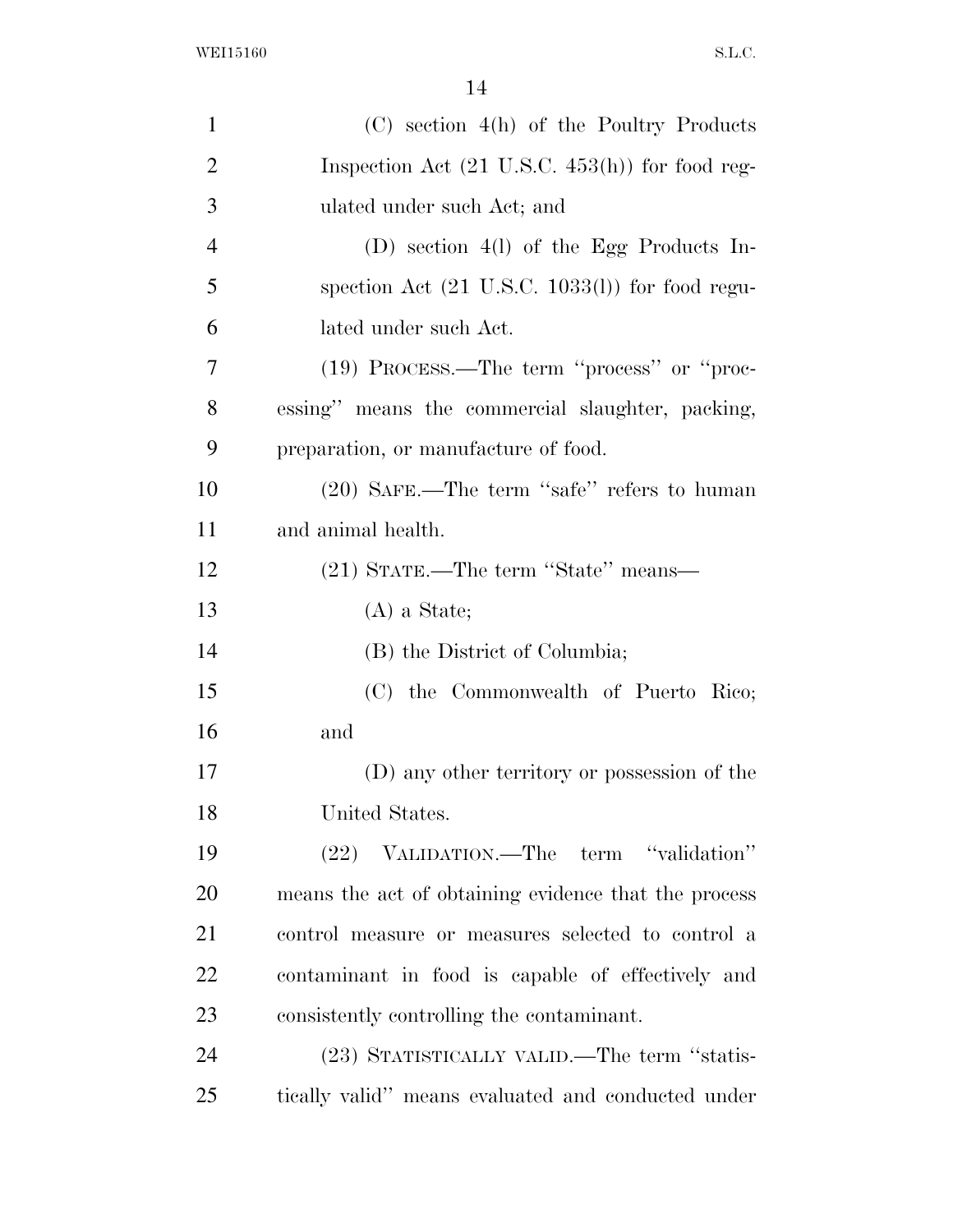| $\mathbf{1}$   | $(C)$ section $4(h)$ of the Poultry Products               |
|----------------|------------------------------------------------------------|
| $\overline{2}$ | Inspection Act $(21 \text{ U.S.C. } 453(h))$ for food reg- |
| 3              | ulated under such Act; and                                 |
| $\overline{4}$ | (D) section $4(l)$ of the Egg Products In-                 |
| 5              | spection Act $(21 \text{ U.S.C. } 1033(l))$ for food regu- |
| 6              | lated under such Act.                                      |
| 7              | (19) PROCESS.—The term "process" or "proc-                 |
| 8              | essing" means the commercial slaughter, packing,           |
| 9              | preparation, or manufacture of food.                       |
| 10             | (20) SAFE.—The term "safe" refers to human                 |
| 11             | and animal health.                                         |
| 12             | (21) STATE.—The term "State" means—                        |
| 13             | $(A)$ a State;                                             |
| 14             | (B) the District of Columbia;                              |
| 15             | (C) the Commonwealth of Puerto Rico;                       |
| 16             | and                                                        |
| 17             | (D) any other territory or possession of the               |
| 18             | United States.                                             |
| 19             | (22) VALIDATION.—The term "validation"                     |
| 20             | means the act of obtaining evidence that the process       |
| 21             | control measure or measures selected to control a          |
| 22             | contaminant in food is capable of effectively and          |
| 23             | consistently controlling the contaminant.                  |
| 24             | (23) STATISTICALLY VALID.—The term "statis-                |
| 25             | tically valid" means evaluated and conducted under         |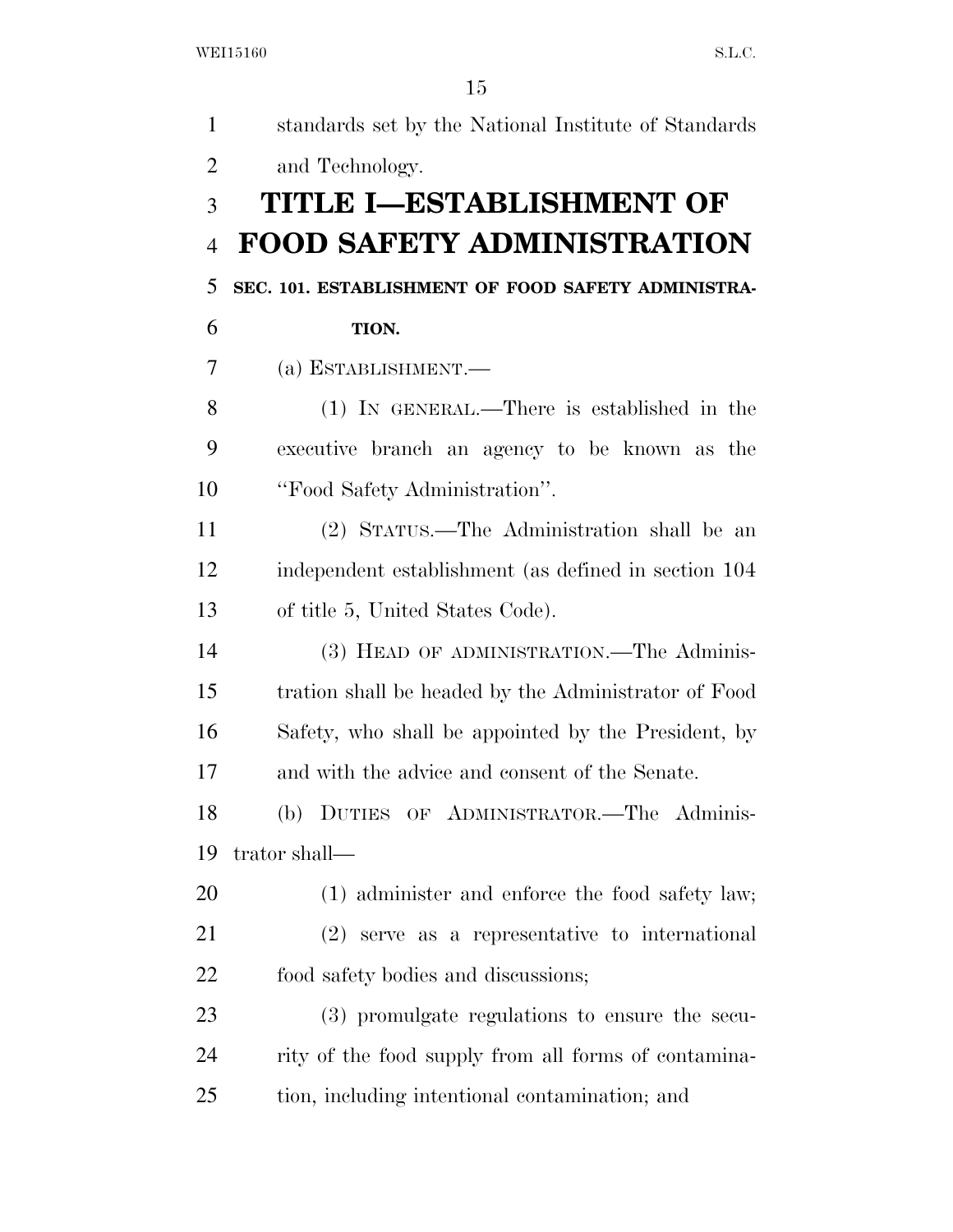| $\mathbf{1}$   | standards set by the National Institute of Standards |
|----------------|------------------------------------------------------|
| $\overline{2}$ | and Technology.                                      |
| 3              | TITLE I-ESTABLISHMENT OF                             |
| $\overline{4}$ | <b>FOOD SAFETY ADMINISTRATION</b>                    |
| 5              | SEC. 101. ESTABLISHMENT OF FOOD SAFETY ADMINISTRA-   |
| 6              | TION.                                                |
| 7              | (a) ESTABLISHMENT.-                                  |
| 8              | (1) IN GENERAL.—There is established in the          |
| 9              | executive branch an agency to be known as the        |
| 10             | "Food Safety Administration".                        |
| 11             | (2) STATUS.—The Administration shall be an           |
| 12             | independent establishment (as defined in section 104 |
| 13             | of title 5, United States Code).                     |
| 14             | (3) HEAD OF ADMINISTRATION.—The Adminis-             |
| 15             | tration shall be headed by the Administrator of Food |
| 16             | Safety, who shall be appointed by the President, by  |
| 17             | and with the advice and consent of the Senate.       |
| 18             | (b) DUTIES OF ADMINISTRATOR.—The Adminis-            |
| 19             | trator shall—                                        |
| 20             | (1) administer and enforce the food safety law;      |
| 21             | $(2)$ serve as a representative to international     |
| <u>22</u>      | food safety bodies and discussions;                  |
| 23             | (3) promulgate regulations to ensure the secu-       |
| 24             | rity of the food supply from all forms of contamina- |
| 25             | tion, including intentional contamination; and       |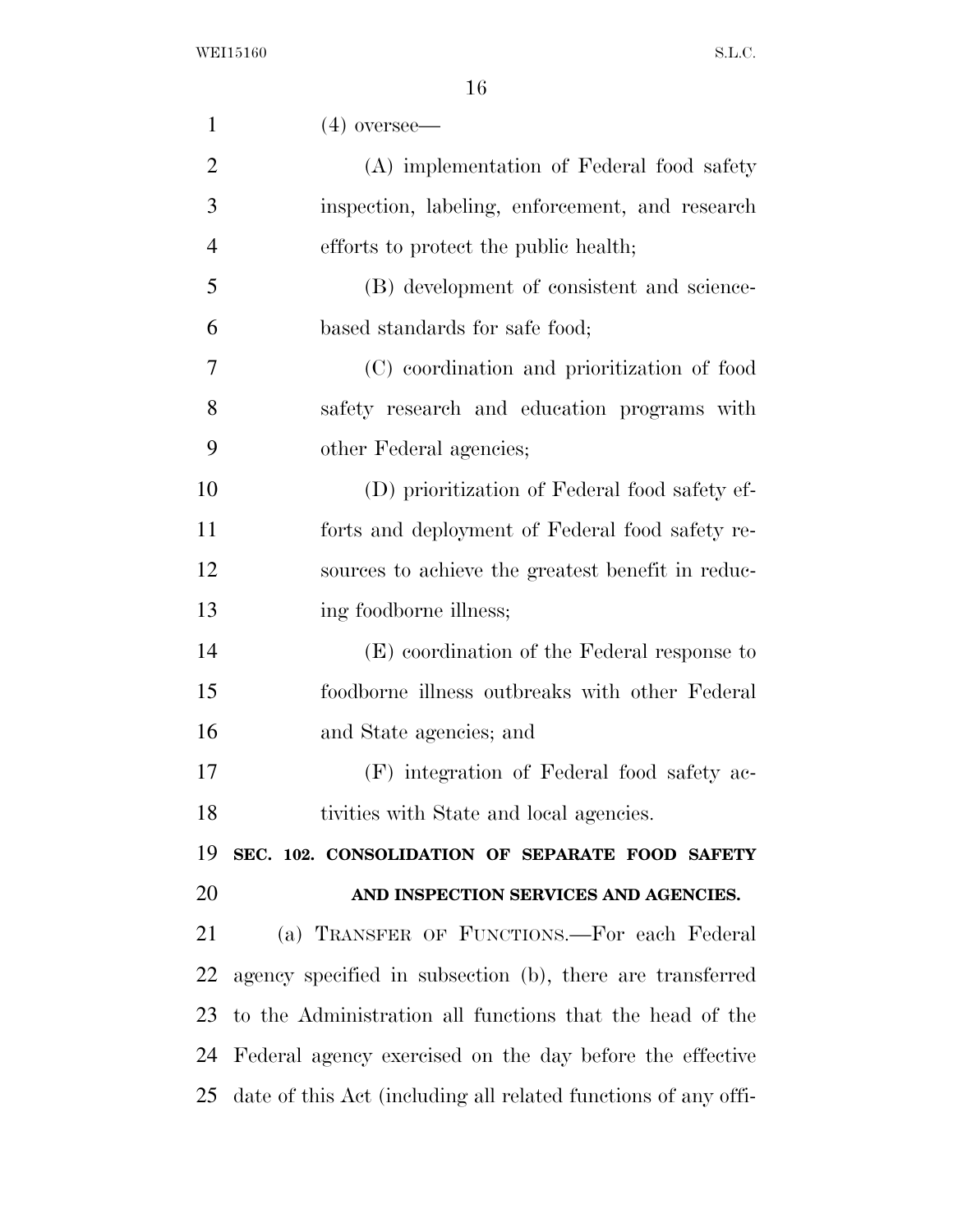| $\mathbf{1}$   | $(4)$ oversee—                                                 |
|----------------|----------------------------------------------------------------|
| $\overline{2}$ | (A) implementation of Federal food safety                      |
| 3              | inspection, labeling, enforcement, and research                |
| $\overline{4}$ | efforts to protect the public health;                          |
| 5              | (B) development of consistent and science-                     |
| 6              | based standards for safe food;                                 |
| 7              | (C) coordination and prioritization of food                    |
| 8              | safety research and education programs with                    |
| 9              | other Federal agencies;                                        |
| 10             | (D) prioritization of Federal food safety ef-                  |
| 11             | forts and deployment of Federal food safety re-                |
| 12             | sources to achieve the greatest benefit in reduc-              |
| 13             | ing foodborne illness;                                         |
| 14             | (E) coordination of the Federal response to                    |
| 15             | foodborne illness outbreaks with other Federal                 |
| 16             | and State agencies; and                                        |
| 17             | (F) integration of Federal food safety ac-                     |
| 18             | tivities with State and local agencies.                        |
| 19             | SEC. 102. CONSOLIDATION OF SEPARATE FOOD SAFETY                |
| 20             | AND INSPECTION SERVICES AND AGENCIES.                          |
| 21             | (a) TRANSFER OF FUNCTIONS.—For each Federal                    |
| 22             | agency specified in subsection (b), there are transferred      |
| 23             | to the Administration all functions that the head of the       |
| 24             | Federal agency exercised on the day before the effective       |
| 25             | date of this Act (including all related functions of any offi- |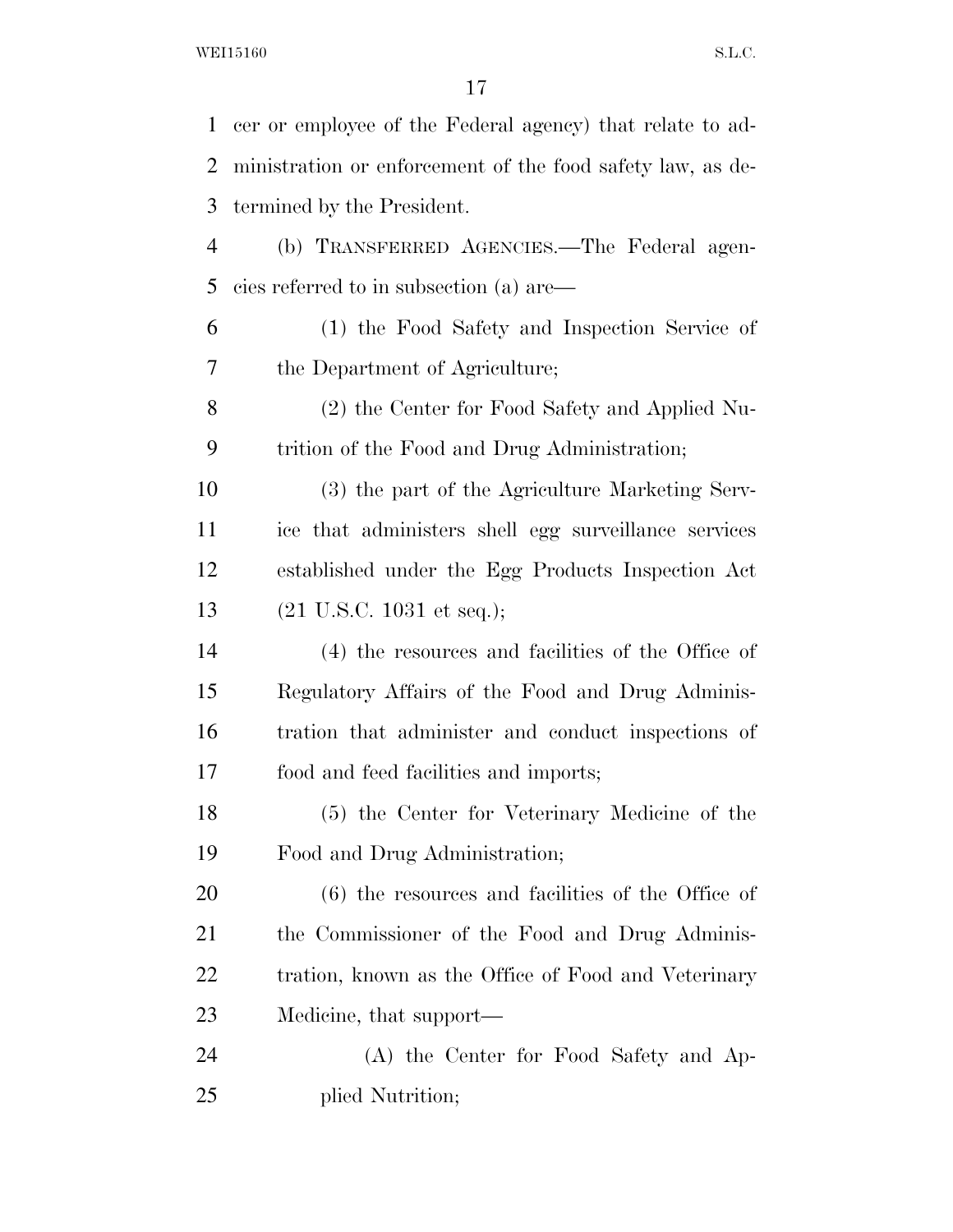| $\mathbf{1}$   | cer or employee of the Federal agency) that relate to ad-  |
|----------------|------------------------------------------------------------|
| 2              | ministration or enforcement of the food safety law, as de- |
| 3              | termined by the President.                                 |
| $\overline{4}$ | (b) TRANSFERRED AGENCIES.-The Federal agen-                |
| 5              | cies referred to in subsection (a) are—                    |
| 6              | (1) the Food Safety and Inspection Service of              |
| 7              | the Department of Agriculture;                             |
| 8              | (2) the Center for Food Safety and Applied Nu-             |
| 9              | trition of the Food and Drug Administration;               |
| 10             | (3) the part of the Agriculture Marketing Serv-            |
| 11             | ice that administers shell egg surveillance services       |
| 12             | established under the Egg Products Inspection Act          |
| 13             | $(21 \text{ U.S.C. } 1031 \text{ et seq.});$               |
| 14             | (4) the resources and facilities of the Office of          |
| 15             | Regulatory Affairs of the Food and Drug Adminis-           |
| 16             | tration that administer and conduct inspections of         |
| 17             | food and feed facilities and imports;                      |
| 18             | (5) the Center for Veterinary Medicine of the              |
| 19             | Food and Drug Administration;                              |
| 20             | $(6)$ the resources and facilities of the Office of        |
| 21             | the Commissioner of the Food and Drug Adminis-             |
| 22             | tration, known as the Office of Food and Veterinary        |
| 23             | Medicine, that support—                                    |
| 24             | (A) the Center for Food Safety and Ap-                     |
| 25             | plied Nutrition;                                           |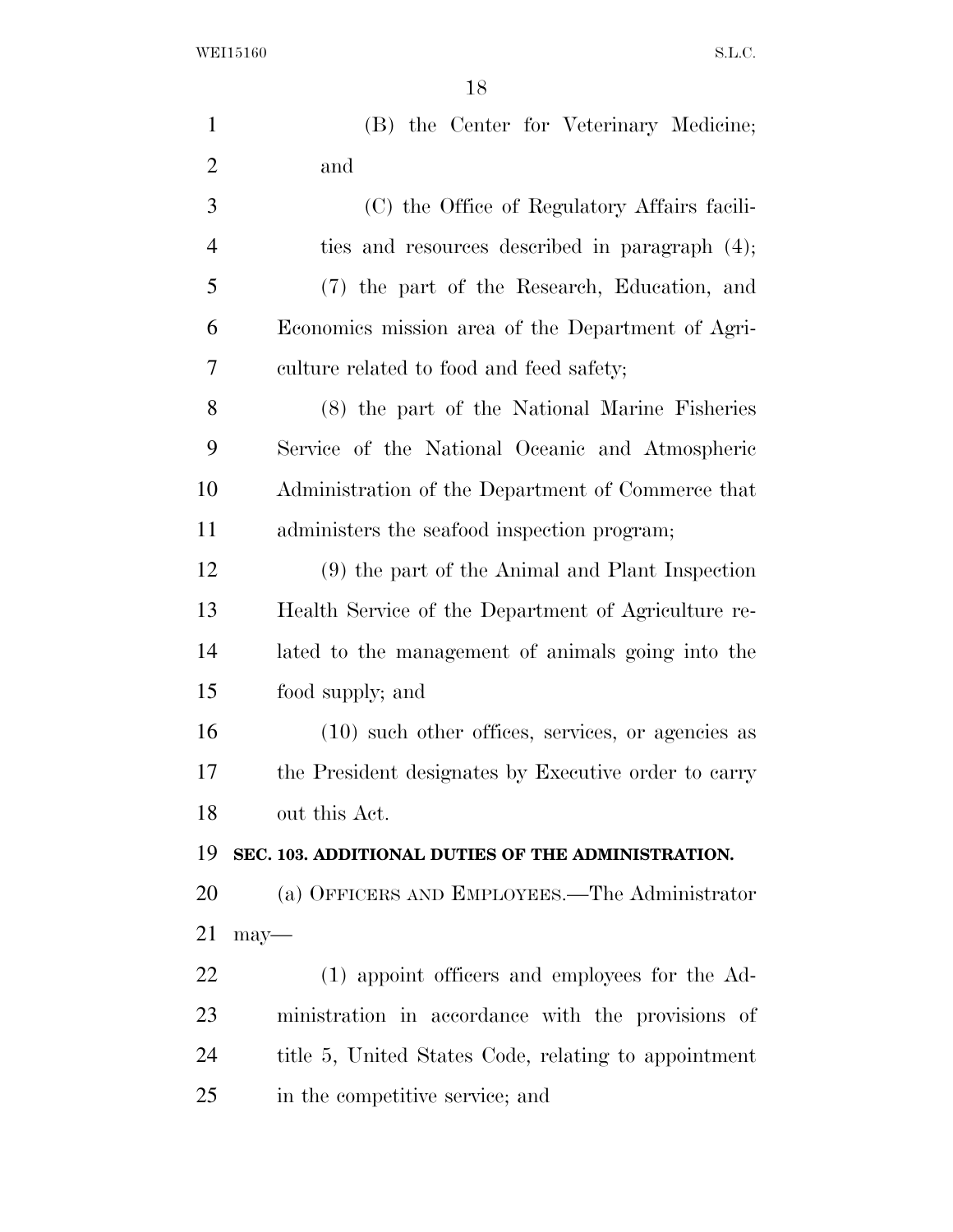WEI15160 S.L.C.

| $\mathbf{1}$   | (B) the Center for Veterinary Medicine;              |
|----------------|------------------------------------------------------|
| $\overline{2}$ | and                                                  |
| 3              | (C) the Office of Regulatory Affairs facili-         |
| $\overline{4}$ | ties and resources described in paragraph (4);       |
| 5              | (7) the part of the Research, Education, and         |
| 6              | Economics mission area of the Department of Agri-    |
| 7              | culture related to food and feed safety;             |
| 8              | (8) the part of the National Marine Fisheries        |
| 9              | Service of the National Oceanic and Atmospheric      |
| 10             | Administration of the Department of Commerce that    |
| 11             | administers the seafood inspection program;          |
| 12             | (9) the part of the Animal and Plant Inspection      |
| 13             | Health Service of the Department of Agriculture re-  |
| 14             | lated to the management of animals going into the    |
| 15             | food supply; and                                     |
| 16             | $(10)$ such other offices, services, or agencies as  |
| 17             | the President designates by Executive order to carry |
| 18             | out this Act.                                        |
| 19             | SEC. 103. ADDITIONAL DUTIES OF THE ADMINISTRATION.   |
| 20             | (a) OFFICERS AND EMPLOYEES.—The Administrator        |
| 21             | $may$ —                                              |
| 22             | (1) appoint officers and employees for the Ad-       |
| 23             | ministration in accordance with the provisions of    |
| 24             | title 5, United States Code, relating to appointment |
| 25             | in the competitive service; and                      |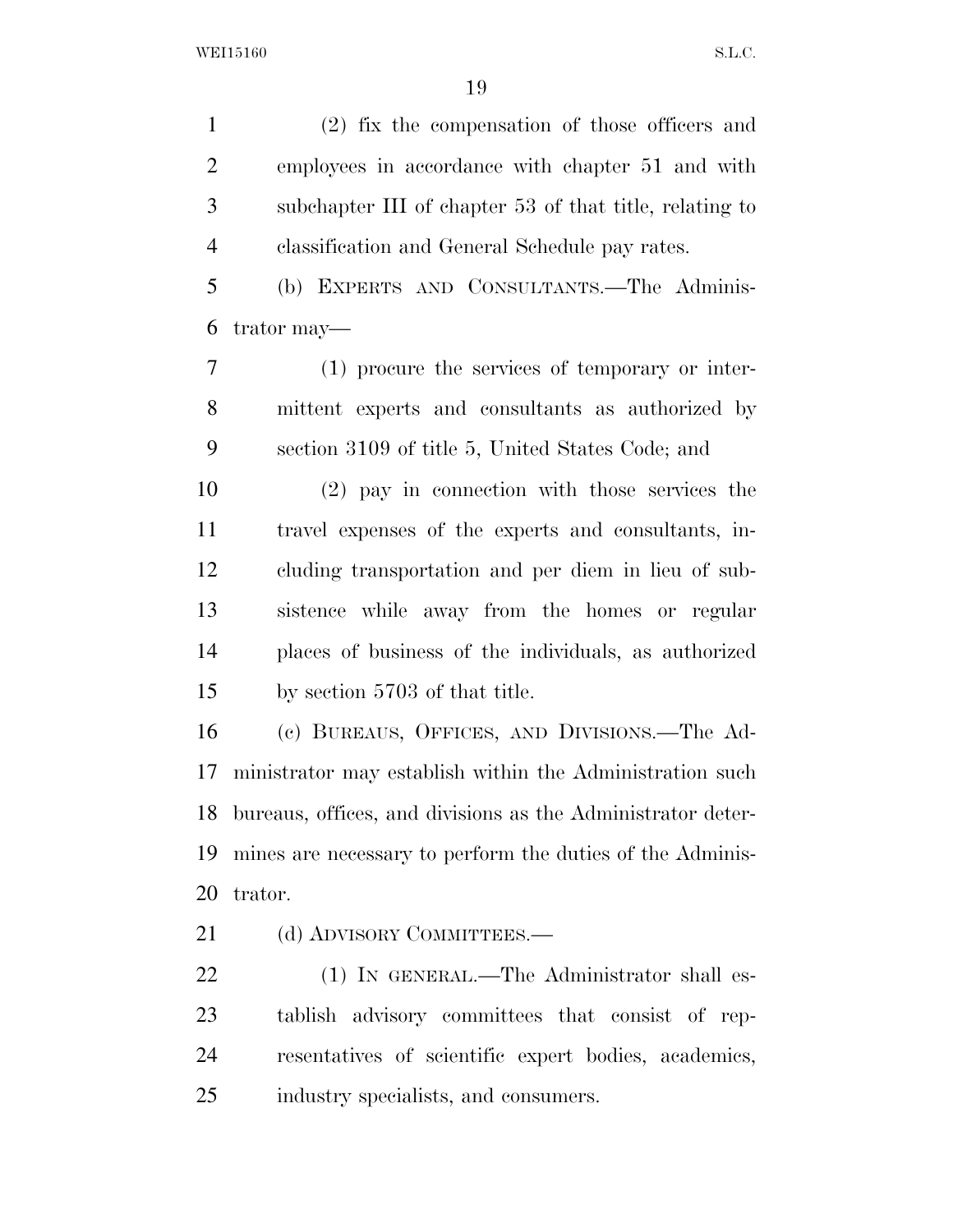(2) fix the compensation of those officers and employees in accordance with chapter 51 and with subchapter III of chapter 53 of that title, relating to classification and General Schedule pay rates.

 (b) EXPERTS AND CONSULTANTS.—The Adminis-trator may—

 (1) procure the services of temporary or inter- mittent experts and consultants as authorized by section 3109 of title 5, United States Code; and

 (2) pay in connection with those services the travel expenses of the experts and consultants, in- cluding transportation and per diem in lieu of sub- sistence while away from the homes or regular places of business of the individuals, as authorized by section 5703 of that title.

 (c) BUREAUS, OFFICES, AND DIVISIONS.—The Ad- ministrator may establish within the Administration such bureaus, offices, and divisions as the Administrator deter- mines are necessary to perform the duties of the Adminis-trator.

21 (d) ADVISORY COMMITTEES.—

22 (1) IN GENERAL.—The Administrator shall es- tablish advisory committees that consist of rep- resentatives of scientific expert bodies, academics, industry specialists, and consumers.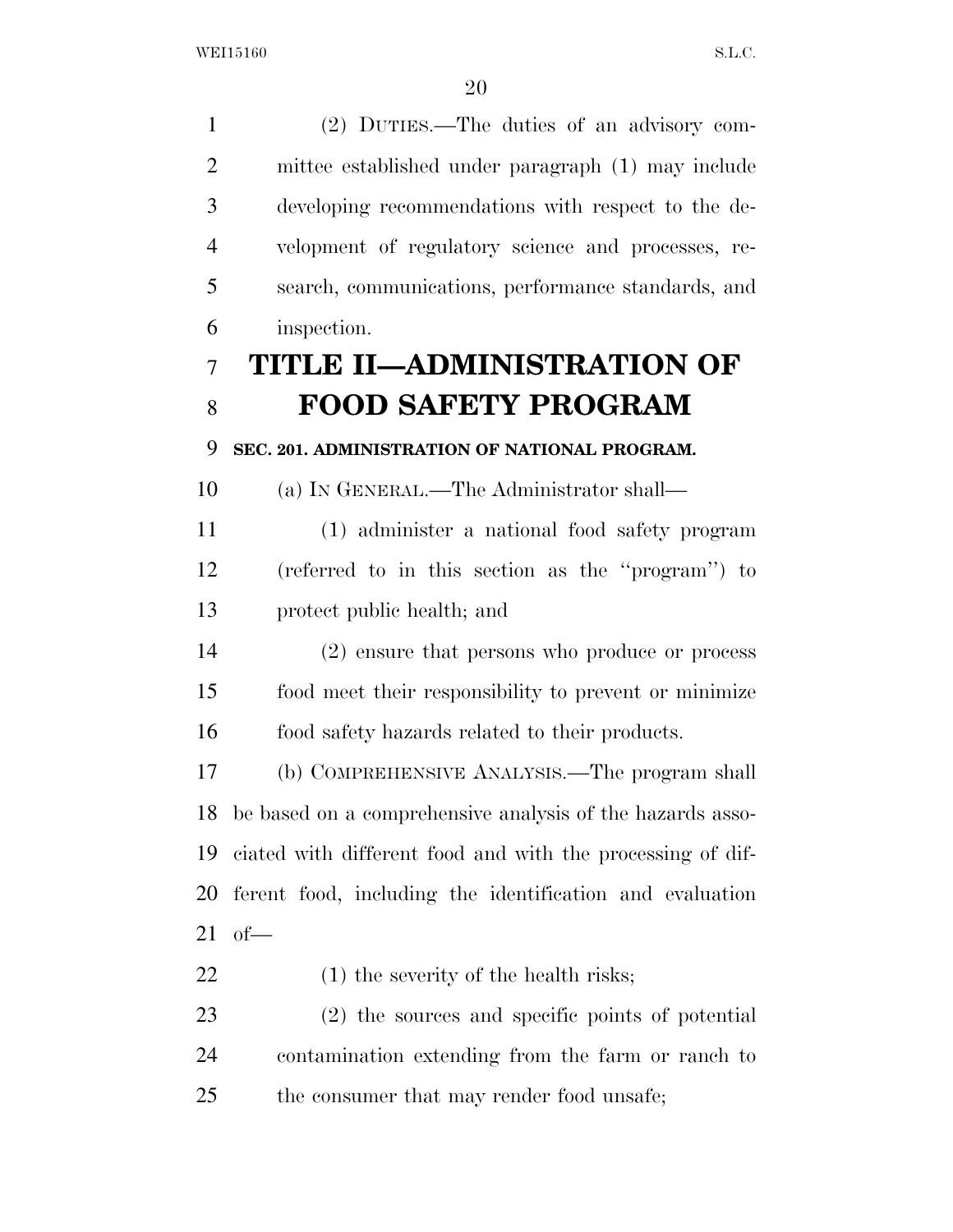(2) DUTIES.—The duties of an advisory com- mittee established under paragraph (1) may include developing recommendations with respect to the de- velopment of regulatory science and processes, re- search, communications, performance standards, and inspection. **TITLE II—ADMINISTRATION OF FOOD SAFETY PROGRAM SEC. 201. ADMINISTRATION OF NATIONAL PROGRAM.**  (a) IN GENERAL.—The Administrator shall— (1) administer a national food safety program (referred to in this section as the ''program'') to protect public health; and (2) ensure that persons who produce or process food meet their responsibility to prevent or minimize food safety hazards related to their products. (b) COMPREHENSIVE ANALYSIS.—The program shall be based on a comprehensive analysis of the hazards asso- ciated with different food and with the processing of dif- ferent food, including the identification and evaluation of— 22 (1) the severity of the health risks; (2) the sources and specific points of potential contamination extending from the farm or ranch to 25 the consumer that may render food unsafe;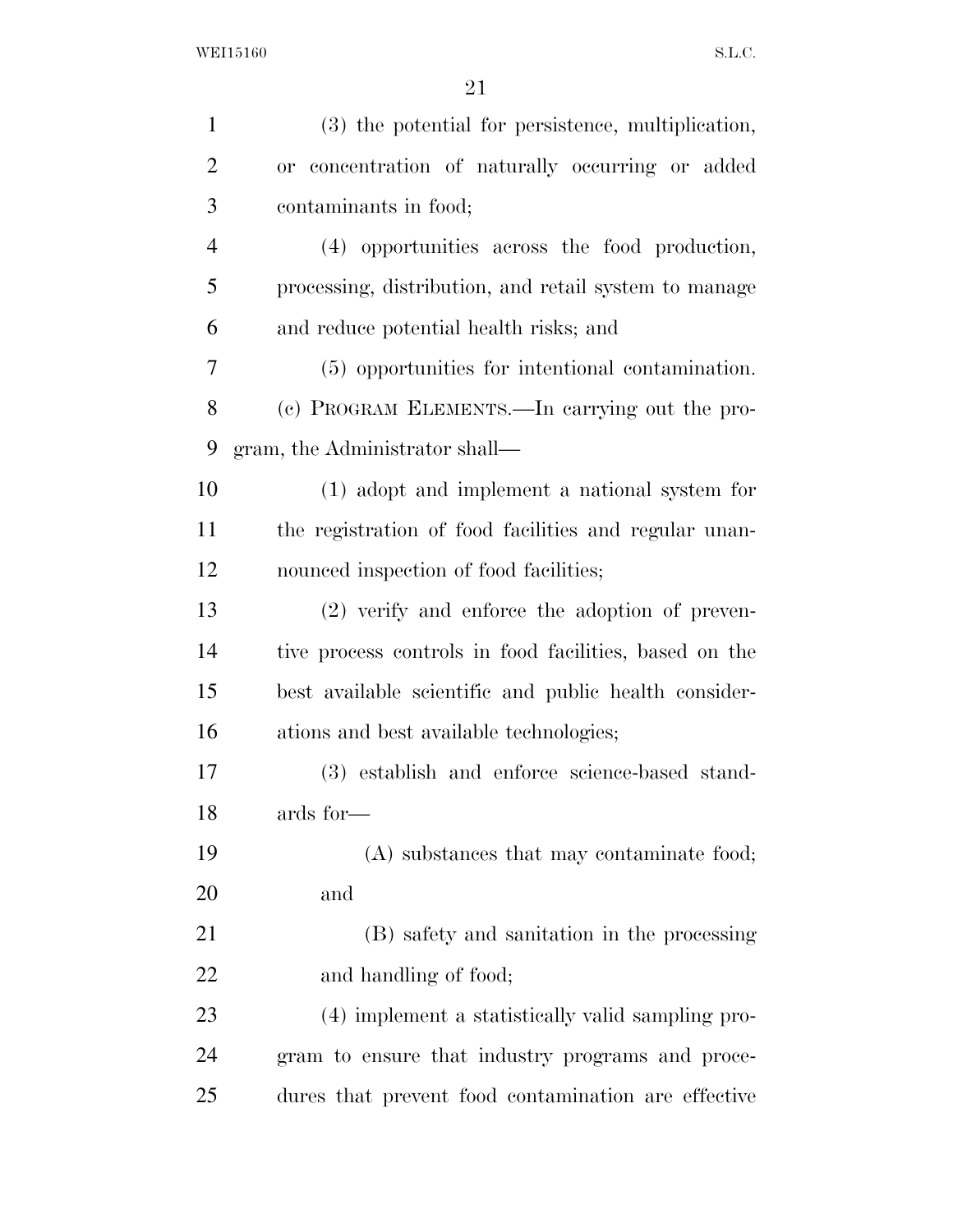| $\mathbf{1}$   | (3) the potential for persistence, multiplication,     |
|----------------|--------------------------------------------------------|
| $\overline{2}$ | or concentration of naturally occurring or added       |
| 3              | contaminants in food;                                  |
| $\overline{4}$ | (4) opportunities across the food production,          |
| 5              | processing, distribution, and retail system to manage  |
| 6              | and reduce potential health risks; and                 |
| 7              | (5) opportunities for intentional contamination.       |
| 8              | (c) PROGRAM ELEMENTS.—In carrying out the pro-         |
| 9              | gram, the Administrator shall—                         |
| 10             | (1) adopt and implement a national system for          |
| 11             | the registration of food facilities and regular unan-  |
| 12             | nounced inspection of food facilities;                 |
| 13             | $(2)$ verify and enforce the adoption of preven-       |
| 14             | tive process controls in food facilities, based on the |
| 15             | best available scientific and public health consider-  |
| 16             | ations and best available technologies;                |
| 17             | (3) establish and enforce science-based stand-         |
| 18             | ards for—                                              |
| 19             | (A) substances that may contaminate food;              |
| 20             | and                                                    |
| 21             | (B) safety and sanitation in the processing            |
| 22             | and handling of food;                                  |
| 23             | (4) implement a statistically valid sampling pro-      |
| 24             | gram to ensure that industry programs and proce-       |
| 25             | dures that prevent food contamination are effective    |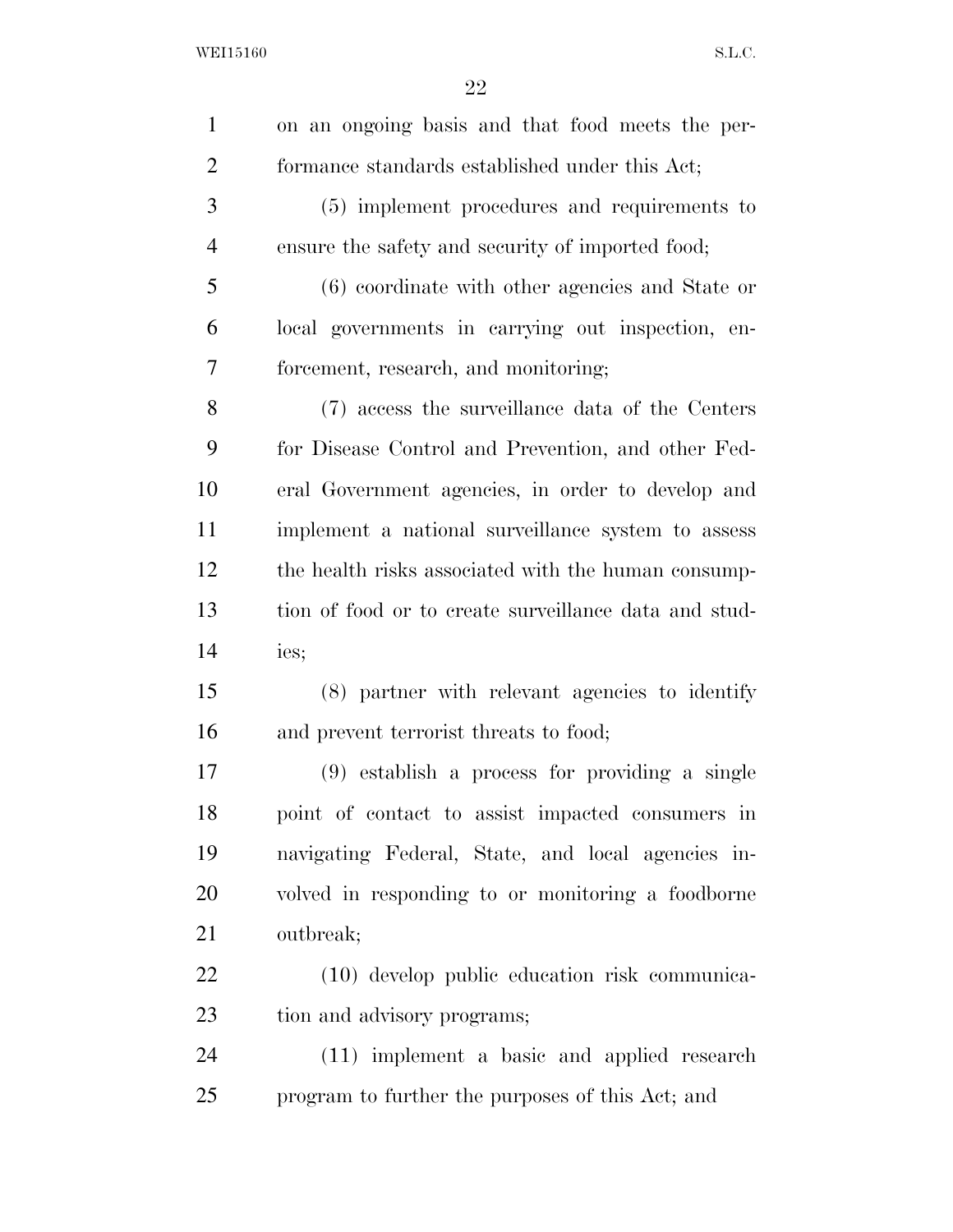| $\mathbf{1}$   | on an ongoing basis and that food meets the per-      |
|----------------|-------------------------------------------------------|
| $\overline{c}$ | formance standards established under this Act;        |
| 3              | (5) implement procedures and requirements to          |
| $\overline{4}$ | ensure the safety and security of imported food;      |
| 5              | (6) coordinate with other agencies and State or       |
| 6              | local governments in carrying out inspection, en-     |
| 7              | forcement, research, and monitoring;                  |
| 8              | (7) access the surveillance data of the Centers       |
| 9              | for Disease Control and Prevention, and other Fed-    |
| 10             | eral Government agencies, in order to develop and     |
| 11             | implement a national surveillance system to assess    |
| 12             | the health risks associated with the human consump-   |
| 13             | tion of food or to create surveillance data and stud- |
| 14             | ies;                                                  |
| 15             | (8) partner with relevant agencies to identify        |
| 16             | and prevent terrorist threats to food;                |
| 17             | $(9)$ establish a process for providing a single      |
| 18             | point of contact to assist impacted consumers in      |
| 19             | navigating Federal, State, and local agencies in-     |
| 20             | volved in responding to or monitoring a foodborne     |
| 21             | outbreak;                                             |
| 22             | (10) develop public education risk communica-         |
| 23             | tion and advisory programs;                           |
| 24             | (11) implement a basic and applied research           |
| 25             | program to further the purposes of this Act; and      |
|                |                                                       |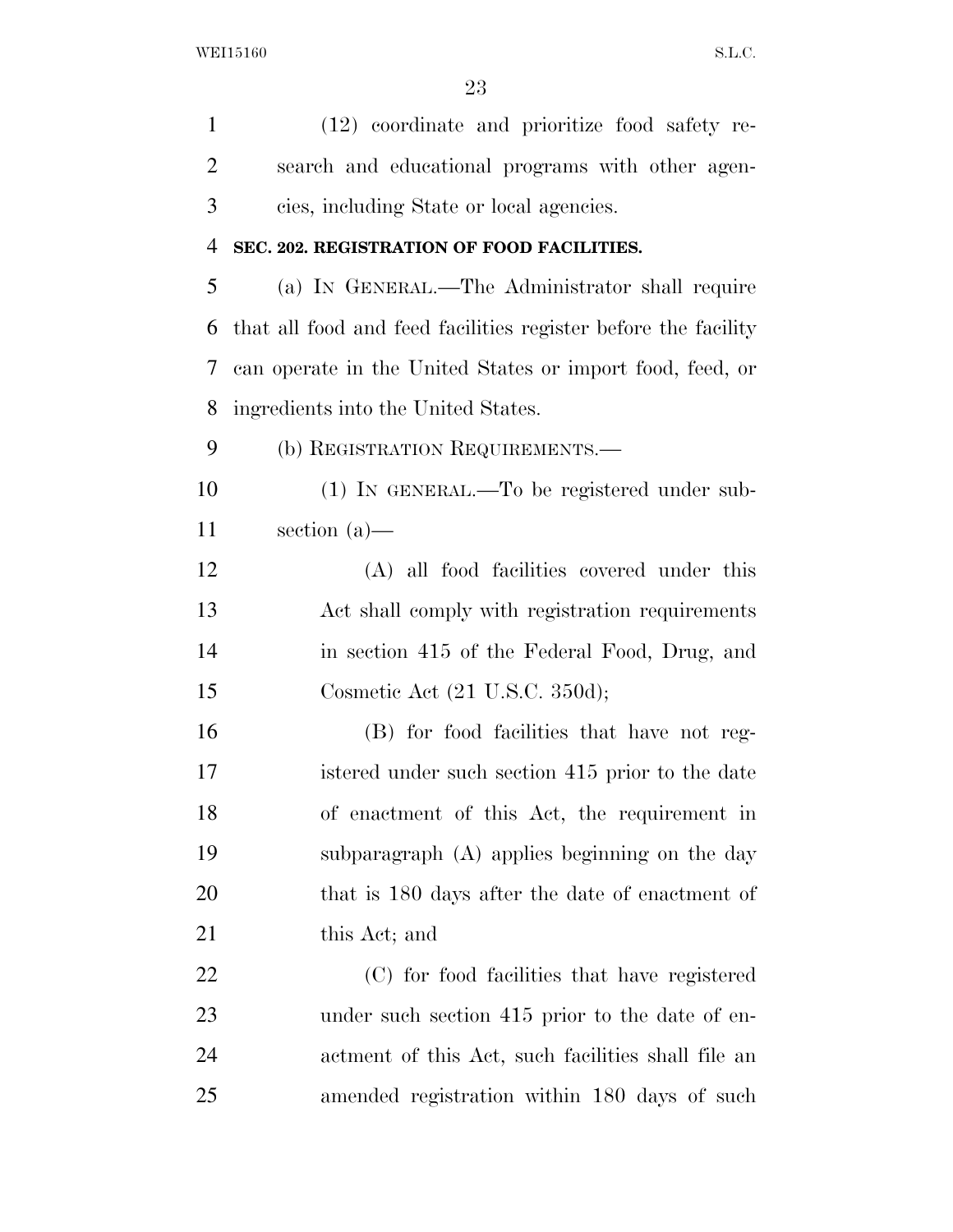| $\mathbf{1}$   | (12) coordinate and prioritize food safety re-                 |
|----------------|----------------------------------------------------------------|
| $\overline{2}$ | search and educational programs with other agen-               |
| 3              | cies, including State or local agencies.                       |
| $\overline{4}$ | SEC. 202. REGISTRATION OF FOOD FACILITIES.                     |
| 5              | (a) IN GENERAL.—The Administrator shall require                |
| 6              | that all food and feed facilities register before the facility |
| 7              | can operate in the United States or import food, feed, or      |
| 8              | ingredients into the United States.                            |
| 9              | (b) REGISTRATION REQUIREMENTS.-                                |
| 10             | (1) IN GENERAL.—To be registered under sub-                    |
| 11             | section $(a)$ —                                                |
| 12             | (A) all food facilities covered under this                     |
| 13             | Act shall comply with registration requirements                |
| 14             | in section 415 of the Federal Food, Drug, and                  |
| 15             | Cosmetic Act $(21 \text{ U.S.C. } 350d)$ ;                     |
| 16             | (B) for food facilities that have not reg-                     |
| 17             | istered under such section 415 prior to the date               |
| 18             | of enactment of this Act, the requirement in                   |
| 19             | subparagraph (A) applies beginning on the day                  |
| 20             | that is 180 days after the date of enactment of                |
| 21             | this Act; and                                                  |
| 22             | (C) for food facilities that have registered                   |
| 23             | under such section 415 prior to the date of en-                |
| 24             | actment of this Act, such facilities shall file an             |
| 25             | amended registration within 180 days of such                   |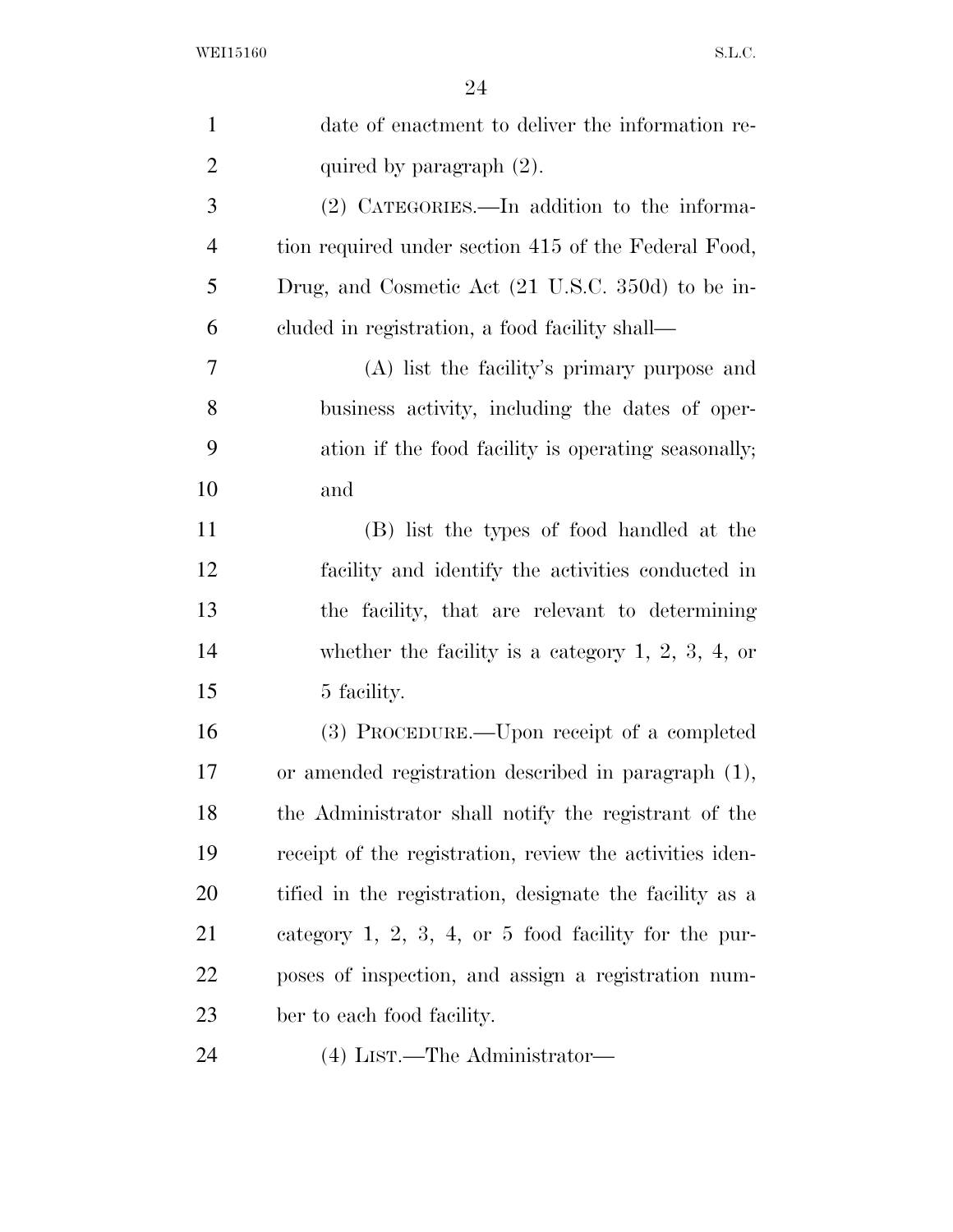| $\mathbf{1}$   | date of enactment to deliver the information re-         |
|----------------|----------------------------------------------------------|
| $\overline{2}$ | quired by paragraph $(2)$ .                              |
| 3              | (2) CATEGORIES.—In addition to the informa-              |
| 4              | tion required under section 415 of the Federal Food,     |
| 5              | Drug, and Cosmetic Act (21 U.S.C. 350d) to be in-        |
| 6              | cluded in registration, a food facility shall—           |
| 7              | (A) list the facility's primary purpose and              |
| 8              | business activity, including the dates of oper-          |
| 9              | ation if the food facility is operating seasonally;      |
| 10             | and                                                      |
| 11             | (B) list the types of food handled at the                |
| 12             | facility and identify the activities conducted in        |
| 13             | the facility, that are relevant to determining           |
| 14             | whether the facility is a category $1, 2, 3, 4$ , or     |
| 15             | 5 facility.                                              |
| 16             | (3) PROCEDURE.—Upon receipt of a completed               |
| 17             | or amended registration described in paragraph (1),      |
| 18             | the Administrator shall notify the registrant of the     |
| 19             | receipt of the registration, review the activities iden- |
| 20             | tified in the registration, designate the facility as a  |
| 21             | category $1, 2, 3, 4,$ or 5 food facility for the pur-   |
| <u>22</u>      | poses of inspection, and assign a registration num-      |
| 23             | ber to each food facility.                               |
| 24             | (4) LIST.—The Administrator—                             |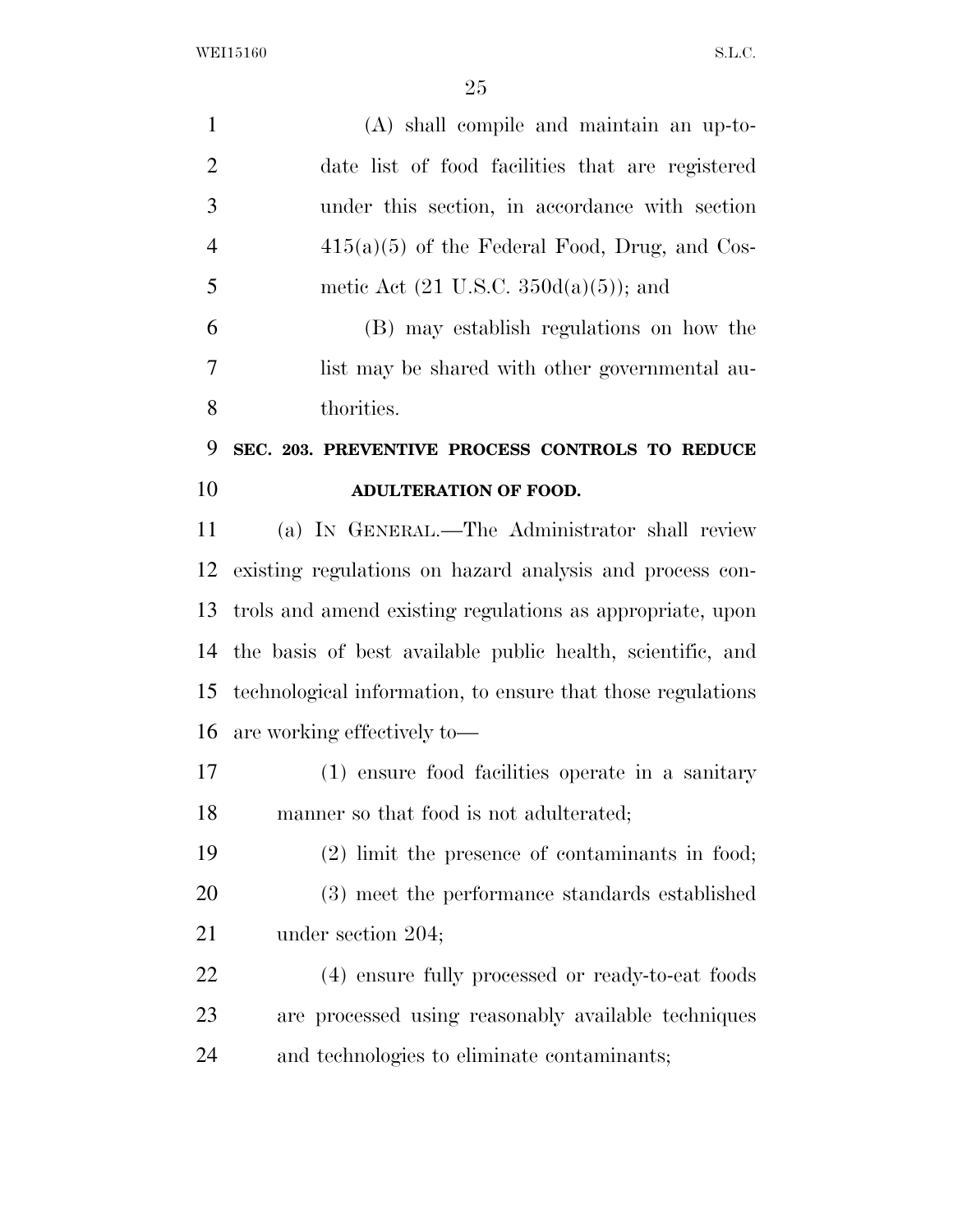WEI15160 S.L.C.

| $\mathbf{1}$   | (A) shall compile and maintain an up-to-                    |
|----------------|-------------------------------------------------------------|
| $\overline{2}$ | date list of food facilities that are registered            |
| 3              | under this section, in accordance with section              |
| $\overline{4}$ | $415(a)(5)$ of the Federal Food, Drug, and Cos-             |
| 5              | metic Act $(21 \text{ U.S.C. } 350d(a)(5))$ ; and           |
| 6              | (B) may establish regulations on how the                    |
| 7              | list may be shared with other governmental au-              |
| 8              | thorities.                                                  |
| 9              | SEC. 203. PREVENTIVE PROCESS CONTROLS TO REDUCE             |
| 10             | ADULTERATION OF FOOD.                                       |
| 11             | (a) IN GENERAL.—The Administrator shall review              |
| 12             | existing regulations on hazard analysis and process con-    |
| 13             | trols and amend existing regulations as appropriate, upon   |
| 14             | the basis of best available public health, scientific, and  |
| 15             | technological information, to ensure that those regulations |
|                | 16 are working effectively to-                              |
| 17             | (1) ensure food facilities operate in a sanitary            |
| 18             | manner so that food is not adulterated;                     |
| 19             | $(2)$ limit the presence of contaminants in food;           |
| 20             | (3) meet the performance standards established              |
| 21             | under section 204;                                          |
| 22             | (4) ensure fully processed or ready-to-eat foods            |
| 23             | are processed using reasonably available techniques         |
| 24             | and technologies to eliminate contaminants;                 |
|                |                                                             |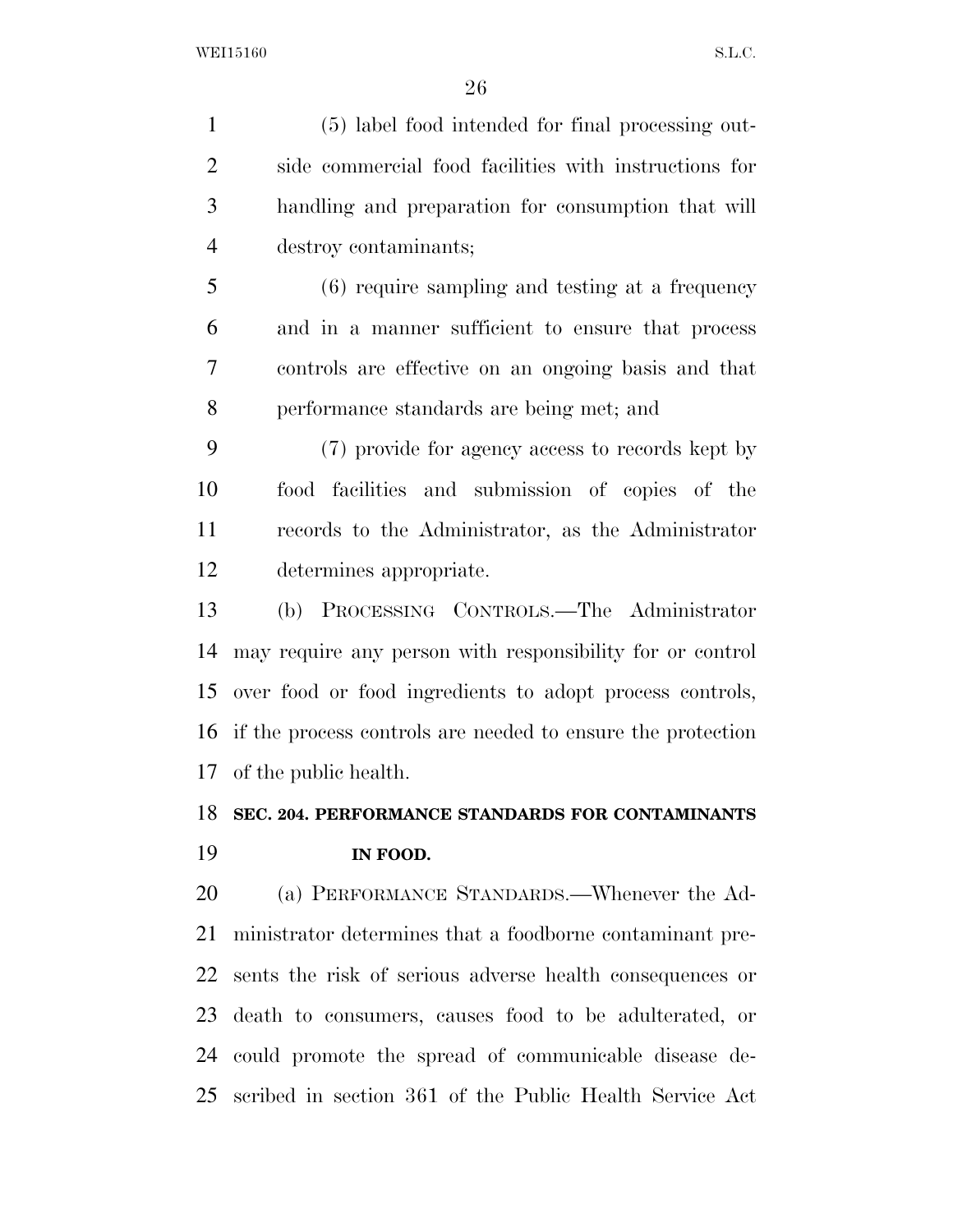(5) label food intended for final processing out- side commercial food facilities with instructions for handling and preparation for consumption that will destroy contaminants;

 (6) require sampling and testing at a frequency and in a manner sufficient to ensure that process controls are effective on an ongoing basis and that performance standards are being met; and

 (7) provide for agency access to records kept by food facilities and submission of copies of the records to the Administrator, as the Administrator determines appropriate.

 (b) PROCESSING CONTROLS.—The Administrator may require any person with responsibility for or control over food or food ingredients to adopt process controls, if the process controls are needed to ensure the protection of the public health.

# **SEC. 204. PERFORMANCE STANDARDS FOR CONTAMINANTS IN FOOD.**

 (a) PERFORMANCE STANDARDS.—Whenever the Ad- ministrator determines that a foodborne contaminant pre- sents the risk of serious adverse health consequences or death to consumers, causes food to be adulterated, or could promote the spread of communicable disease de-scribed in section 361 of the Public Health Service Act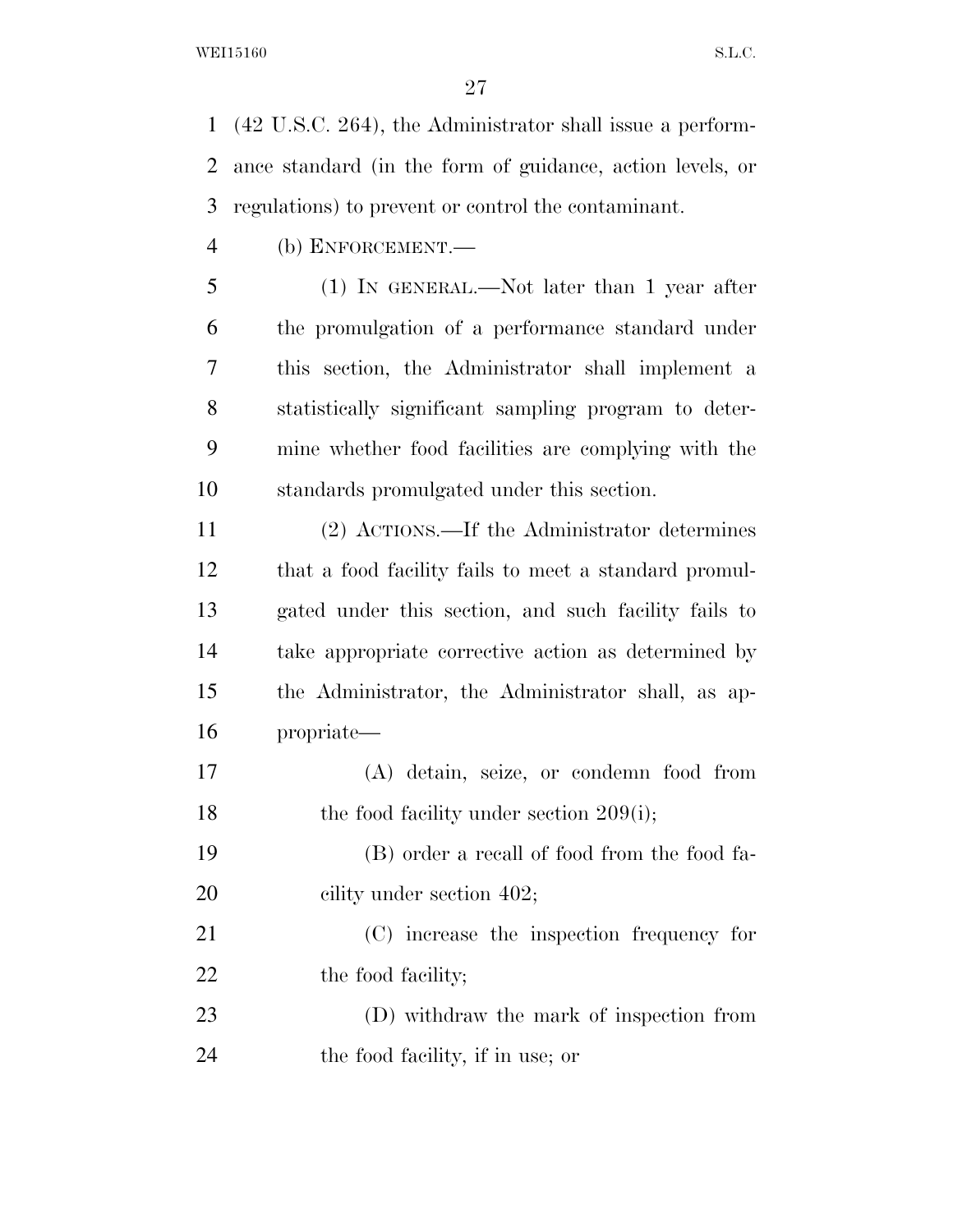(42 U.S.C. 264), the Administrator shall issue a perform- ance standard (in the form of guidance, action levels, or regulations) to prevent or control the contaminant.

(b) ENFORCEMENT.—

 (1) IN GENERAL.—Not later than 1 year after the promulgation of a performance standard under this section, the Administrator shall implement a statistically significant sampling program to deter- mine whether food facilities are complying with the standards promulgated under this section.

 (2) ACTIONS.—If the Administrator determines that a food facility fails to meet a standard promul- gated under this section, and such facility fails to take appropriate corrective action as determined by the Administrator, the Administrator shall, as ap-propriate—

 (A) detain, seize, or condemn food from 18 the food facility under section 209(i);

 (B) order a recall of food from the food fa-20 cility under section 402;

 (C) increase the inspection frequency for 22 the food facility;

 (D) withdraw the mark of inspection from the food facility, if in use; or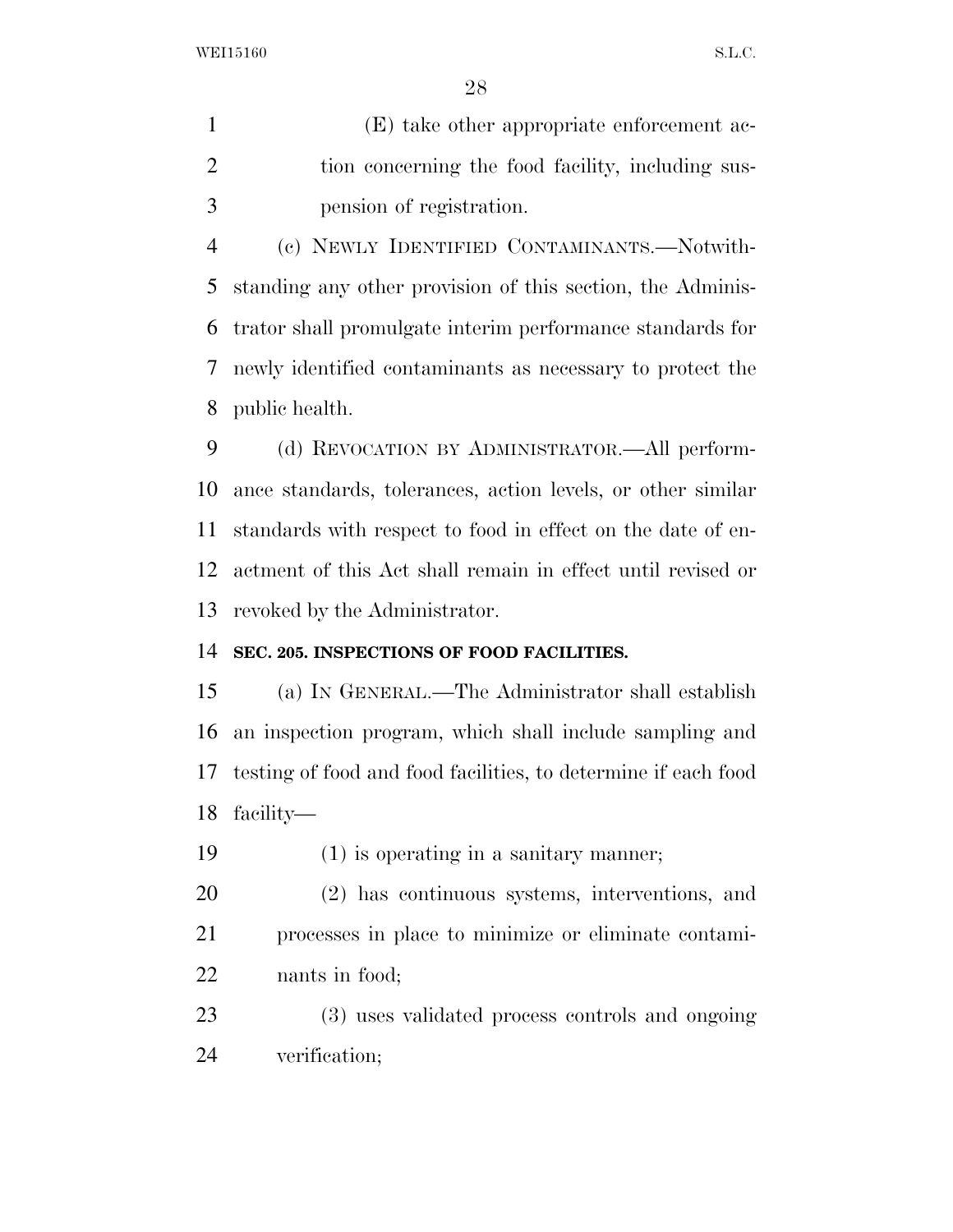WEI15160 S.L.C.

 (E) take other appropriate enforcement ac-2 tion concerning the food facility, including sus-pension of registration.

 (c) NEWLY IDENTIFIED CONTAMINANTS.—Notwith- standing any other provision of this section, the Adminis- trator shall promulgate interim performance standards for newly identified contaminants as necessary to protect the public health.

 (d) REVOCATION BY ADMINISTRATOR.—All perform- ance standards, tolerances, action levels, or other similar standards with respect to food in effect on the date of en- actment of this Act shall remain in effect until revised or revoked by the Administrator.

# **SEC. 205. INSPECTIONS OF FOOD FACILITIES.**

 (a) IN GENERAL.—The Administrator shall establish an inspection program, which shall include sampling and testing of food and food facilities, to determine if each food facility—

(1) is operating in a sanitary manner;

 (2) has continuous systems, interventions, and processes in place to minimize or eliminate contami-nants in food;

 (3) uses validated process controls and ongoing verification;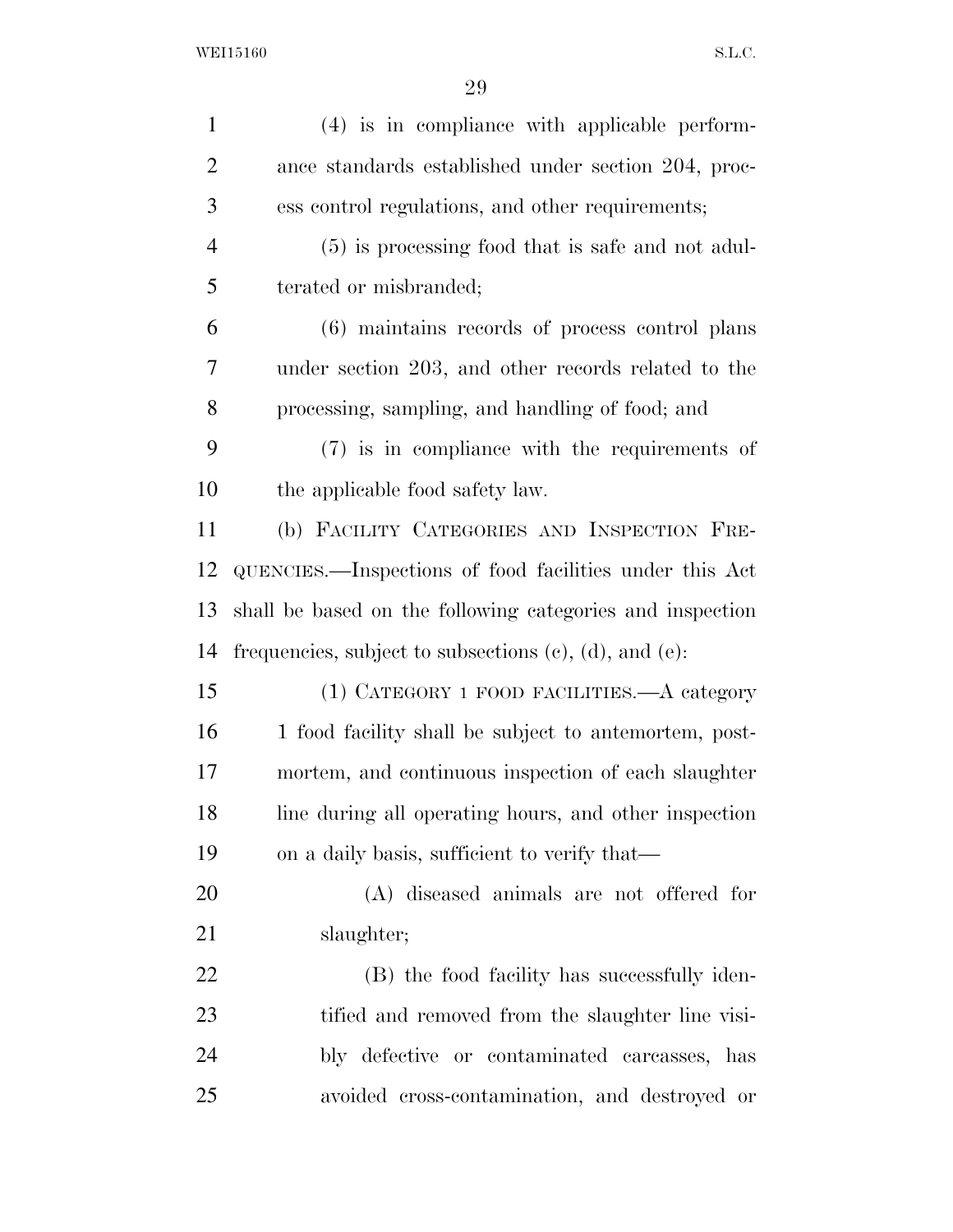| $\mathbf{1}$   | (4) is in compliance with applicable perform-                   |
|----------------|-----------------------------------------------------------------|
| $\overline{2}$ | ance standards established under section 204, proc-             |
| 3              | ess control regulations, and other requirements;                |
| $\overline{4}$ | (5) is processing food that is safe and not adul-               |
| 5              | terated or misbranded;                                          |
| 6              | (6) maintains records of process control plans                  |
| 7              | under section 203, and other records related to the             |
| 8              | processing, sampling, and handling of food; and                 |
| 9              | $(7)$ is in compliance with the requirements of                 |
| 10             | the applicable food safety law.                                 |
| 11             | (b) FACILITY CATEGORIES AND INSPECTION FRE-                     |
| 12             | QUENCIES.—Inspections of food facilities under this Act         |
| 13             | shall be based on the following categories and inspection       |
| 14             | frequencies, subject to subsections $(c)$ , $(d)$ , and $(e)$ : |
| 15             | (1) CATEGORY 1 FOOD FACILITIES.—A category                      |
| 16             | 1 food facility shall be subject to antemortem, post-           |
| 17             | mortem, and continuous inspection of each slaughter             |
| 18             | line during all operating hours, and other inspection           |
| 19             | on a daily basis, sufficient to verify that—                    |
| 20             | (A) diseased animals are not offered for                        |
| 21             | slaughter;                                                      |
| 22             | (B) the food facility has successfully iden-                    |
| 23             | tified and removed from the slaughter line visi-                |
| 24             | bly defective or contaminated carcasses, has                    |
| 25             | avoided cross-contamination, and destroyed or                   |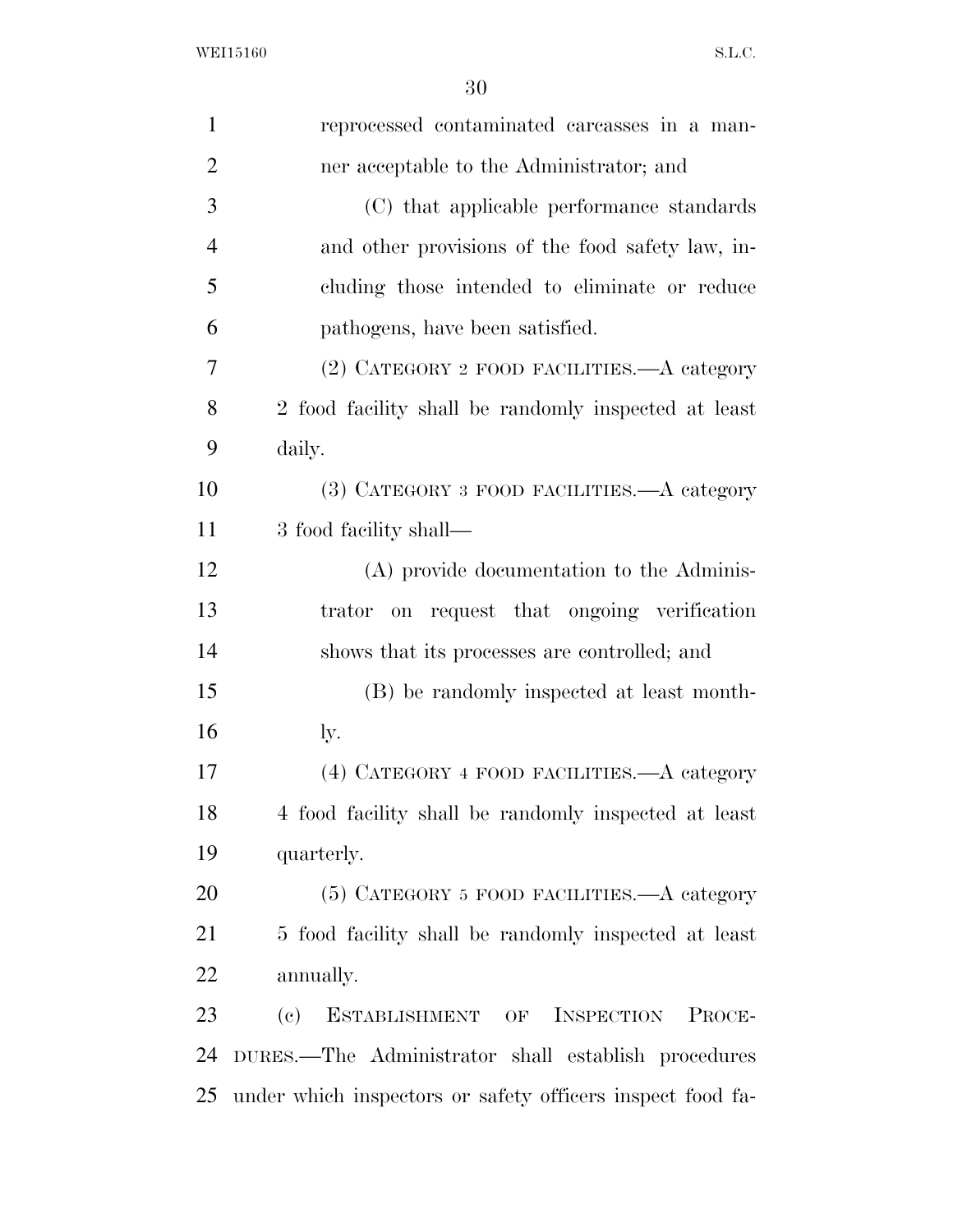| $\mathbf{1}$   | reprocessed contaminated carcasses in a man-               |
|----------------|------------------------------------------------------------|
| $\overline{2}$ | ner acceptable to the Administrator; and                   |
| 3              | (C) that applicable performance standards                  |
| $\overline{4}$ | and other provisions of the food safety law, in-           |
| 5              | cluding those intended to eliminate or reduce              |
| 6              | pathogens, have been satisfied.                            |
| 7              | (2) CATEGORY 2 FOOD FACILITIES.—A category                 |
| 8              | 2 food facility shall be randomly inspected at least       |
| 9              | daily.                                                     |
| 10             | (3) CATEGORY 3 FOOD FACILITIES.—A category                 |
| 11             | 3 food facility shall—                                     |
| 12             | (A) provide documentation to the Adminis-                  |
| 13             | on request that ongoing verification<br>trator             |
| 14             | shows that its processes are controlled; and               |
| 15             | (B) be randomly inspected at least month-                  |
| 16             | ly.                                                        |
| 17             | (4) CATEGORY 4 FOOD FACILITIES.—A category                 |
| 18             | 4 food facility shall be randomly inspected at least       |
| 19             | quarterly.                                                 |
| 20             | (5) CATEGORY 5 FOOD FACILITIES. A category                 |
| 21             | 5 food facility shall be randomly inspected at least       |
| 22             | annually.                                                  |
| 23             | ESTABLISHMENT OF INSPECTION<br>PROCE-<br>(e)               |
| 24             | DURES.—The Administrator shall establish procedures        |
| 25             | under which inspectors or safety officers inspect food fa- |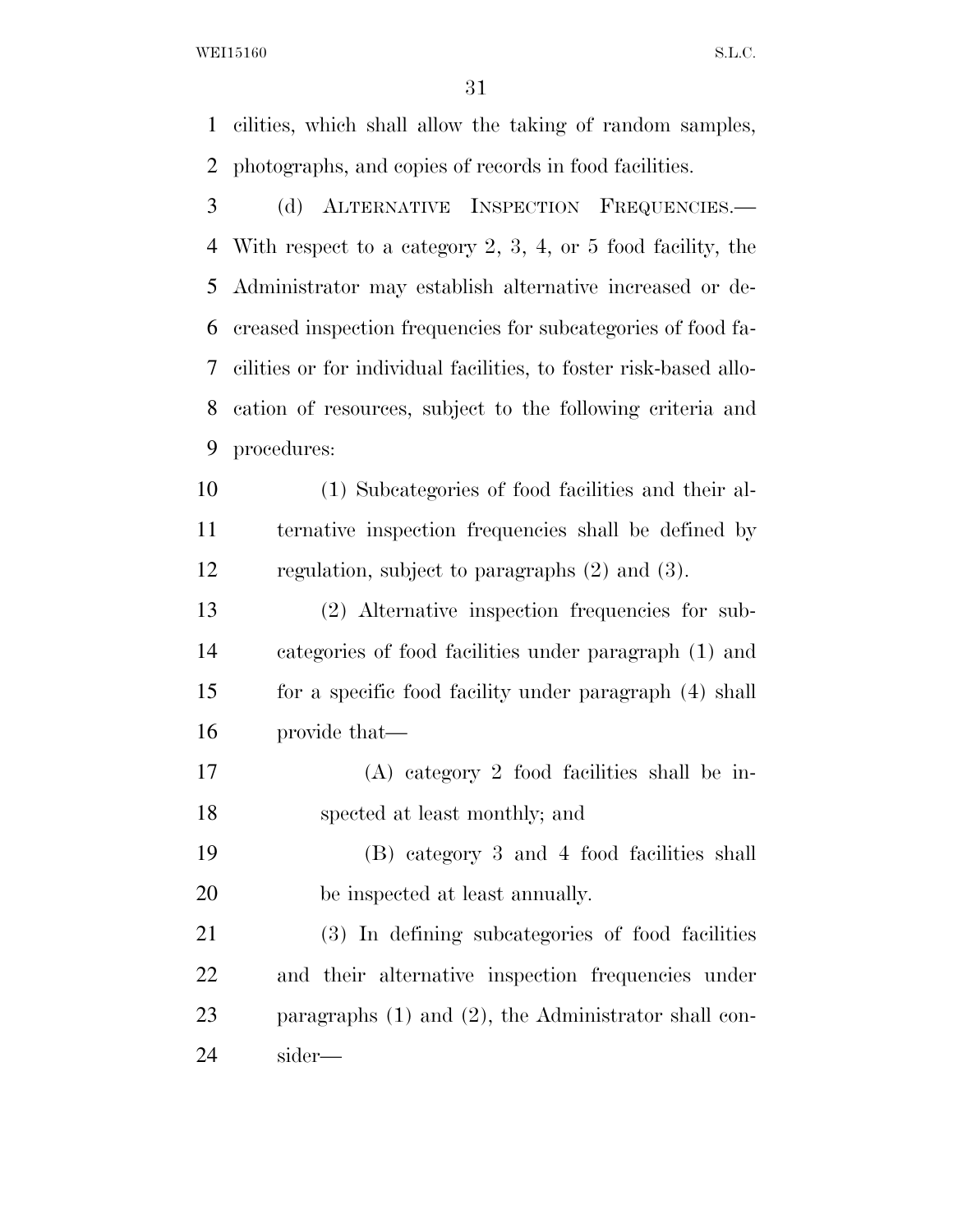WEI15160 S.L.C.

 cilities, which shall allow the taking of random samples, photographs, and copies of records in food facilities. (d) ALTERNATIVE INSPECTION FREQUENCIES.— With respect to a category 2, 3, 4, or 5 food facility, the Administrator may establish alternative increased or de- creased inspection frequencies for subcategories of food fa- cilities or for individual facilities, to foster risk-based allo- cation of resources, subject to the following criteria and procedures: (1) Subcategories of food facilities and their al- ternative inspection frequencies shall be defined by regulation, subject to paragraphs (2) and (3). (2) Alternative inspection frequencies for sub- categories of food facilities under paragraph (1) and for a specific food facility under paragraph (4) shall provide that— (A) category 2 food facilities shall be in-

- spected at least monthly; and
- (B) category 3 and 4 food facilities shall be inspected at least annually.

 (3) In defining subcategories of food facilities and their alternative inspection frequencies under paragraphs (1) and (2), the Administrator shall con-sider—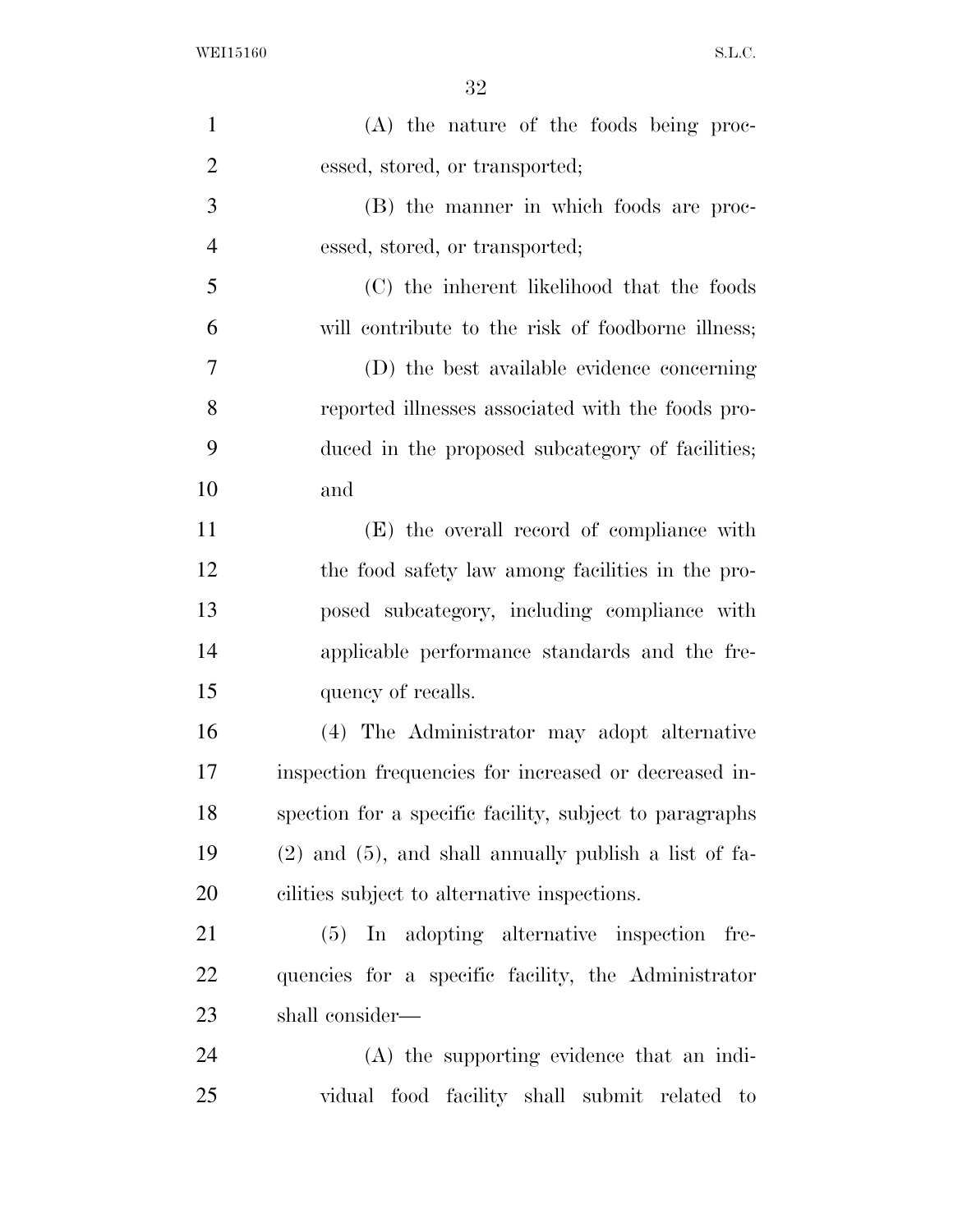| $\mathbf{1}$   | (A) the nature of the foods being proc-                    |
|----------------|------------------------------------------------------------|
| $\overline{2}$ | essed, stored, or transported;                             |
| 3              | (B) the manner in which foods are proc-                    |
| $\overline{4}$ | essed, stored, or transported;                             |
| 5              | (C) the inherent likelihood that the foods                 |
| 6              | will contribute to the risk of foodborne illness;          |
| 7              | (D) the best available evidence concerning                 |
| 8              | reported illnesses associated with the foods pro-          |
| 9              | duced in the proposed subcategory of facilities;           |
| 10             | and                                                        |
| 11             | (E) the overall record of compliance with                  |
| 12             | the food safety law among facilities in the pro-           |
| 13             | posed subcategory, including compliance with               |
| 14             | applicable performance standards and the fre-              |
| 15             | quency of recalls.                                         |
| 16             | (4) The Administrator may adopt alternative                |
| 17             | inspection frequencies for increased or decreased in-      |
| 18             | spection for a specific facility, subject to paragraphs    |
| 19             | $(2)$ and $(5)$ , and shall annually publish a list of fa- |
| 20             | cilities subject to alternative inspections.               |
| 21             | In adopting alternative inspection<br>(5)<br>fre-          |
| 22             | quencies for a specific facility, the Administrator        |
| 23             | shall consider—                                            |
| 24             | (A) the supporting evidence that an indi-                  |
| 25             | vidual food facility shall submit related to               |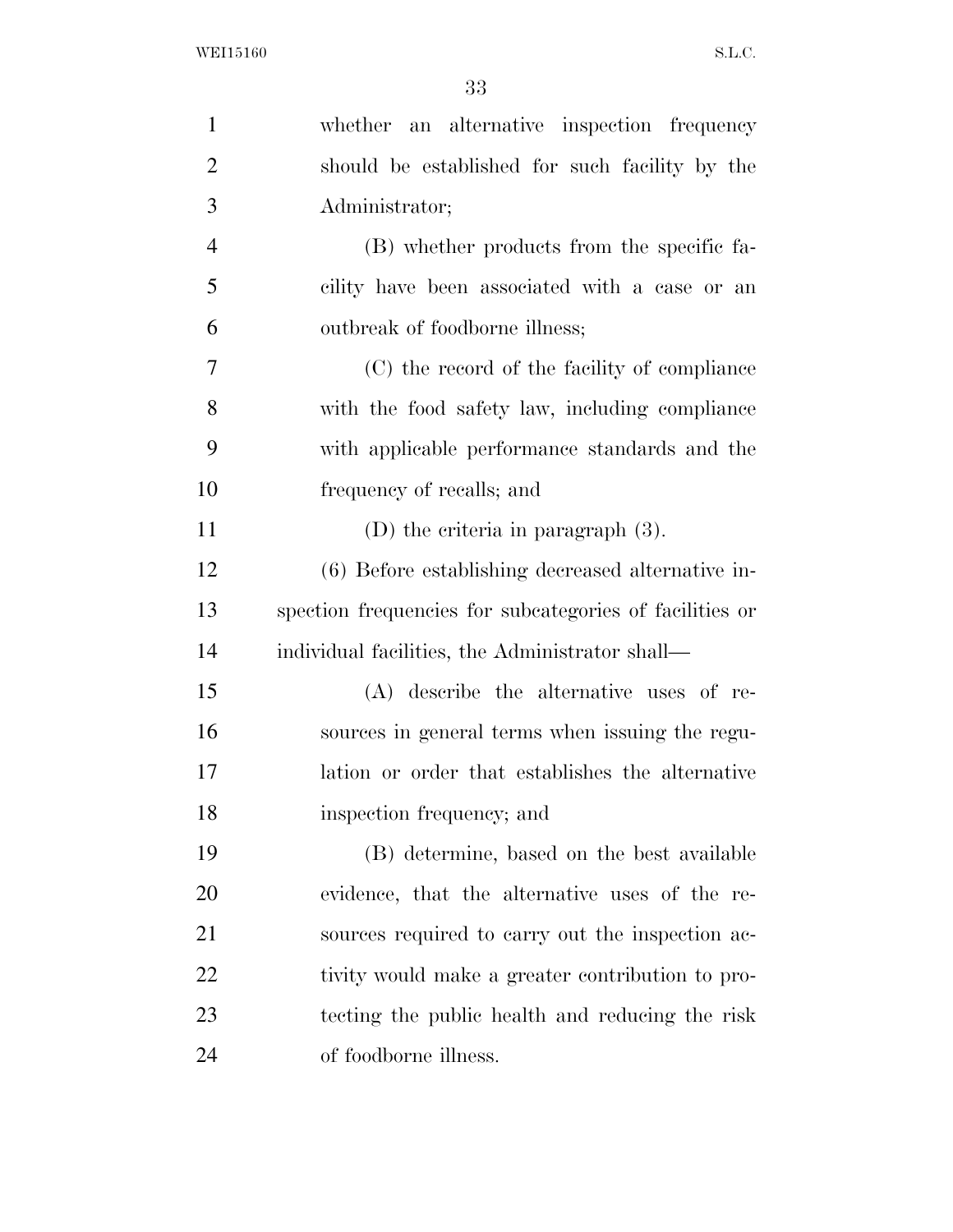| $\mathbf{1}$   | whether an alternative inspection frequency             |
|----------------|---------------------------------------------------------|
| $\overline{2}$ | should be established for such facility by the          |
| 3              | Administrator;                                          |
| $\overline{4}$ | (B) whether products from the specific fa-              |
| 5              | cility have been associated with a case or an           |
| 6              | outbreak of foodborne illness;                          |
| 7              | (C) the record of the facility of compliance            |
| 8              | with the food safety law, including compliance          |
| 9              | with applicable performance standards and the           |
| 10             | frequency of recalls; and                               |
| 11             | $(D)$ the criteria in paragraph $(3)$ .                 |
| 12             | (6) Before establishing decreased alternative in-       |
| 13             | spection frequencies for subcategories of facilities or |
| 14             | individual facilities, the Administrator shall—         |
| 15             | (A) describe the alternative uses of re-                |
| 16             | sources in general terms when issuing the regu-         |
| 17             | lation or order that establishes the alternative        |
| 18             | inspection frequency; and                               |
| 19             | (B) determine, based on the best available              |
| 20             | evidence, that the alternative uses of the re-          |
| 21             | sources required to carry out the inspection ac-        |
| 22             | tivity would make a greater contribution to pro-        |
| 23             | tecting the public health and reducing the risk         |
| 24             | of foodborne illness.                                   |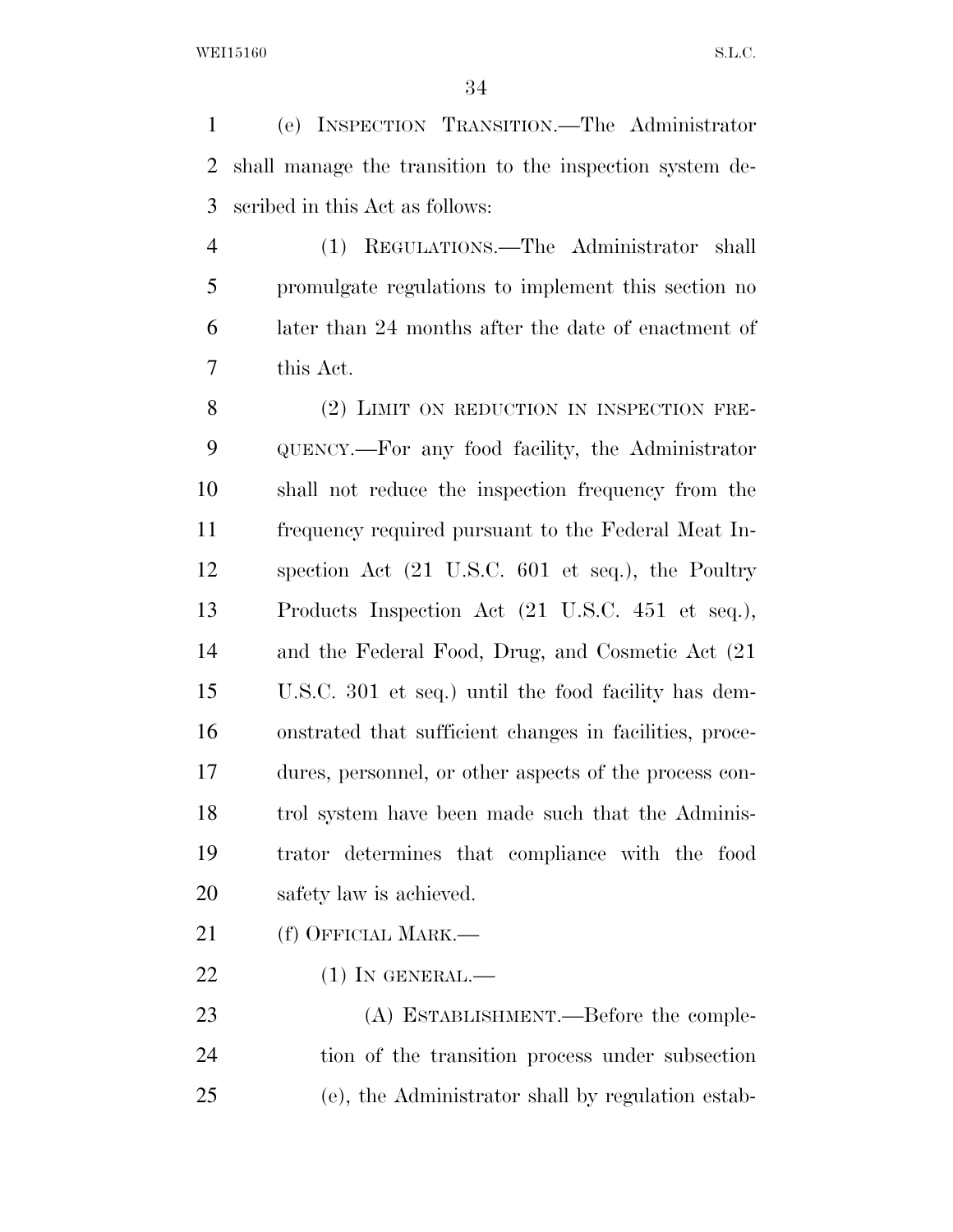(e) INSPECTION TRANSITION.—The Administrator shall manage the transition to the inspection system de-scribed in this Act as follows:

 (1) REGULATIONS.—The Administrator shall promulgate regulations to implement this section no later than 24 months after the date of enactment of this Act.

8 (2) LIMIT ON REDUCTION IN INSPECTION FRE- QUENCY.—For any food facility, the Administrator shall not reduce the inspection frequency from the frequency required pursuant to the Federal Meat In- spection Act (21 U.S.C. 601 et seq.), the Poultry Products Inspection Act (21 U.S.C. 451 et seq.), and the Federal Food, Drug, and Cosmetic Act (21 U.S.C. 301 et seq.) until the food facility has dem- onstrated that sufficient changes in facilities, proce- dures, personnel, or other aspects of the process con- trol system have been made such that the Adminis- trator determines that compliance with the food safety law is achieved.

- 21 (f) OFFICIAL MARK.—
- 22 (1) IN GENERAL.—

23 (A) ESTABLISHMENT.—Before the comple- tion of the transition process under subsection (e), the Administrator shall by regulation estab-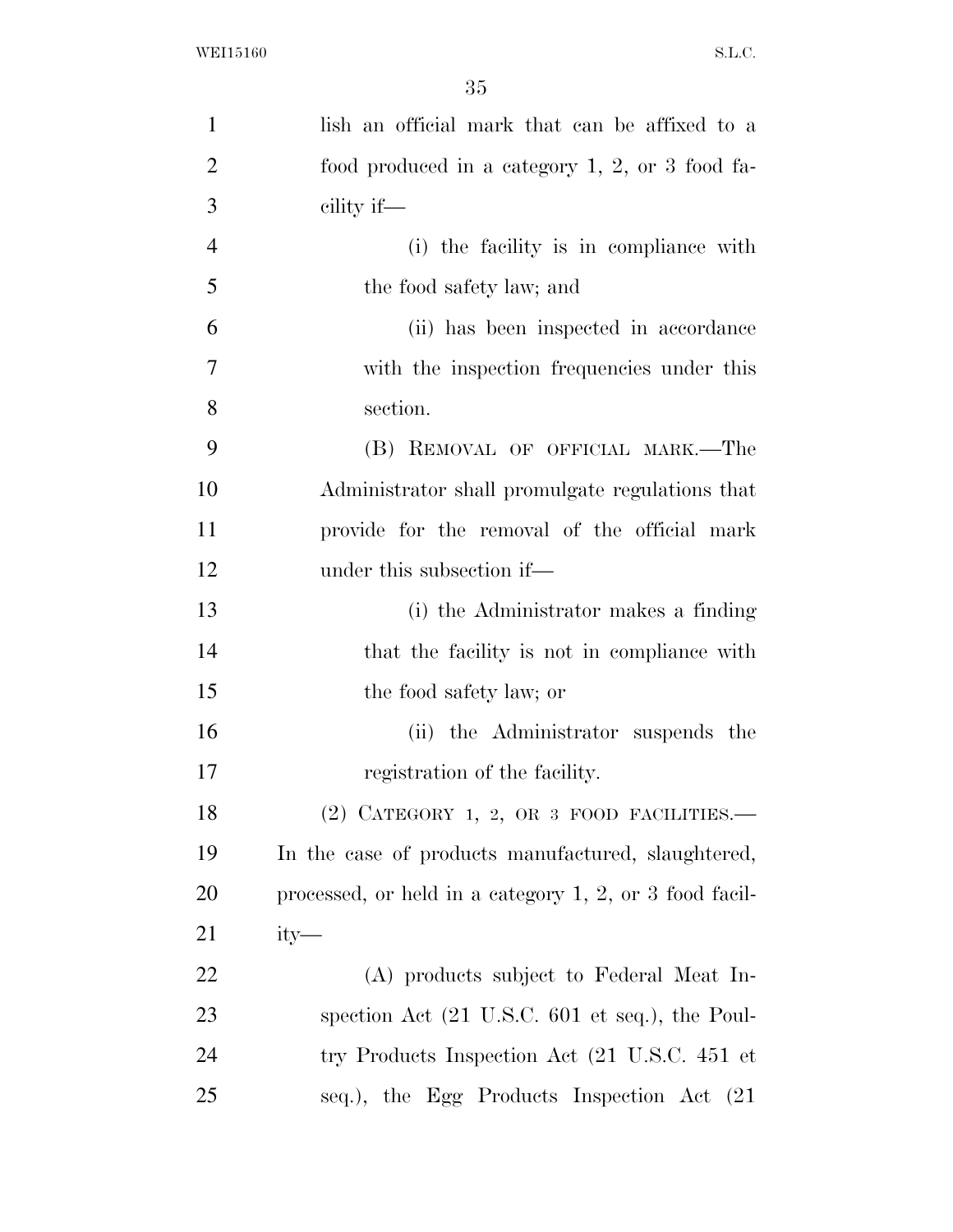| $\mathbf{1}$   | lish an official mark that can be affixed to a                      |
|----------------|---------------------------------------------------------------------|
| $\overline{2}$ | food produced in a category $1, 2,$ or 3 food fa-                   |
| 3              | cility if—                                                          |
| $\overline{4}$ | (i) the facility is in compliance with                              |
| 5              | the food safety law; and                                            |
| 6              | (ii) has been inspected in accordance                               |
| 7              | with the inspection frequencies under this                          |
| 8              | section.                                                            |
| 9              | (B) REMOVAL OF OFFICIAL MARK.—The                                   |
| 10             | Administrator shall promulgate regulations that                     |
| 11             | provide for the removal of the official mark                        |
| 12             | under this subsection if—                                           |
| 13             | (i) the Administrator makes a finding                               |
| 14             | that the facility is not in compliance with                         |
| 15             | the food safety law; or                                             |
| 16             | (ii) the Administrator suspends the                                 |
| 17             | registration of the facility.                                       |
| 18             | $(2)$ CATEGORY 1, 2, OR 3 FOOD FACILITIES.—                         |
| 19             | In the case of products manufactured, slaughtered,                  |
| 20             | processed, or held in a category $1, 2$ , or 3 food facil-          |
| 21             | $ity-$                                                              |
| 22             | (A) products subject to Federal Meat In-                            |
| 23             | spection Act $(21 \text{ U.S.C. } 601 \text{ et seq.})$ , the Poul- |
| 24             | try Products Inspection Act (21 U.S.C. 451 et                       |
| 25             | seq.), the Egg Products Inspection Act (21)                         |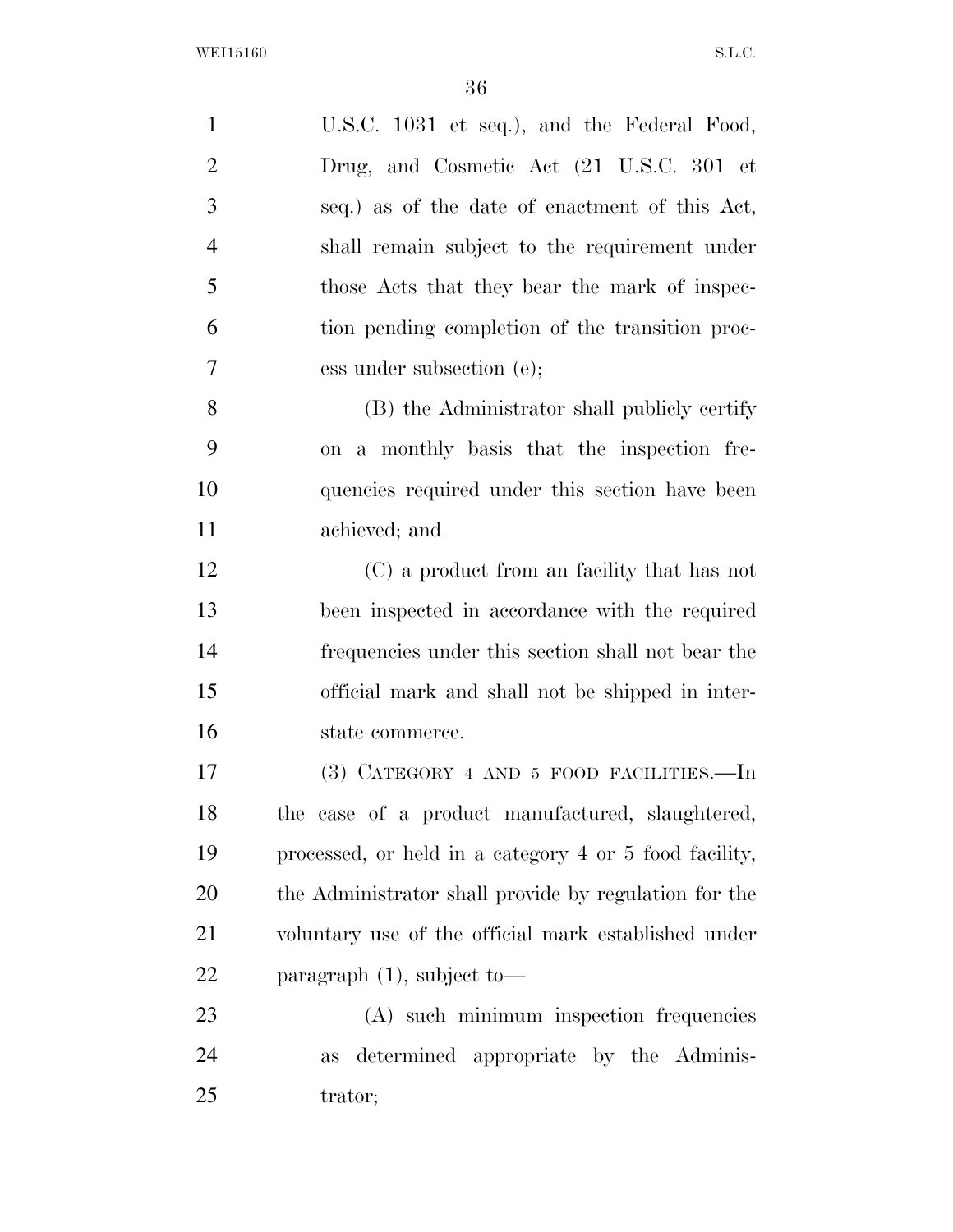| $\mathbf{1}$   | U.S.C. 1031 et seq.), and the Federal Food,            |
|----------------|--------------------------------------------------------|
| $\overline{2}$ | Drug, and Cosmetic Act (21 U.S.C. 301 et               |
| 3              | seq.) as of the date of enactment of this Act,         |
| $\overline{4}$ | shall remain subject to the requirement under          |
| 5              | those Acts that they bear the mark of inspec-          |
| 6              | tion pending completion of the transition proc-        |
| $\tau$         | ess under subsection (e);                              |
| 8              | (B) the Administrator shall publicly certify           |
| 9              | on a monthly basis that the inspection fre-            |
| 10             | quencies required under this section have been         |
| 11             | achieved; and                                          |
| 12             | (C) a product from an facility that has not            |
| 13             | been inspected in accordance with the required         |
| 14             | frequencies under this section shall not bear the      |
| 15             | official mark and shall not be shipped in inter-       |
| 16             | state commerce.                                        |
| 17             | $(3)$ CATEGORY 4 AND 5 FOOD FACILITIES.—In             |
| 18             | the case of a product manufactured, slaughtered,       |
| 19             | processed, or held in a category 4 or 5 food facility, |
| 20             | the Administrator shall provide by regulation for the  |
| 21             | voluntary use of the official mark established under   |
| 22             | paragraph $(1)$ , subject to-                          |
| 23             | (A) such minimum inspection frequencies                |
| 24             | determined appropriate by the Adminis-<br>as           |
| 25             | trator;                                                |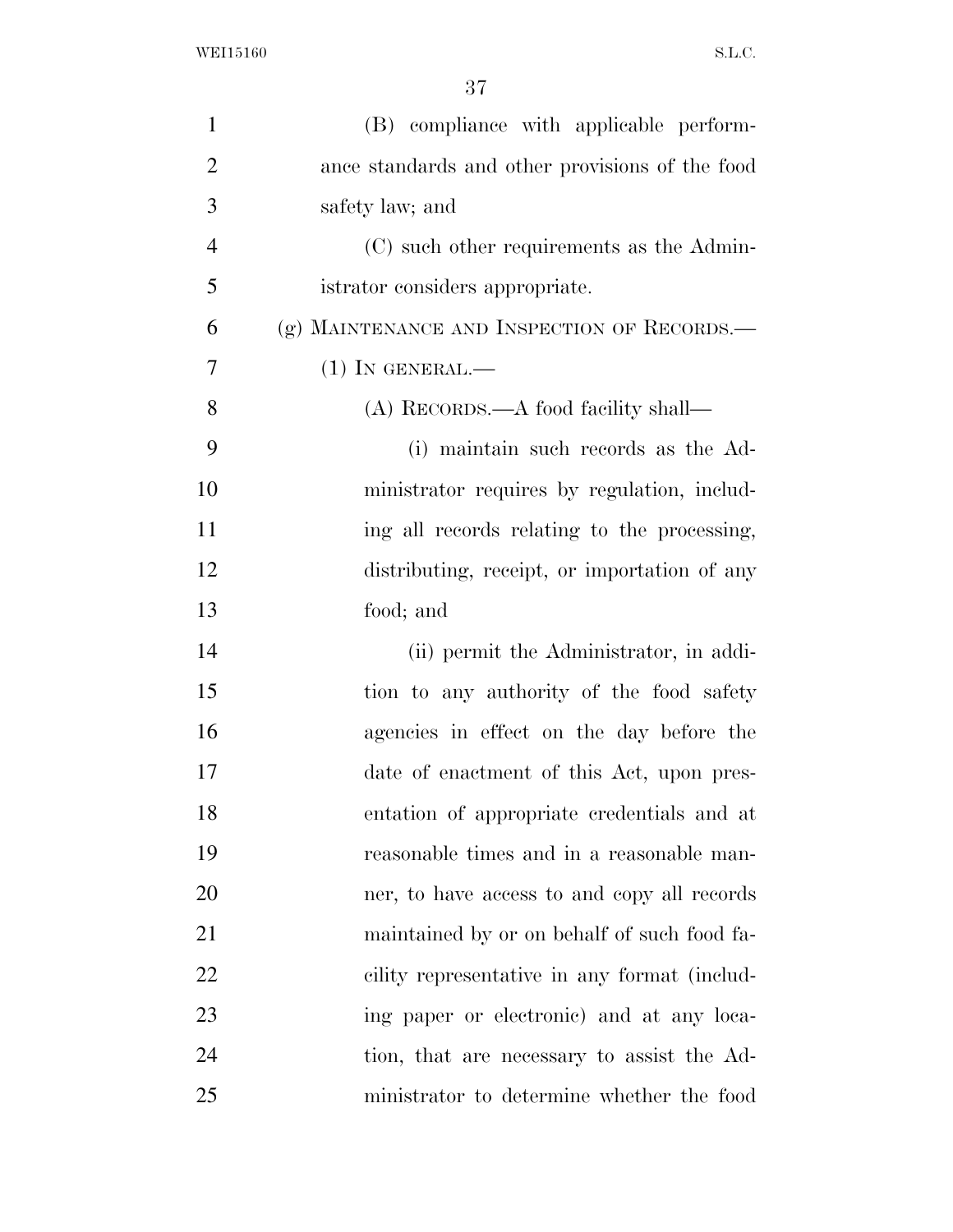| $\mathbf{1}$   | (B) compliance with applicable perform-         |
|----------------|-------------------------------------------------|
| $\overline{2}$ | ance standards and other provisions of the food |
| 3              | safety law; and                                 |
| $\overline{4}$ | (C) such other requirements as the Admin-       |
| 5              | istrator considers appropriate.                 |
| 6              | (g) MAINTENANCE AND INSPECTION OF RECORDS.—     |
| $\overline{7}$ | $(1)$ In GENERAL.—                              |
| 8              | (A) RECORDS.—A food facility shall—             |
| 9              | (i) maintain such records as the Ad-            |
| 10             | ministrator requires by regulation, includ-     |
| 11             | ing all records relating to the processing,     |
| 12             | distributing, receipt, or importation of any    |
| 13             | food; and                                       |
| 14             | (ii) permit the Administrator, in addi-         |
| 15             | tion to any authority of the food safety        |
| 16             | agencies in effect on the day before the        |
| 17             | date of enactment of this Act, upon pres-       |
| 18             | entation of appropriate credentials and at      |
| 19             | reasonable times and in a reasonable man-       |
| 20             | ner, to have access to and copy all records     |
| 21             | maintained by or on behalf of such food fa-     |
| 22             | cility representative in any format (includ-    |
| 23             | ing paper or electronic) and at any loca-       |
| 24             | tion, that are necessary to assist the Ad-      |
| 25             | ministrator to determine whether the food       |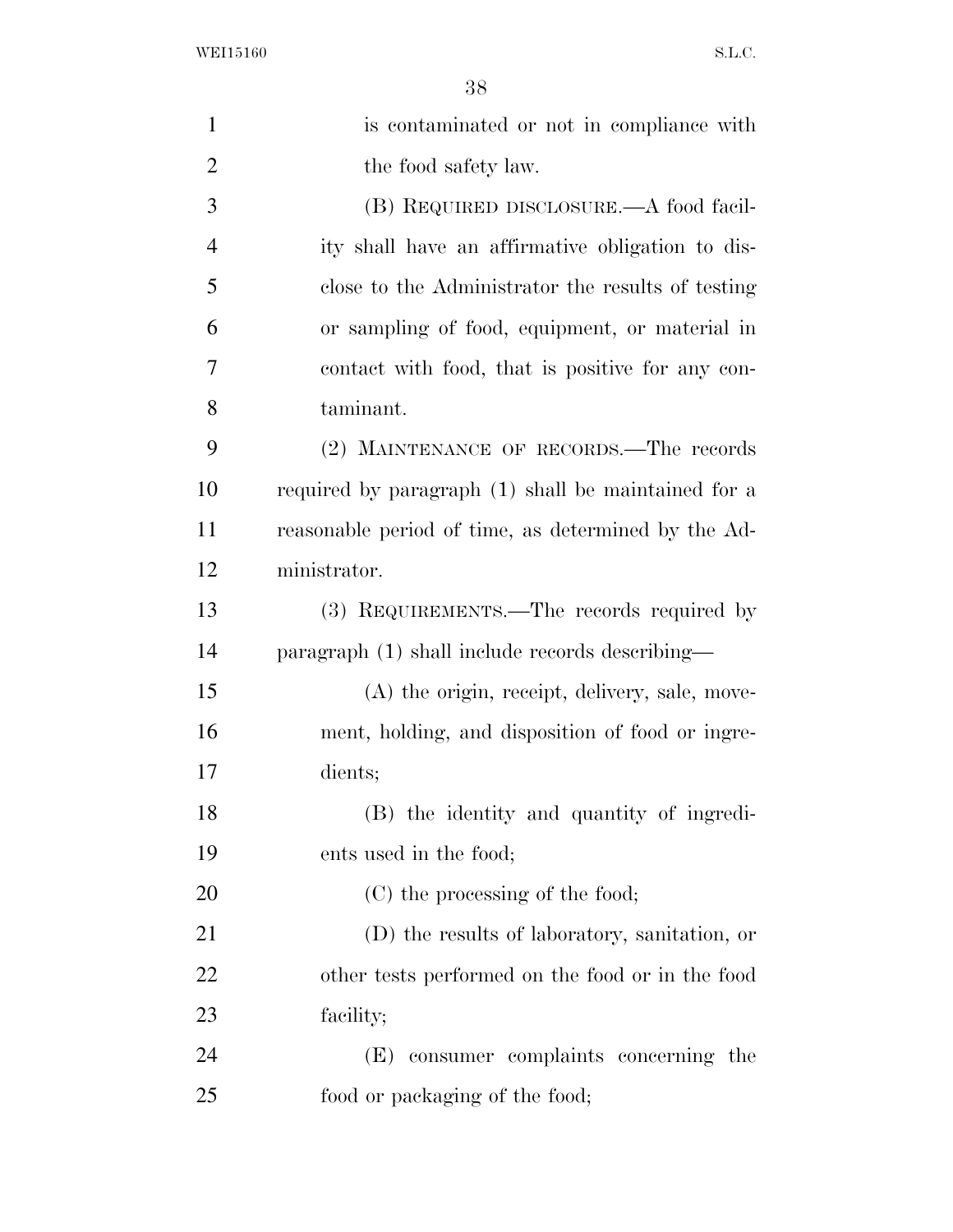| $\mathbf{1}$   | is contaminated or not in compliance with           |
|----------------|-----------------------------------------------------|
| $\overline{2}$ | the food safety law.                                |
| 3              | (B) REQUIRED DISCLOSURE.—A food facil-              |
| $\overline{4}$ | ity shall have an affirmative obligation to dis-    |
| 5              | close to the Administrator the results of testing   |
| 6              | or sampling of food, equipment, or material in      |
| 7              | contact with food, that is positive for any con-    |
| 8              | taminant.                                           |
| 9              | (2) MAINTENANCE OF RECORDS.—The records             |
| 10             | required by paragraph (1) shall be maintained for a |
| 11             | reasonable period of time, as determined by the Ad- |
| 12             | ministrator.                                        |
| 13             | (3) REQUIREMENTS.—The records required by           |
| 14             | paragraph (1) shall include records describing—     |
| 15             | (A) the origin, receipt, delivery, sale, move-      |
| 16             | ment, holding, and disposition of food or ingre-    |
| 17             | dients;                                             |
| 18             | (B) the identity and quantity of ingredi-           |
| 19             | ents used in the food;                              |
| 20             | (C) the processing of the food;                     |
| 21             | (D) the results of laboratory, sanitation, or       |
| 22             | other tests performed on the food or in the food    |
| 23             | facility;                                           |
| 24             | (E) consumer complaints concerning the              |
| 25             | food or packaging of the food;                      |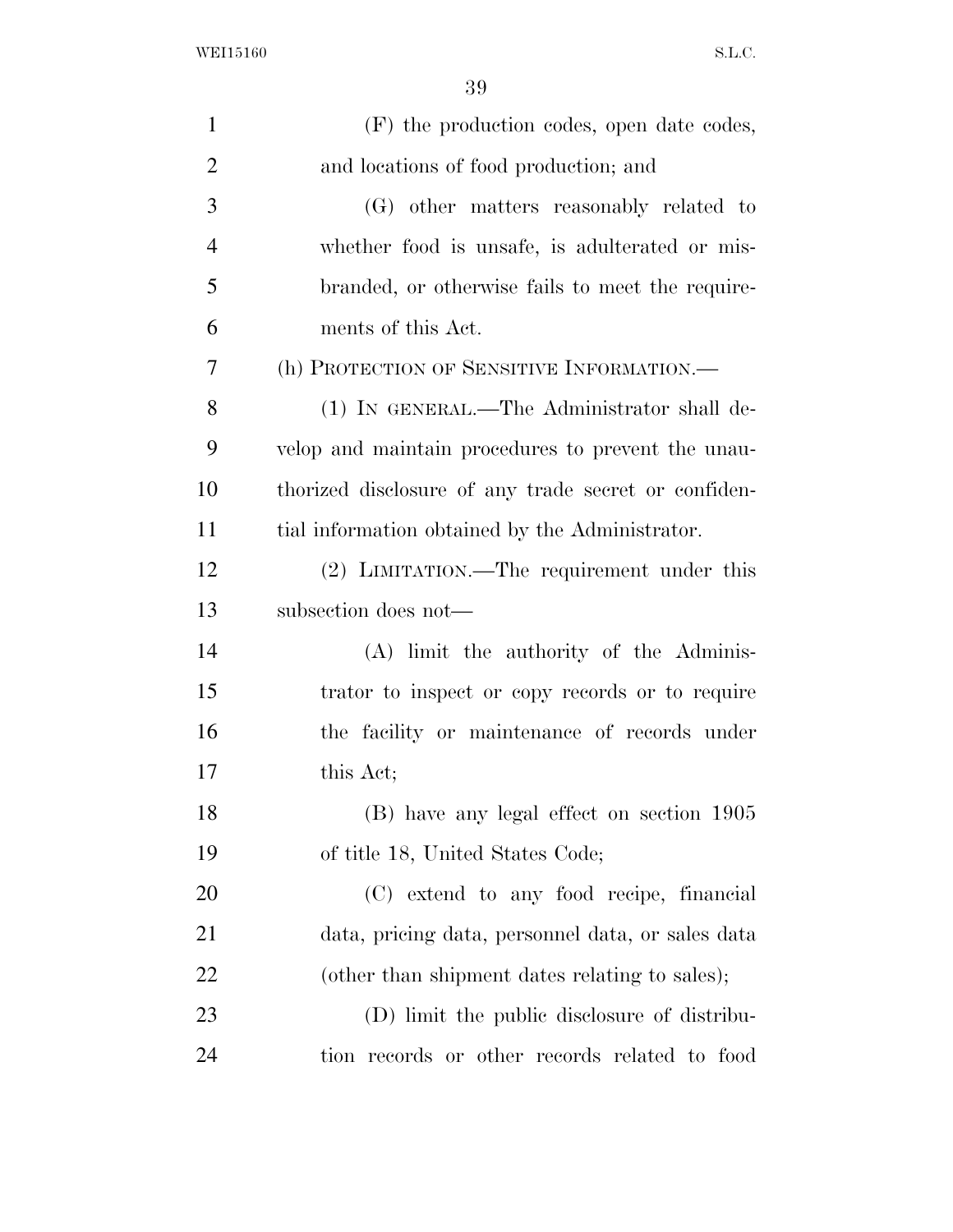| $\mathbf{1}$   | (F) the production codes, open date codes,           |
|----------------|------------------------------------------------------|
| $\overline{2}$ | and locations of food production; and                |
| 3              | (G) other matters reasonably related to              |
| $\overline{4}$ | whether food is unsafe, is adulterated or mis-       |
| 5              | branded, or otherwise fails to meet the require-     |
| 6              | ments of this Act.                                   |
| 7              | (h) PROTECTION OF SENSITIVE INFORMATION.-            |
| 8              | (1) IN GENERAL.—The Administrator shall de-          |
| 9              | velop and maintain procedures to prevent the unau-   |
| 10             | thorized disclosure of any trade secret or confiden- |
| 11             | tial information obtained by the Administrator.      |
| 12             | (2) LIMITATION.—The requirement under this           |
| 13             | subsection does not-                                 |
| 14             | (A) limit the authority of the Adminis-              |
| 15             | trator to inspect or copy records or to require      |
| 16             | the facility or maintenance of records under         |
| 17             | this Act;                                            |
| 18             | (B) have any legal effect on section 1905            |
| 19             | of title 18, United States Code;                     |
| 20             | (C) extend to any food recipe, financial             |
| 21             | data, pricing data, personnel data, or sales data    |
| 22             | (other than shipment dates relating to sales);       |
| 23             | (D) limit the public disclosure of distribu-         |
| 24             | tion records or other records related to food        |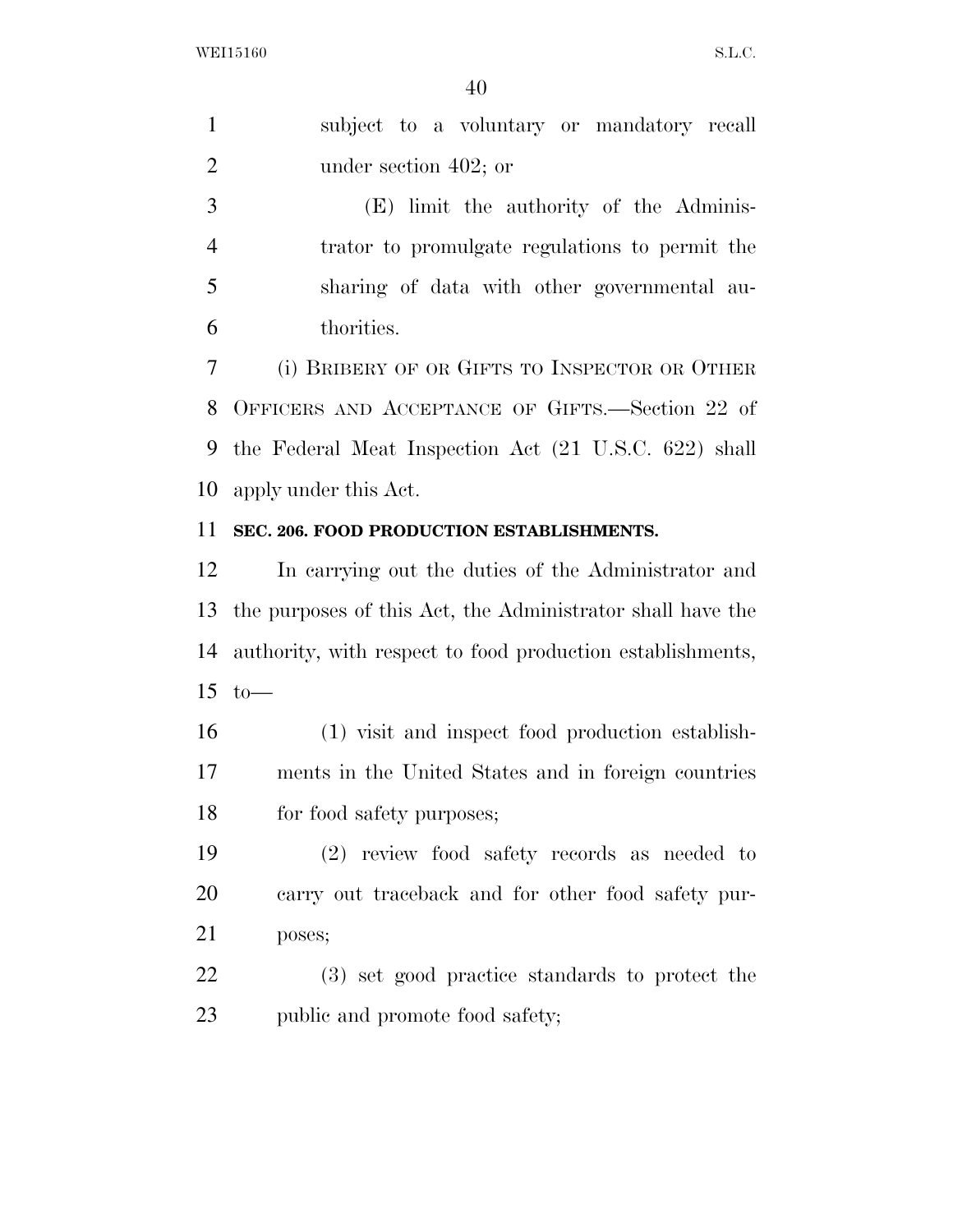| $\mathbf{1}$   | subject to a voluntary or mandatory recall                 |
|----------------|------------------------------------------------------------|
| $\overline{2}$ | under section 402; or                                      |
| 3              | (E) limit the authority of the Adminis-                    |
| $\overline{4}$ | trator to promulgate regulations to permit the             |
| 5              | sharing of data with other governmental au-                |
| 6              | thorities.                                                 |
| 7              | (i) BRIBERY OF OR GIFTS TO INSPECTOR OR OTHER              |
| 8              | OFFICERS AND ACCEPTANCE OF GIFTS.—Section 22 of            |
| 9              | the Federal Meat Inspection Act (21 U.S.C. 622) shall      |
| 10             | apply under this Act.                                      |
| 11             | SEC. 206. FOOD PRODUCTION ESTABLISHMENTS.                  |
| 12             | In carrying out the duties of the Administrator and        |
|                |                                                            |
| 13             | the purposes of this Act, the Administrator shall have the |
| 14             | authority, with respect to food production establishments, |
| 15             | $to-$                                                      |
| 16             | (1) visit and inspect food production establish-           |
| 17             | ments in the United States and in foreign countries        |
| 18             | for food safety purposes;                                  |
| 19             | $(2)$ review food safety records as needed to              |
| 20             | carry out traceback and for other food safety pur-         |
| 21             | poses;                                                     |
| 22             | (3) set good practice standards to protect the             |

public and promote food safety;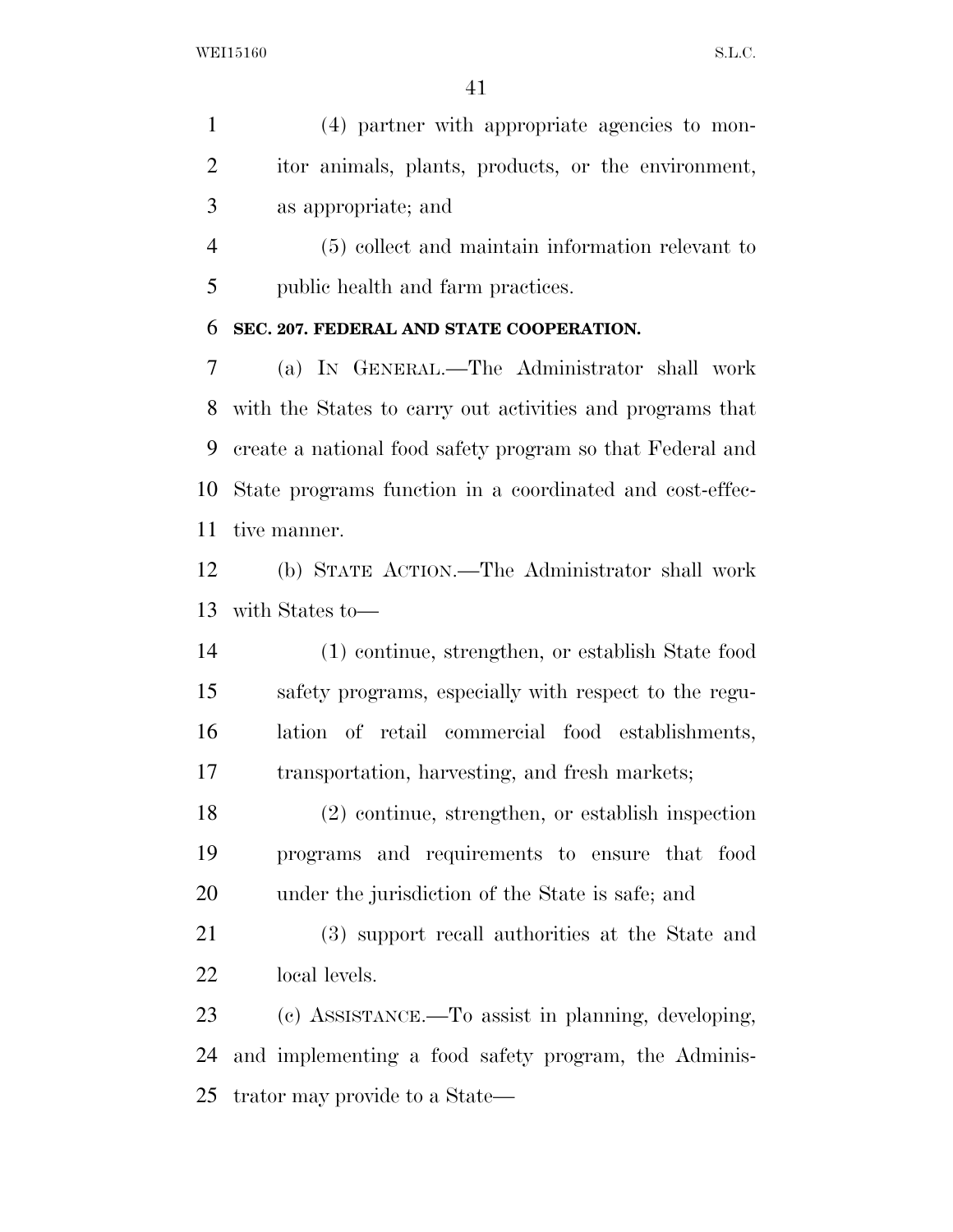(4) partner with appropriate agencies to mon- itor animals, plants, products, or the environment, as appropriate; and

 (5) collect and maintain information relevant to public health and farm practices.

## **SEC. 207. FEDERAL AND STATE COOPERATION.**

 (a) IN GENERAL.—The Administrator shall work with the States to carry out activities and programs that create a national food safety program so that Federal and State programs function in a coordinated and cost-effec-tive manner.

 (b) STATE ACTION.—The Administrator shall work with States to—

 (1) continue, strengthen, or establish State food safety programs, especially with respect to the regu- lation of retail commercial food establishments, transportation, harvesting, and fresh markets;

 (2) continue, strengthen, or establish inspection programs and requirements to ensure that food under the jurisdiction of the State is safe; and

 (3) support recall authorities at the State and local levels.

 (c) ASSISTANCE.—To assist in planning, developing, and implementing a food safety program, the Adminis-trator may provide to a State—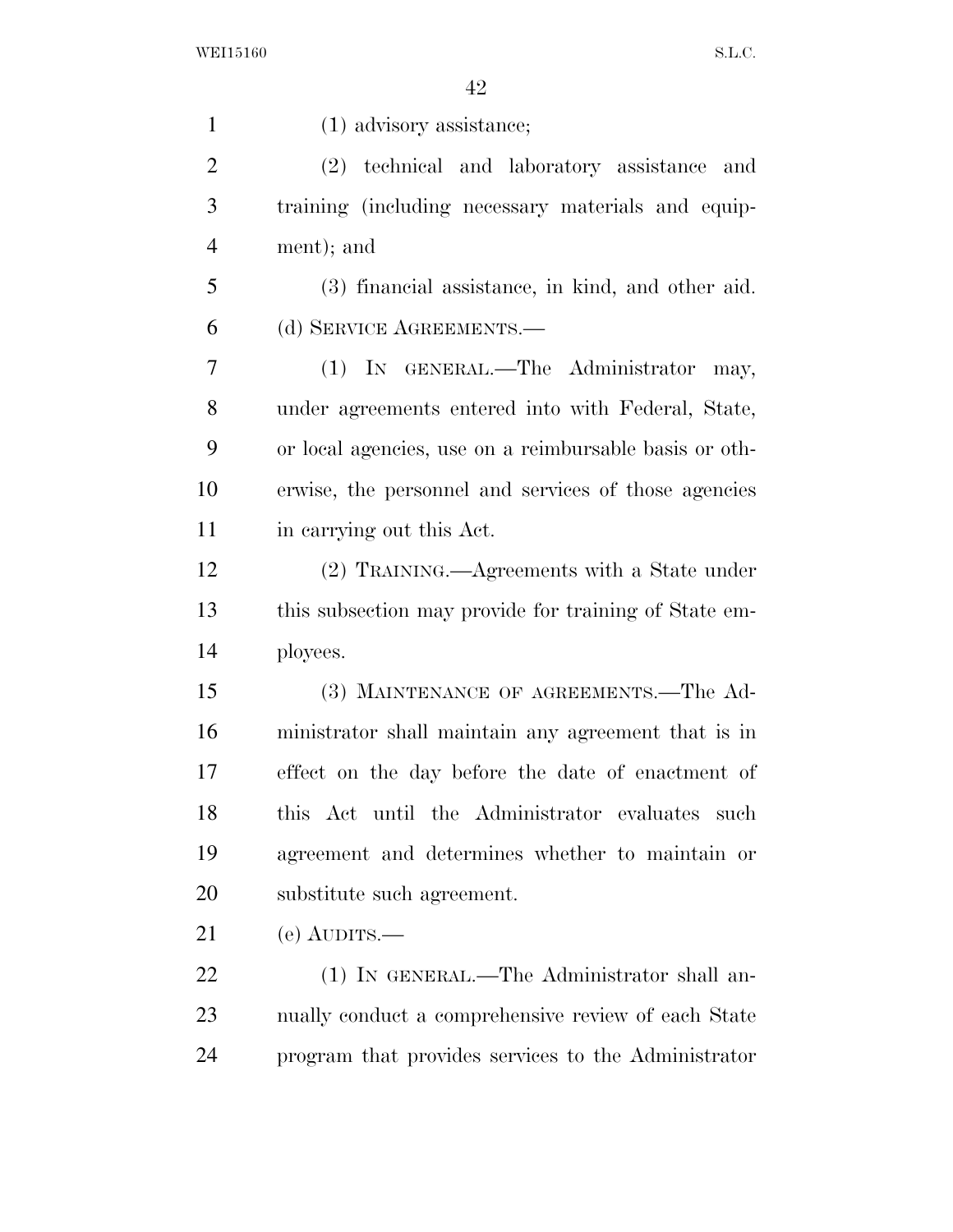1 (1) advisory assistance; (2) technical and laboratory assistance and training (including necessary materials and equip- ment); and (3) financial assistance, in kind, and other aid. (d) SERVICE AGREEMENTS.— (1) IN GENERAL.—The Administrator may, under agreements entered into with Federal, State, or local agencies, use on a reimbursable basis or oth- erwise, the personnel and services of those agencies in carrying out this Act. (2) TRAINING.—Agreements with a State under this subsection may provide for training of State em- ployees. (3) MAINTENANCE OF AGREEMENTS.—The Ad- ministrator shall maintain any agreement that is in effect on the day before the date of enactment of this Act until the Administrator evaluates such agreement and determines whether to maintain or substitute such agreement. (e) AUDITS.— 22 (1) IN GENERAL.—The Administrator shall an- nually conduct a comprehensive review of each State program that provides services to the Administrator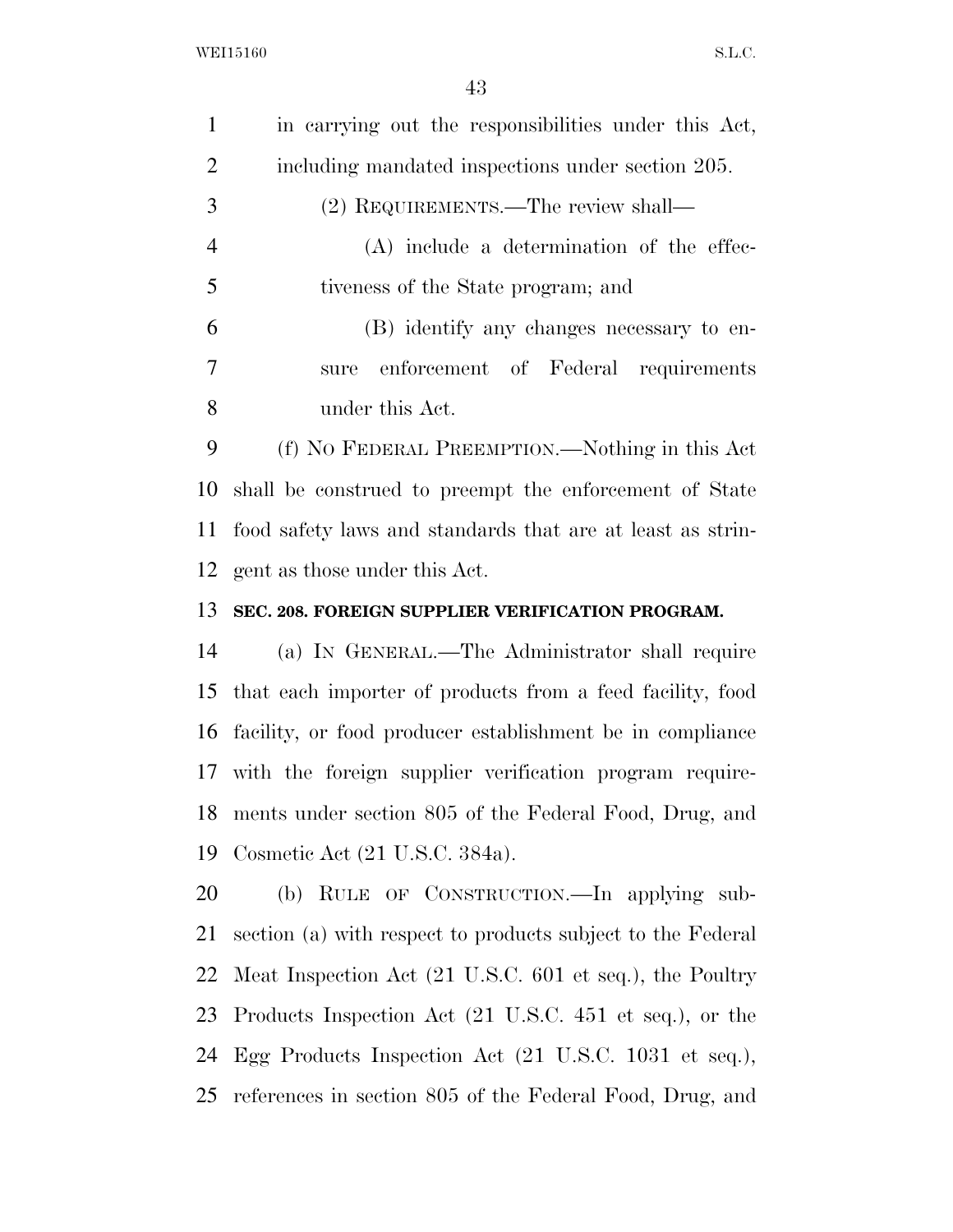| in carrying out the responsibilities under this Act,<br>including mandated inspections under section 205.<br>(2) REQUIREMENTS.—The review shall—<br>$(A)$ include a determination of the effec- |
|-------------------------------------------------------------------------------------------------------------------------------------------------------------------------------------------------|
|                                                                                                                                                                                                 |
|                                                                                                                                                                                                 |
|                                                                                                                                                                                                 |
|                                                                                                                                                                                                 |
|                                                                                                                                                                                                 |
| (B) identify any changes necessary to en-                                                                                                                                                       |
| enforcement of Federal requirements                                                                                                                                                             |
|                                                                                                                                                                                                 |
| (f) NO FEDERAL PREEMPTION.—Nothing in this Act                                                                                                                                                  |
| shall be construed to preempt the enforcement of State                                                                                                                                          |
| food safety laws and standards that are at least as strin-                                                                                                                                      |
|                                                                                                                                                                                                 |
|                                                                                                                                                                                                 |
| SEC. 208. FOREIGN SUPPLIER VERIFICATION PROGRAM.                                                                                                                                                |
| (a) IN GENERAL.—The Administrator shall require                                                                                                                                                 |
| that each importer of products from a feed facility, food                                                                                                                                       |
| facility, or food producer establishment be in compliance                                                                                                                                       |
| 17 with the foreign supplier verification program require-                                                                                                                                      |
| ments under section 805 of the Federal Food, Drug, and                                                                                                                                          |
|                                                                                                                                                                                                 |
| (b) RULE OF CONSTRUCTION.—In applying sub-                                                                                                                                                      |
| section (a) with respect to products subject to the Federal                                                                                                                                     |
| Meat Inspection Act (21 U.S.C. 601 et seq.), the Poultry                                                                                                                                        |
| Products Inspection Act (21 U.S.C. 451 et seq.), or the                                                                                                                                         |
|                                                                                                                                                                                                 |

references in section 805 of the Federal Food, Drug, and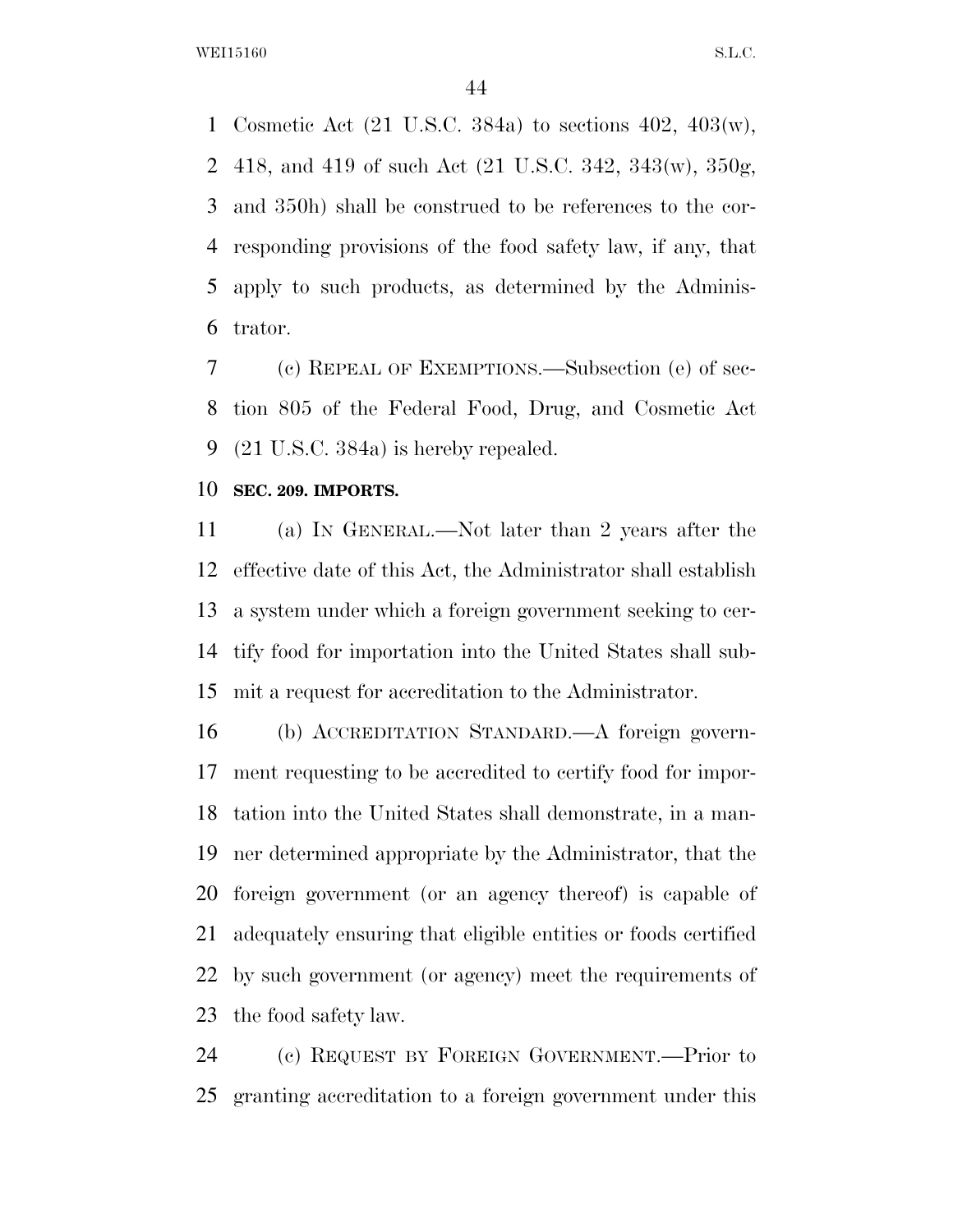Cosmetic Act (21 U.S.C. 384a) to sections 402, 403(w), 418, and 419 of such Act (21 U.S.C. 342, 343(w), 350g, and 350h) shall be construed to be references to the cor- responding provisions of the food safety law, if any, that apply to such products, as determined by the Adminis-trator.

 (c) REPEAL OF EXEMPTIONS.—Subsection (e) of sec- tion 805 of the Federal Food, Drug, and Cosmetic Act (21 U.S.C. 384a) is hereby repealed.

**SEC. 209. IMPORTS.** 

 (a) IN GENERAL.—Not later than 2 years after the effective date of this Act, the Administrator shall establish a system under which a foreign government seeking to cer- tify food for importation into the United States shall sub-mit a request for accreditation to the Administrator.

 (b) ACCREDITATION STANDARD.—A foreign govern- ment requesting to be accredited to certify food for impor- tation into the United States shall demonstrate, in a man- ner determined appropriate by the Administrator, that the foreign government (or an agency thereof) is capable of adequately ensuring that eligible entities or foods certified by such government (or agency) meet the requirements of the food safety law.

 (c) REQUEST BY FOREIGN GOVERNMENT.—Prior to granting accreditation to a foreign government under this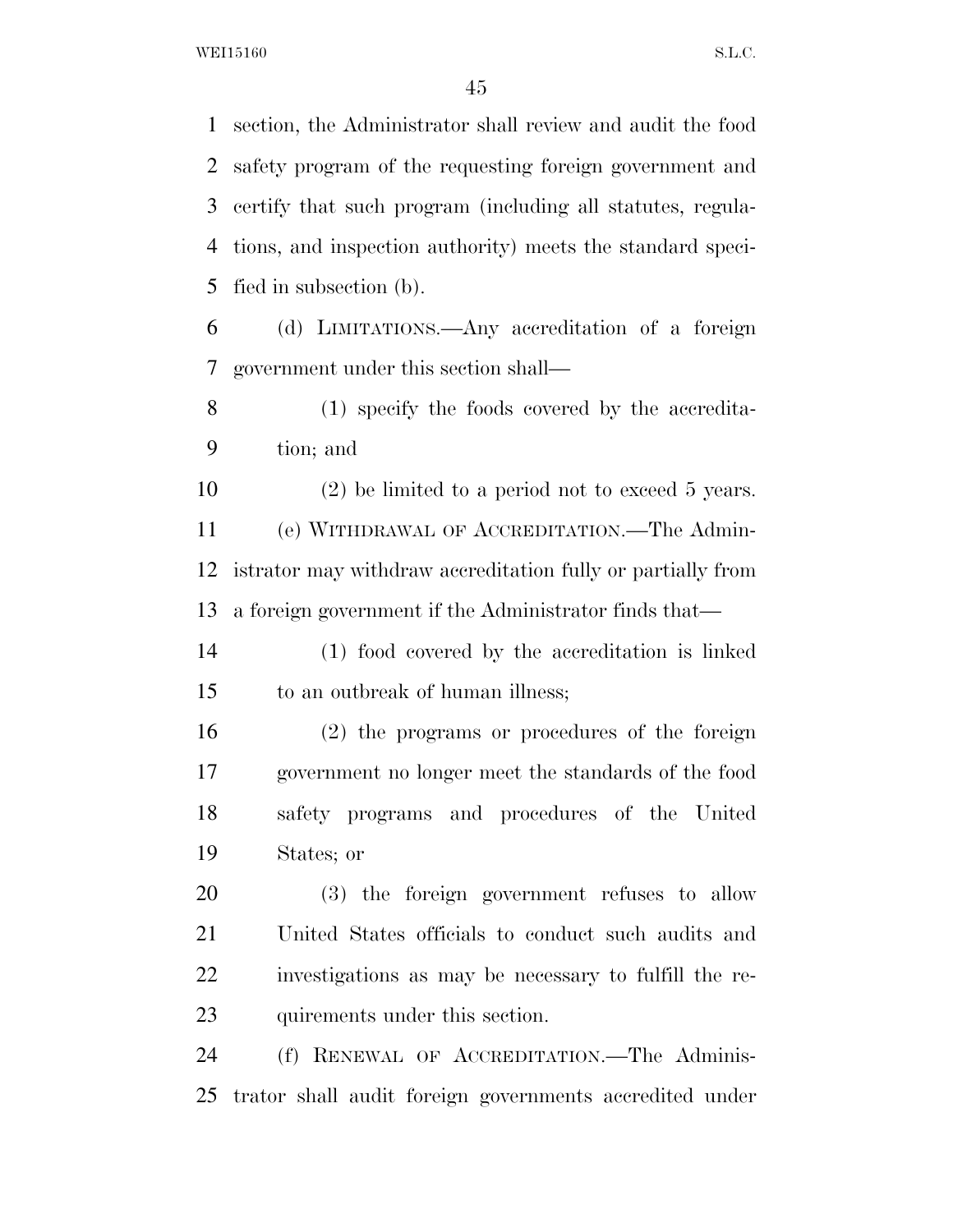section, the Administrator shall review and audit the food safety program of the requesting foreign government and certify that such program (including all statutes, regula- tions, and inspection authority) meets the standard speci- fied in subsection (b). (d) LIMITATIONS.—Any accreditation of a foreign government under this section shall—

 (1) specify the foods covered by the accredita-tion; and

 (2) be limited to a period not to exceed 5 years. (e) WITHDRAWAL OF ACCREDITATION.—The Admin- istrator may withdraw accreditation fully or partially from a foreign government if the Administrator finds that—

 (1) food covered by the accreditation is linked to an outbreak of human illness;

 (2) the programs or procedures of the foreign government no longer meet the standards of the food safety programs and procedures of the United States; or

 (3) the foreign government refuses to allow United States officials to conduct such audits and investigations as may be necessary to fulfill the re-quirements under this section.

 (f) RENEWAL OF ACCREDITATION.—The Adminis-trator shall audit foreign governments accredited under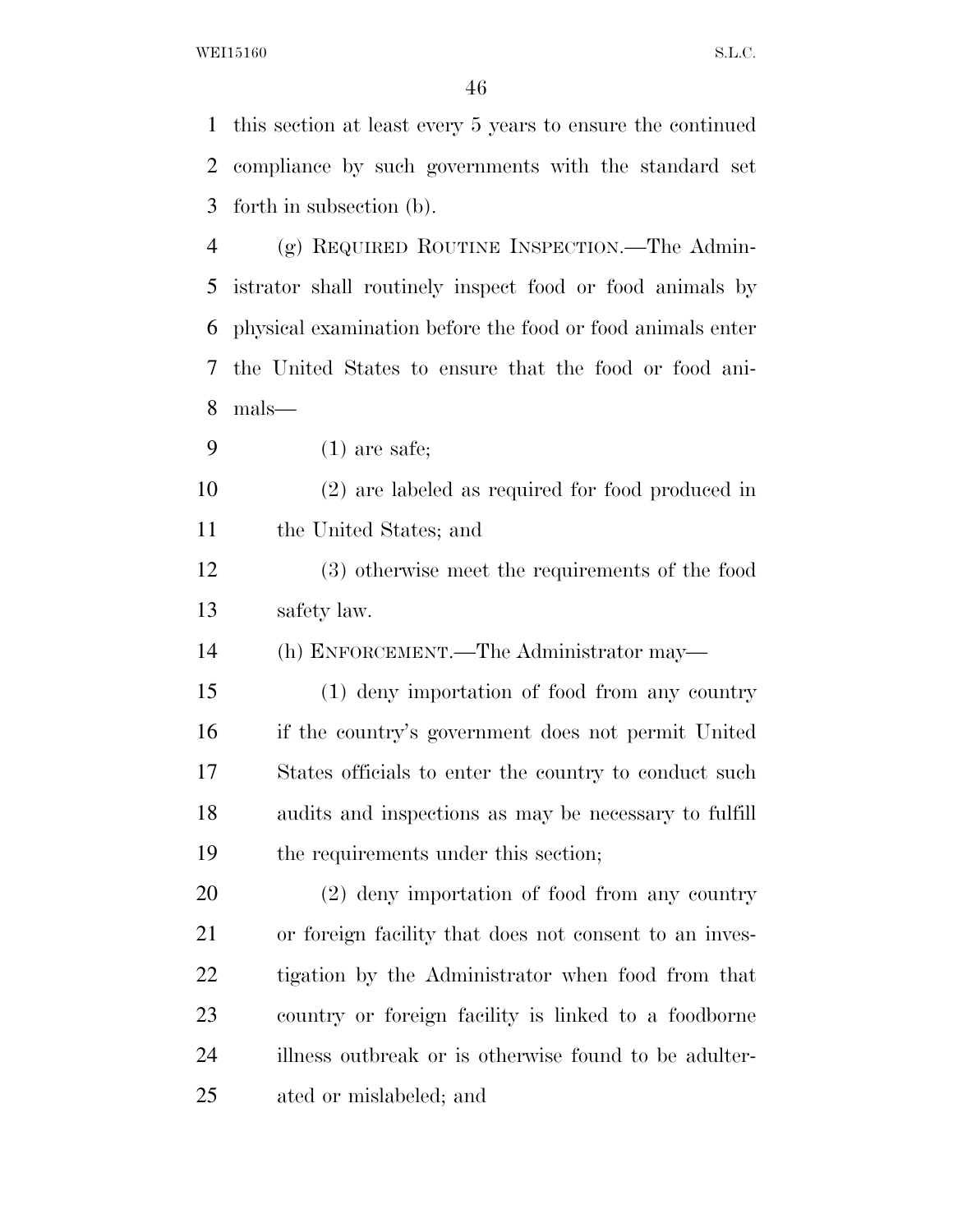this section at least every 5 years to ensure the continued compliance by such governments with the standard set forth in subsection (b). (g) REQUIRED ROUTINE INSPECTION.—The Admin- istrator shall routinely inspect food or food animals by physical examination before the food or food animals enter the United States to ensure that the food or food ani- mals— (1) are safe; (2) are labeled as required for food produced in the United States; and (3) otherwise meet the requirements of the food safety law. (h) ENFORCEMENT.—The Administrator may— (1) deny importation of food from any country if the country's government does not permit United States officials to enter the country to conduct such audits and inspections as may be necessary to fulfill the requirements under this section; (2) deny importation of food from any country or foreign facility that does not consent to an inves- tigation by the Administrator when food from that country or foreign facility is linked to a foodborne

illness outbreak or is otherwise found to be adulter-

ated or mislabeled; and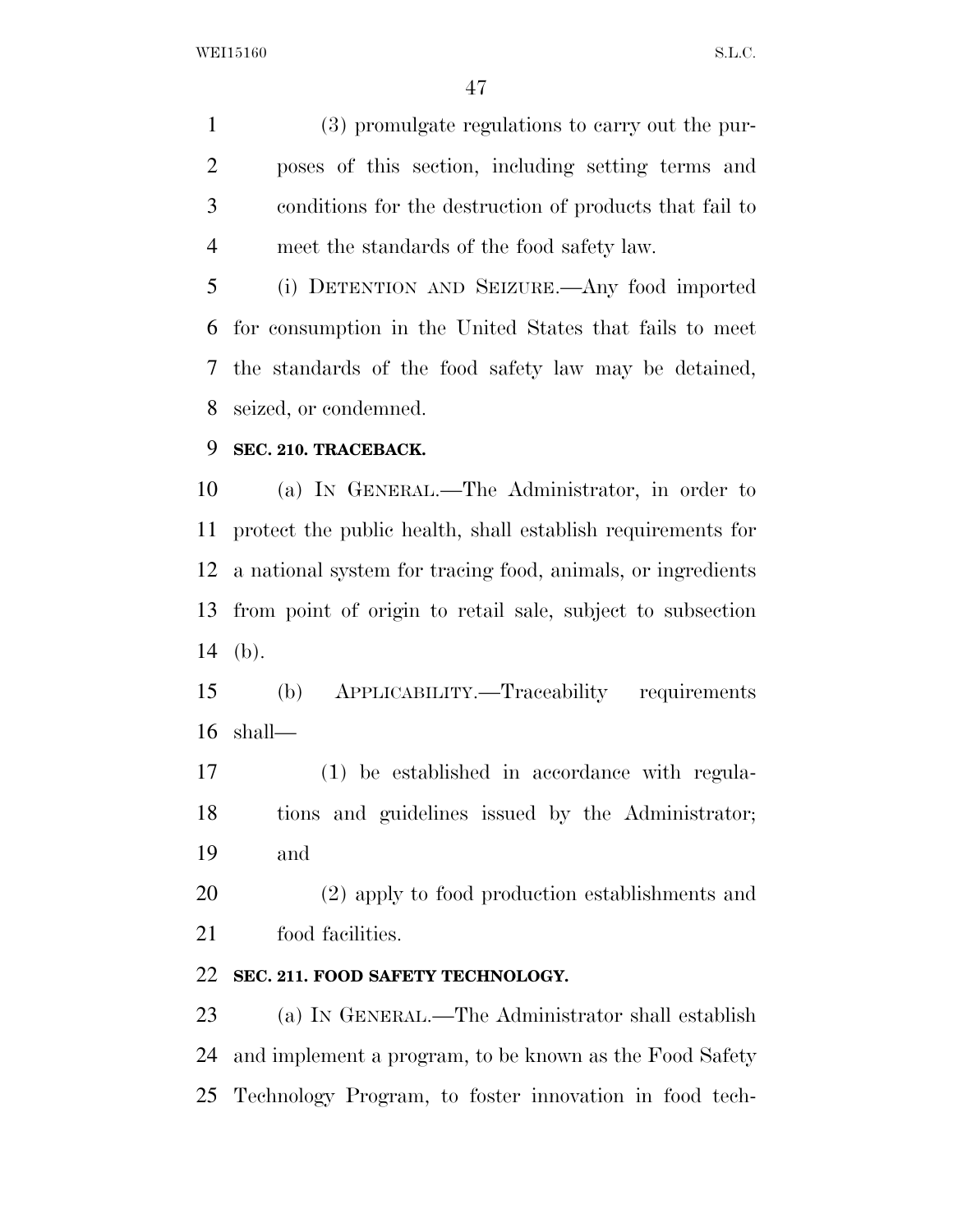(3) promulgate regulations to carry out the pur- poses of this section, including setting terms and conditions for the destruction of products that fail to meet the standards of the food safety law.

 (i) DETENTION AND SEIZURE.—Any food imported for consumption in the United States that fails to meet the standards of the food safety law may be detained, seized, or condemned.

## **SEC. 210. TRACEBACK.**

 (a) IN GENERAL.—The Administrator, in order to protect the public health, shall establish requirements for a national system for tracing food, animals, or ingredients from point of origin to retail sale, subject to subsection (b).

 (b) APPLICABILITY.—Traceability requirements shall—

 (1) be established in accordance with regula- tions and guidelines issued by the Administrator; and

 (2) apply to food production establishments and food facilities.

## **SEC. 211. FOOD SAFETY TECHNOLOGY.**

 (a) IN GENERAL.—The Administrator shall establish and implement a program, to be known as the Food Safety Technology Program, to foster innovation in food tech-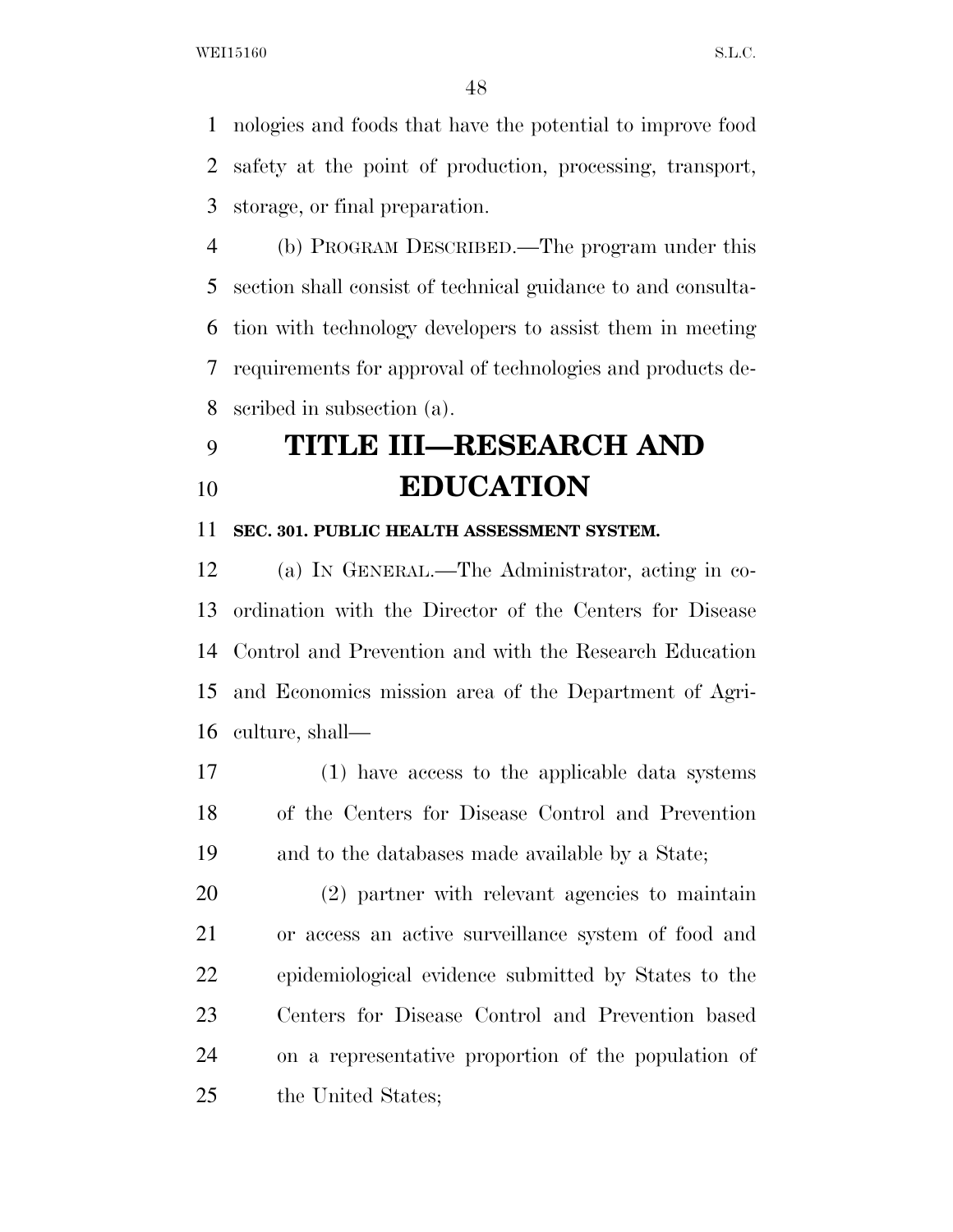nologies and foods that have the potential to improve food safety at the point of production, processing, transport, storage, or final preparation.

 (b) PROGRAM DESCRIBED.—The program under this section shall consist of technical guidance to and consulta- tion with technology developers to assist them in meeting requirements for approval of technologies and products de-scribed in subsection (a).

# **TITLE III—RESEARCH AND EDUCATION**

#### **SEC. 301. PUBLIC HEALTH ASSESSMENT SYSTEM.**

 (a) IN GENERAL.—The Administrator, acting in co- ordination with the Director of the Centers for Disease Control and Prevention and with the Research Education and Economics mission area of the Department of Agri-culture, shall—

 (1) have access to the applicable data systems of the Centers for Disease Control and Prevention and to the databases made available by a State;

 (2) partner with relevant agencies to maintain or access an active surveillance system of food and epidemiological evidence submitted by States to the Centers for Disease Control and Prevention based on a representative proportion of the population of the United States;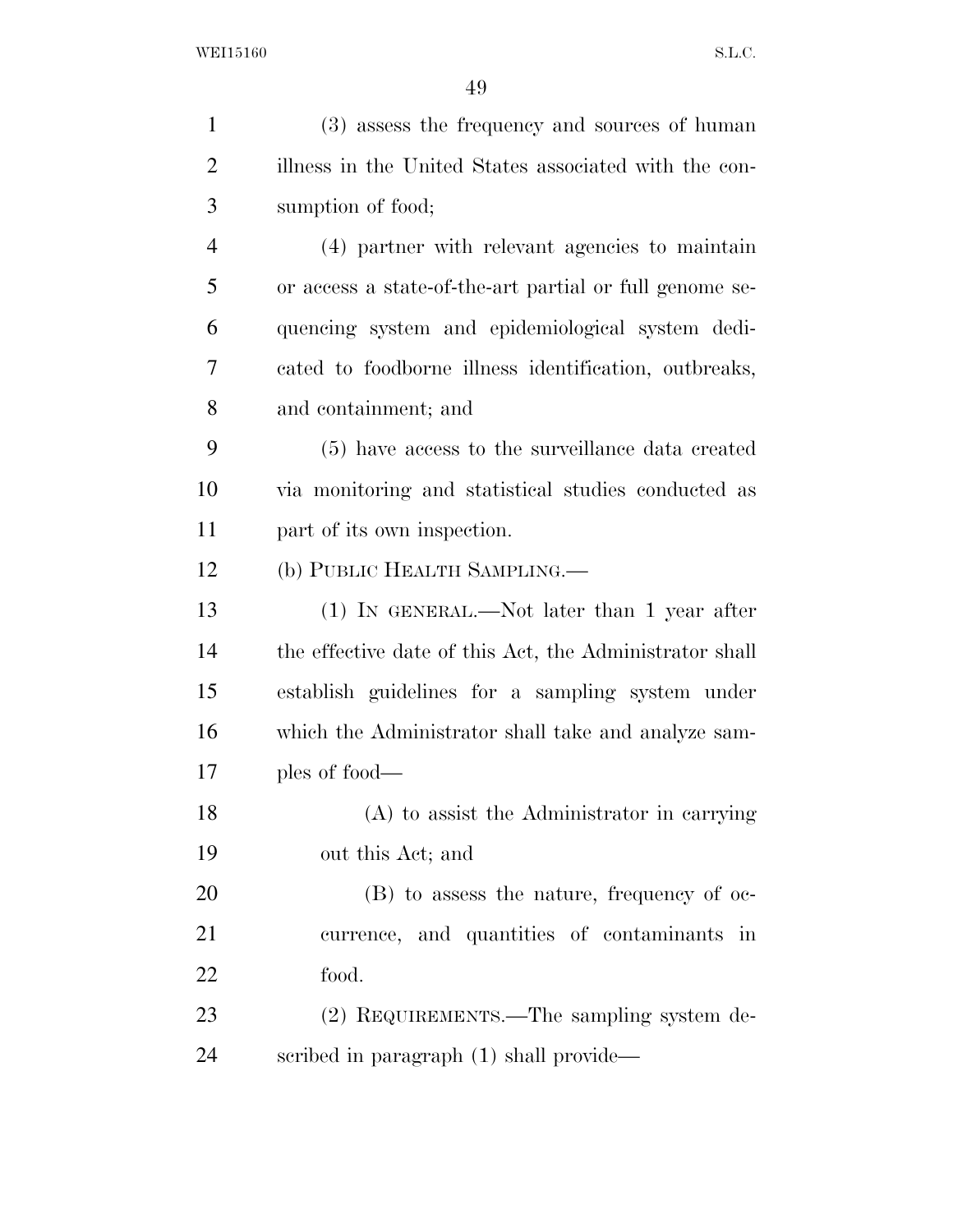| 1              | (3) assess the frequency and sources of human           |
|----------------|---------------------------------------------------------|
| $\overline{2}$ | illness in the United States associated with the con-   |
| 3              | sumption of food;                                       |
| $\overline{4}$ | (4) partner with relevant agencies to maintain          |
| 5              | or access a state-of-the-art partial or full genome se- |
| 6              | quencing system and epidemiological system dedi-        |
| 7              | cated to foodborne illness identification, outbreaks,   |
| 8              | and containment; and                                    |
| 9              | (5) have access to the surveillance data created        |
| 10             | via monitoring and statistical studies conducted as     |
| 11             | part of its own inspection.                             |
| 12             | (b) PUBLIC HEALTH SAMPLING.—                            |
| 13             | $(1)$ IN GENERAL.—Not later than 1 year after           |
| 14             | the effective date of this Act, the Administrator shall |
| 15             | establish guidelines for a sampling system under        |
| 16             | which the Administrator shall take and analyze sam-     |
| 17             | ples of food—                                           |
| 18             | (A) to assist the Administrator in carrying             |
| 19             | out this Act; and                                       |
| 20             | (B) to assess the nature, frequency of oc-              |
| 21             | currence, and quantities of contaminants in             |
| 22             | food.                                                   |
| 23             | (2) REQUIREMENTS.—The sampling system de-               |
| 24             | scribed in paragraph (1) shall provide—                 |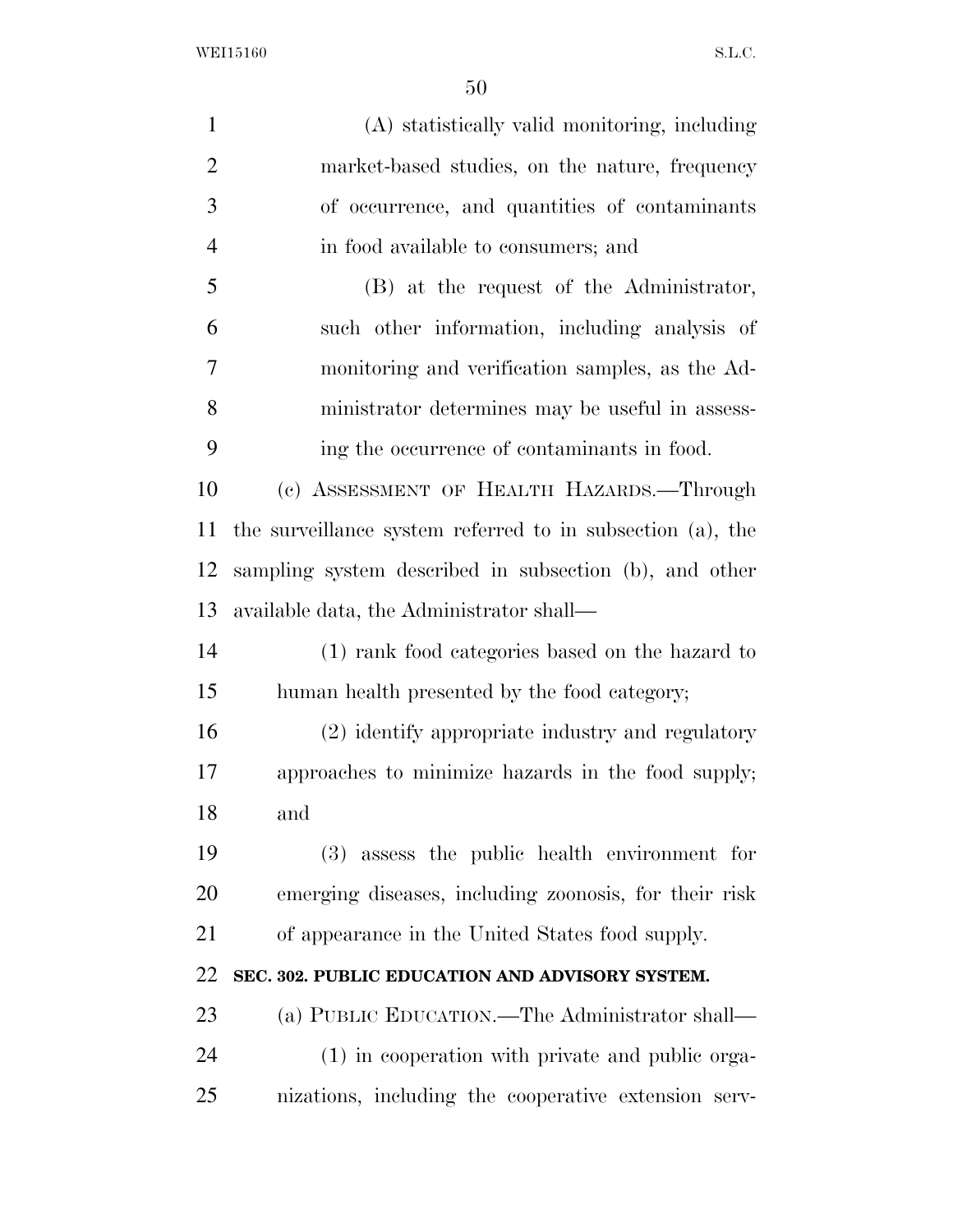(A) statistically valid monitoring, including market-based studies, on the nature, frequency of occurrence, and quantities of contaminants in food available to consumers; and (B) at the request of the Administrator, such other information, including analysis of monitoring and verification samples, as the Ad- ministrator determines may be useful in assess- ing the occurrence of contaminants in food. (c) ASSESSMENT OF HEALTH HAZARDS.—Through the surveillance system referred to in subsection (a), the sampling system described in subsection (b), and other available data, the Administrator shall— (1) rank food categories based on the hazard to human health presented by the food category; (2) identify appropriate industry and regulatory approaches to minimize hazards in the food supply; and (3) assess the public health environment for emerging diseases, including zoonosis, for their risk of appearance in the United States food supply. **SEC. 302. PUBLIC EDUCATION AND ADVISORY SYSTEM.**  (a) PUBLIC EDUCATION.—The Administrator shall— (1) in cooperation with private and public orga-nizations, including the cooperative extension serv-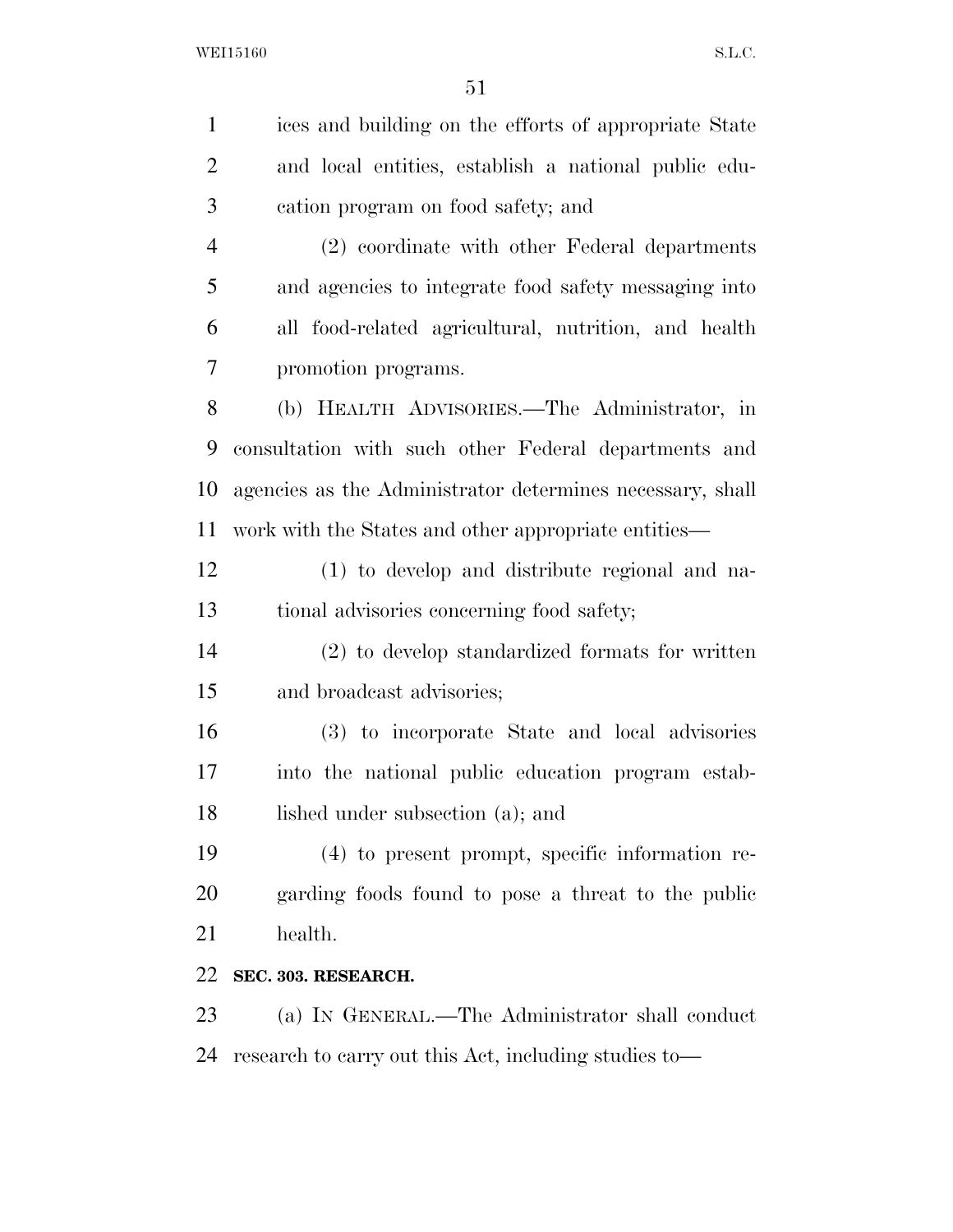| $\mathbf{1}$   | ices and building on the efforts of appropriate State     |
|----------------|-----------------------------------------------------------|
| $\overline{2}$ | and local entities, establish a national public edu-      |
| 3              | cation program on food safety; and                        |
| $\overline{4}$ | (2) coordinate with other Federal departments             |
| 5              | and agencies to integrate food safety messaging into      |
| 6              | all food-related agricultural, nutrition, and health      |
| 7              | promotion programs.                                       |
| 8              | (b) HEALTH ADVISORIES.—The Administrator, in              |
| 9              | consultation with such other Federal departments and      |
| 10             | agencies as the Administrator determines necessary, shall |
| 11             | work with the States and other appropriate entities—      |
| 12             | (1) to develop and distribute regional and na-            |
| 13             | tional advisories concerning food safety;                 |
| 14             | (2) to develop standardized formats for written           |
| 15             | and broadcast advisories;                                 |
| 16             | (3) to incorporate State and local advisories             |
| 17             | into the national public education program estab-         |
| 18             | lished under subsection (a); and                          |
| 19             | (4) to present prompt, specific information re-           |
| 20             | garding foods found to pose a threat to the public        |
| 21             | health.                                                   |
| 22             | SEC. 303. RESEARCH.                                       |
| 23             | (a) IN GENERAL.—The Administrator shall conduct           |
| 24             | research to carry out this Act, including studies to-     |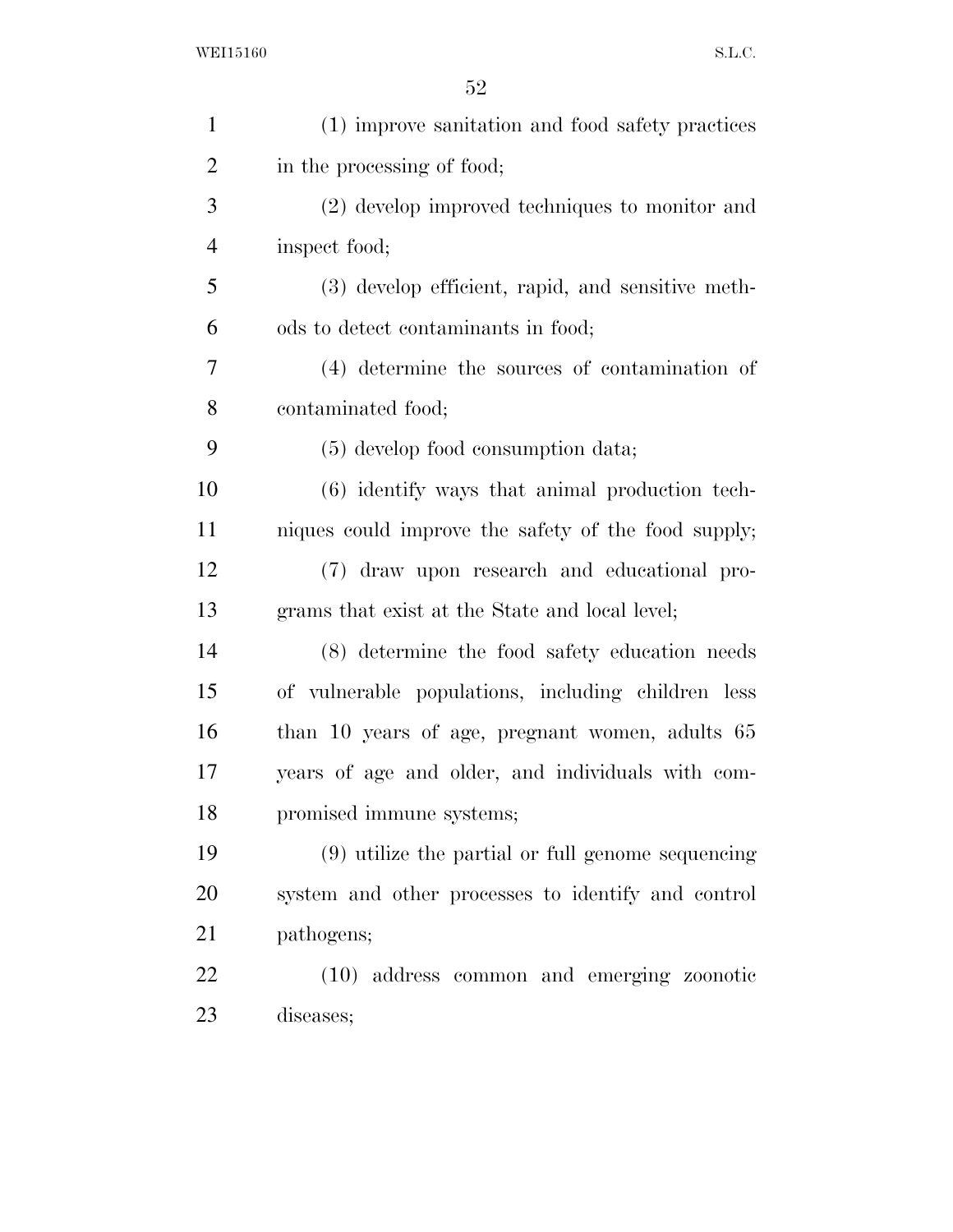| $\mathbf{1}$   | (1) improve sanitation and food safety practices    |
|----------------|-----------------------------------------------------|
| $\overline{2}$ | in the processing of food;                          |
| 3              | (2) develop improved techniques to monitor and      |
| $\overline{4}$ | inspect food;                                       |
| 5              | (3) develop efficient, rapid, and sensitive meth-   |
| 6              | ods to detect contaminants in food;                 |
| 7              | (4) determine the sources of contamination of       |
| 8              | contaminated food;                                  |
| 9              | $(5)$ develop food consumption data;                |
| 10             | (6) identify ways that animal production tech-      |
| 11             | niques could improve the safety of the food supply; |
| 12             | (7) draw upon research and educational pro-         |
| 13             | grams that exist at the State and local level;      |
| 14             | (8) determine the food safety education needs       |
| 15             | of vulnerable populations, including children less  |
| 16             | than 10 years of age, pregnant women, adults 65     |
| 17             | years of age and older, and individuals with com-   |
| 18             | promised immune systems;                            |
| 19             | (9) utilize the partial or full genome sequencing   |
| 20             | system and other processes to identify and control  |
| 21             | pathogens;                                          |
| 22             | (10) address common and emerging zoonotic           |
| 23             | diseases;                                           |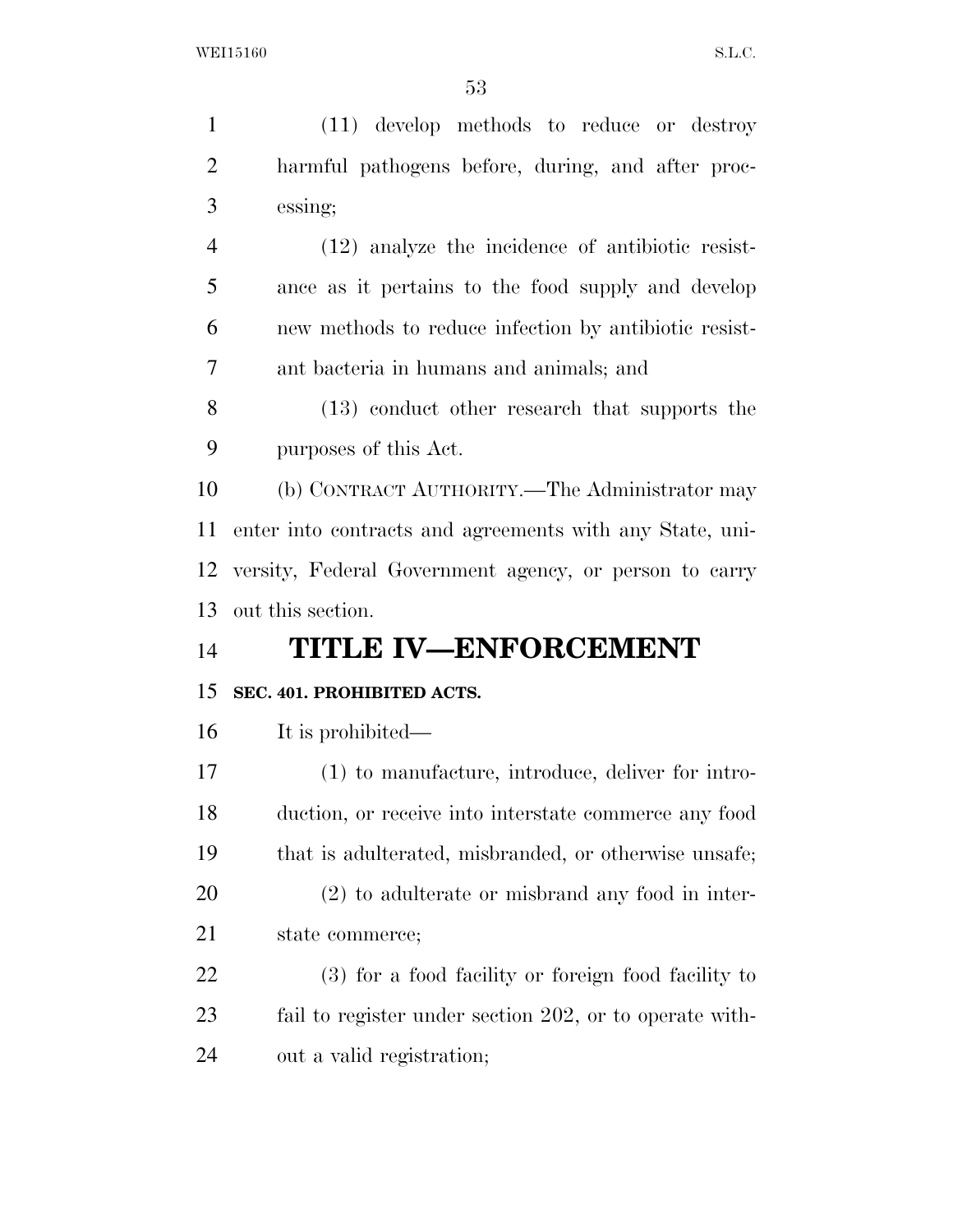| 1              | (11) develop methods to reduce or destroy                |
|----------------|----------------------------------------------------------|
| $\overline{2}$ | harmful pathogens before, during, and after proc-        |
| 3              | essing;                                                  |
| $\overline{4}$ | $(12)$ analyze the incidence of antibiotic resist-       |
| 5              | ance as it pertains to the food supply and develop       |
| 6              | new methods to reduce infection by antibiotic resist-    |
| 7              | ant bacteria in humans and animals; and                  |
| 8              | (13) conduct other research that supports the            |
| 9              | purposes of this Act.                                    |
| 10             | (b) CONTRACT AUTHORITY.—The Administrator may            |
| 11             | enter into contracts and agreements with any State, uni- |
| 12             | versity, Federal Government agency, or person to carry   |
| 13             | out this section.                                        |
| 14             | <b>TITLE IV-ENFORCEMENT</b>                              |
| 15             | SEC. 401. PROHIBITED ACTS.                               |
| 16             | It is prohibited—                                        |
| 17             | (1) to manufacture, introduce, deliver for intro-        |
| 18             | duction, or receive into interstate commerce any food    |
| 19             | that is adulterated, misbranded, or otherwise unsafe;    |
| 20             | $(2)$ to adulterate or misbrand any food in inter-       |
| 21             | state commerce;                                          |
| 22             | (3) for a food facility or foreign food facility to      |
| 23             | fail to register under section 202, or to operate with-  |
| 24             | out a valid registration;                                |
|                |                                                          |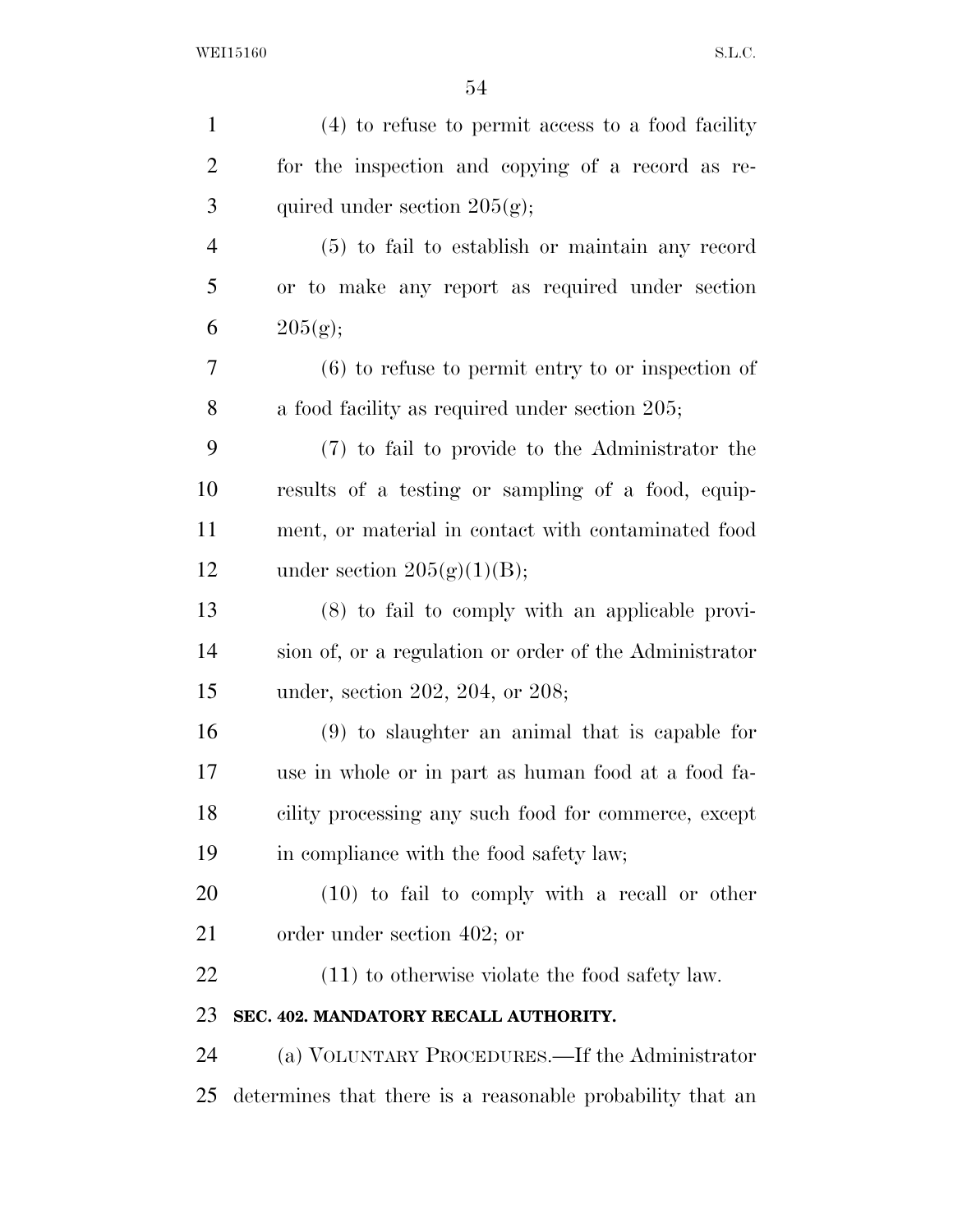| $\mathbf{1}$   | $(4)$ to refuse to permit access to a food facility       |
|----------------|-----------------------------------------------------------|
| $\overline{2}$ | for the inspection and copying of a record as re-         |
| 3              | quired under section $205(g)$ ;                           |
| $\overline{4}$ | (5) to fail to establish or maintain any record           |
| 5              | or to make any report as required under section           |
| 6              | 205(g);                                                   |
| 7              | $(6)$ to refuse to permit entry to or inspection of       |
| 8              | a food facility as required under section 205;            |
| 9              | (7) to fail to provide to the Administrator the           |
| 10             | results of a testing or sampling of a food, equip-        |
| 11             | ment, or material in contact with contaminated food       |
| 12             | under section $205(g)(1)(B);$                             |
| 13             | $(8)$ to fail to comply with an applicable provi-         |
| 14             | sion of, or a regulation or order of the Administrator    |
| 15             | under, section 202, 204, or 208;                          |
| 16             | $(9)$ to slaughter an animal that is capable for          |
| 17             | use in whole or in part as human food at a food fa-       |
| 18             | cility processing any such food for commerce, except      |
| 19             | in compliance with the food safety law;                   |
| 20             | $(10)$ to fail to comply with a recall or other           |
| 21             | order under section 402; or                               |
| 22             | $(11)$ to otherwise violate the food safety law.          |
| 23             | SEC. 402. MANDATORY RECALL AUTHORITY.                     |
| 24             | (a) VOLUNTARY PROCEDURES.—If the Administrator            |
| 25             | determines that there is a reasonable probability that an |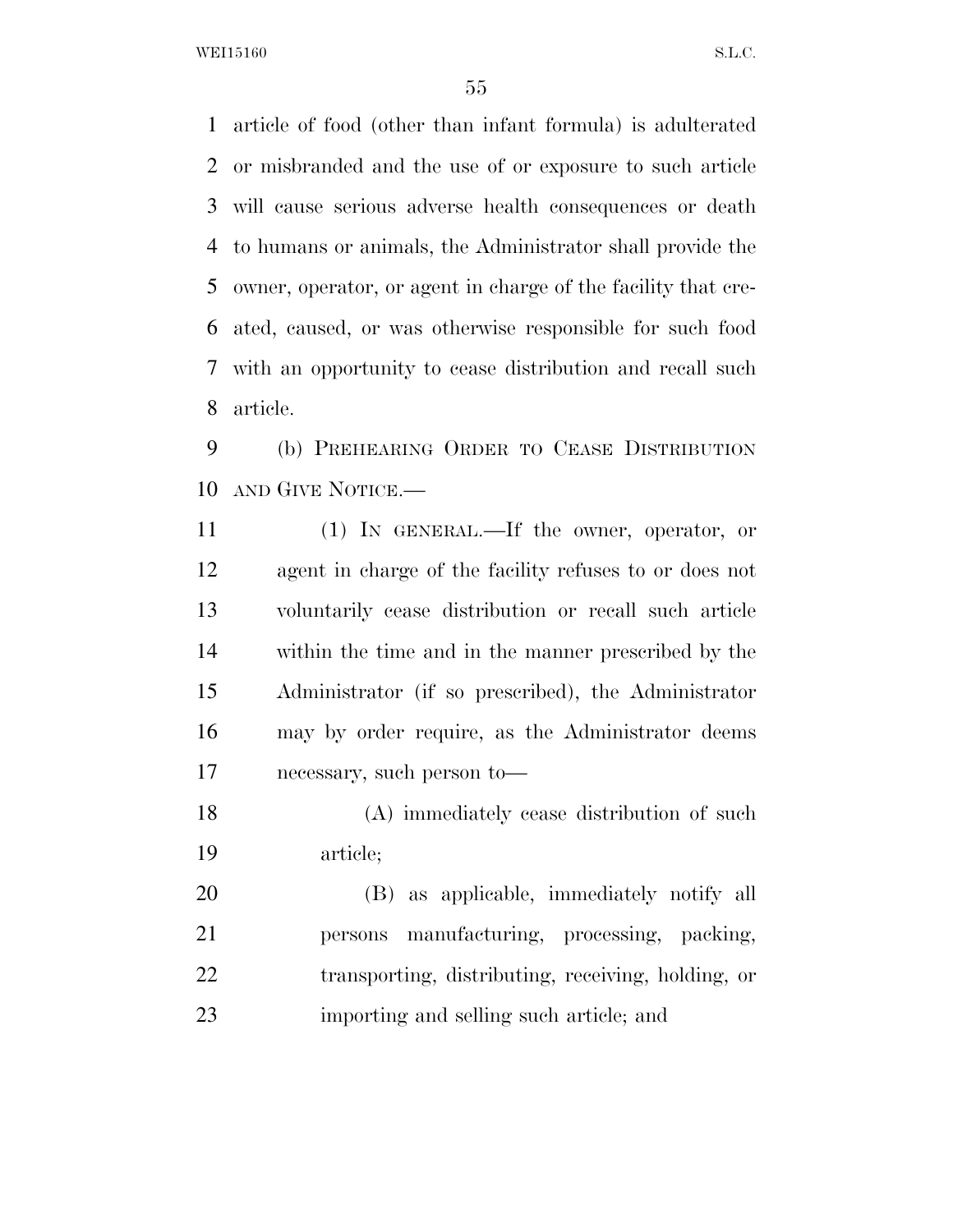article of food (other than infant formula) is adulterated or misbranded and the use of or exposure to such article will cause serious adverse health consequences or death to humans or animals, the Administrator shall provide the owner, operator, or agent in charge of the facility that cre- ated, caused, or was otherwise responsible for such food with an opportunity to cease distribution and recall such article.

 (b) PREHEARING ORDER TO CEASE DISTRIBUTION AND GIVE NOTICE.—

 (1) IN GENERAL.—If the owner, operator, or agent in charge of the facility refuses to or does not voluntarily cease distribution or recall such article within the time and in the manner prescribed by the Administrator (if so prescribed), the Administrator may by order require, as the Administrator deems necessary, such person to—

 (A) immediately cease distribution of such article;

 (B) as applicable, immediately notify all persons manufacturing, processing, packing, 22 transporting, distributing, receiving, holding, or importing and selling such article; and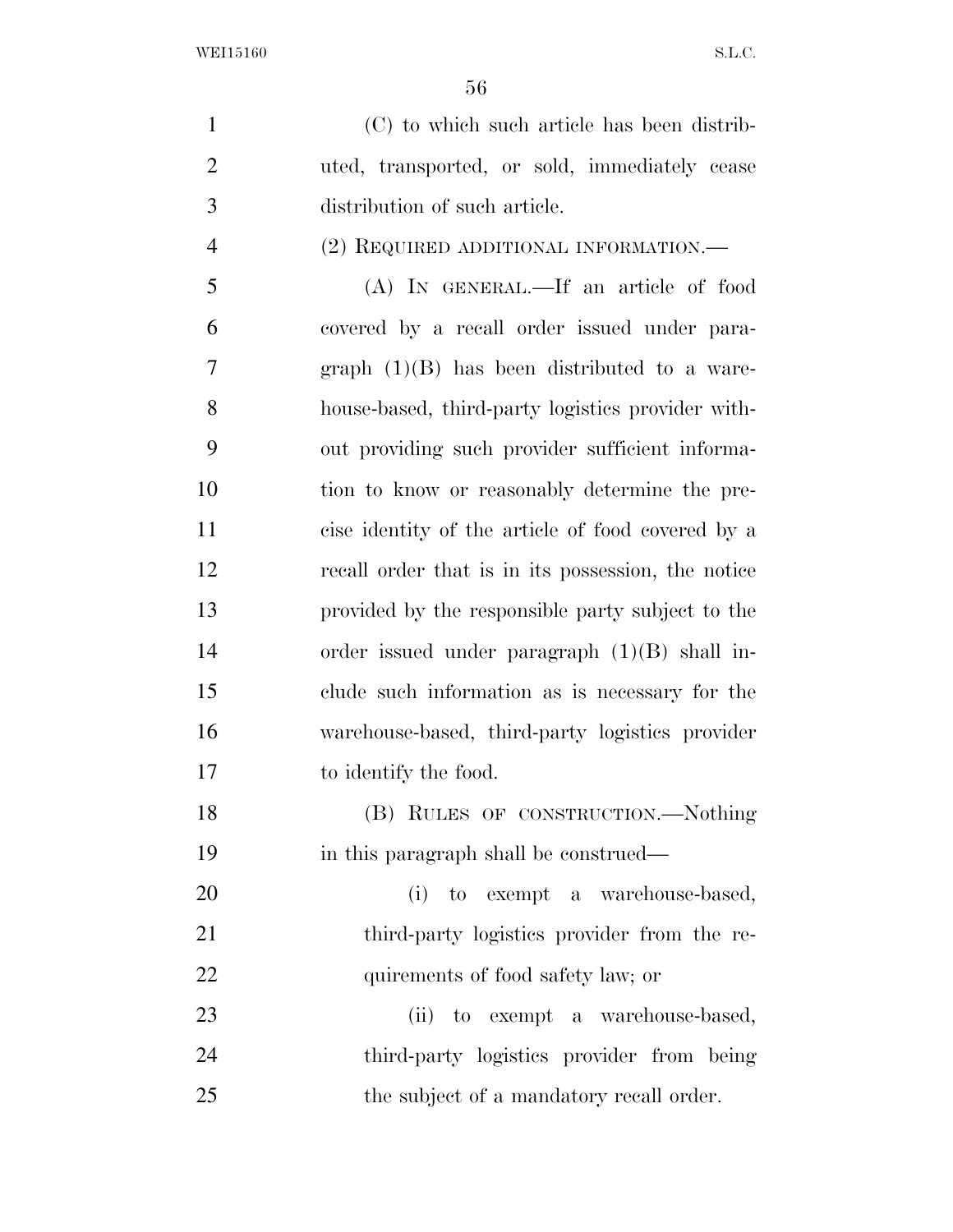(C) to which such article has been distrib- uted, transported, or sold, immediately cease distribution of such article. (2) REQUIRED ADDITIONAL INFORMATION.— (A) IN GENERAL.—If an article of food covered by a recall order issued under para-

 graph (1)(B) has been distributed to a ware- house-based, third-party logistics provider with- out providing such provider sufficient informa-10 tion to know or reasonably determine the pre- cise identity of the article of food covered by a recall order that is in its possession, the notice provided by the responsible party subject to the order issued under paragraph (1)(B) shall in- clude such information as is necessary for the warehouse-based, third-party logistics provider to identify the food.

18 (B) RULES OF CONSTRUCTION.—Nothing in this paragraph shall be construed—

 (i) to exempt a warehouse-based, 21 third-party logistics provider from the re-22 quirements of food safety law; or

23 (ii) to exempt a warehouse-based, third-party logistics provider from being 25 the subject of a mandatory recall order.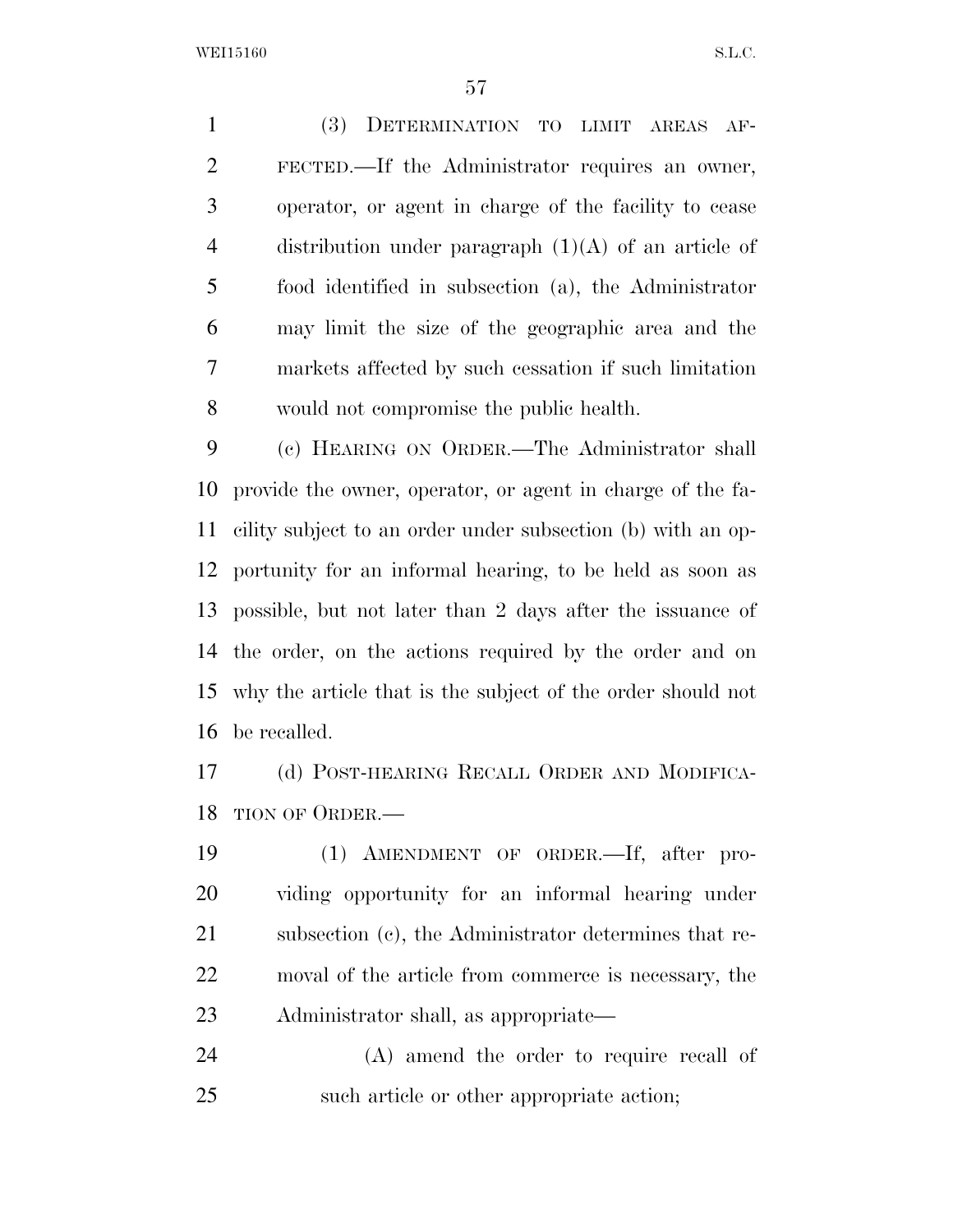(3) DETERMINATION TO LIMIT AREAS AF- FECTED.—If the Administrator requires an owner, operator, or agent in charge of the facility to cease 4 distribution under paragraph  $(1)(A)$  of an article of food identified in subsection (a), the Administrator may limit the size of the geographic area and the markets affected by such cessation if such limitation would not compromise the public health.

 (c) HEARING ON ORDER.—The Administrator shall provide the owner, operator, or agent in charge of the fa- cility subject to an order under subsection (b) with an op- portunity for an informal hearing, to be held as soon as possible, but not later than 2 days after the issuance of the order, on the actions required by the order and on why the article that is the subject of the order should not be recalled.

 (d) POST-HEARING RECALL ORDER AND MODIFICA-TION OF ORDER.—

 (1) AMENDMENT OF ORDER.—If, after pro- viding opportunity for an informal hearing under subsection (c), the Administrator determines that re- moval of the article from commerce is necessary, the Administrator shall, as appropriate—

 (A) amend the order to require recall of such article or other appropriate action;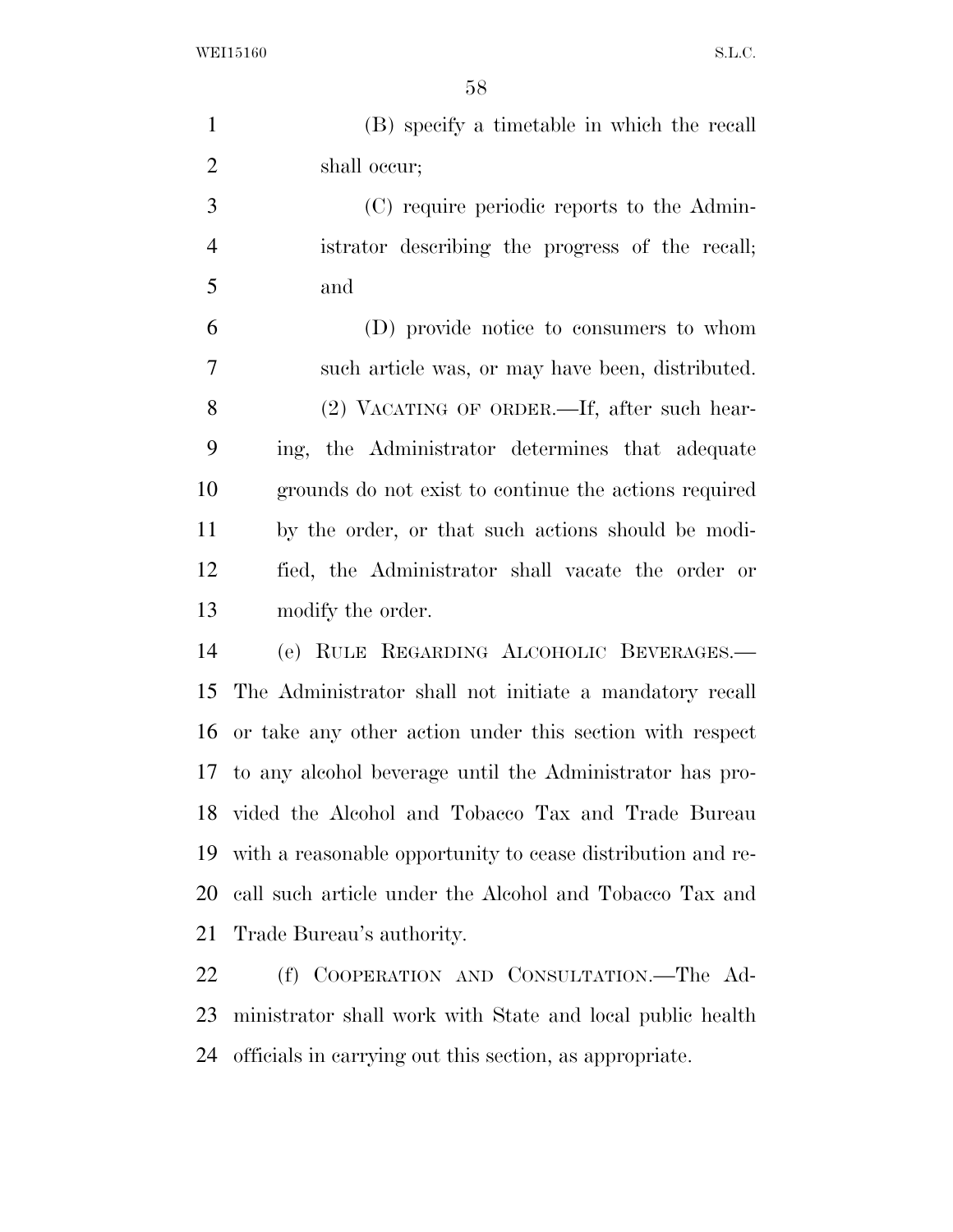(B) specify a timetable in which the recall shall occur; (C) require periodic reports to the Admin-

 istrator describing the progress of the recall; and

 (D) provide notice to consumers to whom such article was, or may have been, distributed. (2) VACATING OF ORDER.—If, after such hear- ing, the Administrator determines that adequate grounds do not exist to continue the actions required by the order, or that such actions should be modi- fied, the Administrator shall vacate the order or modify the order.

 (e) RULE REGARDING ALCOHOLIC BEVERAGES.— The Administrator shall not initiate a mandatory recall or take any other action under this section with respect to any alcohol beverage until the Administrator has pro- vided the Alcohol and Tobacco Tax and Trade Bureau with a reasonable opportunity to cease distribution and re- call such article under the Alcohol and Tobacco Tax and Trade Bureau's authority.

 (f) COOPERATION AND CONSULTATION.—The Ad- ministrator shall work with State and local public health officials in carrying out this section, as appropriate.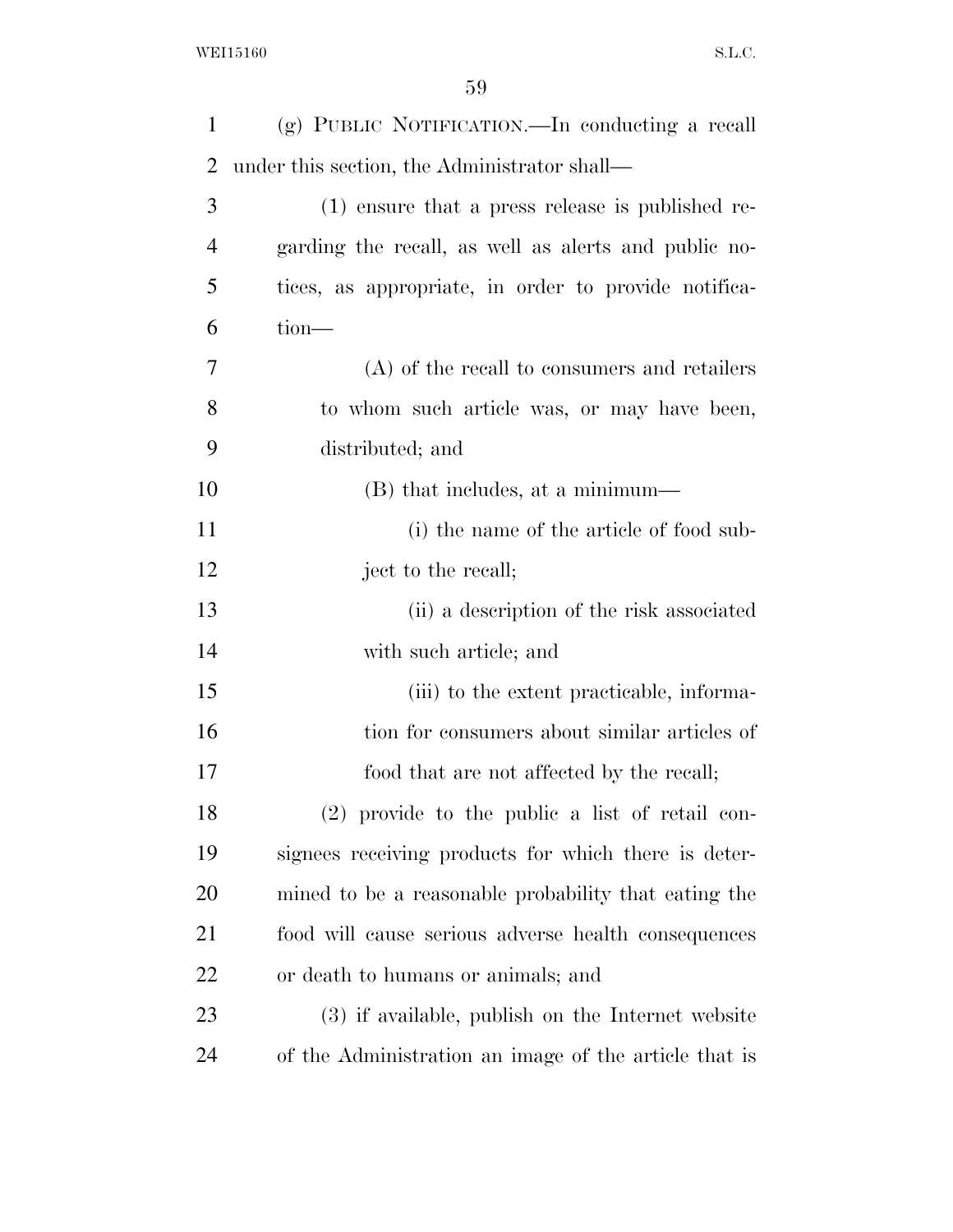| $\mathbf{1}$   | (g) PUBLIC NOTIFICATION.—In conducting a recall       |
|----------------|-------------------------------------------------------|
| $\overline{2}$ | under this section, the Administrator shall—          |
| 3              | (1) ensure that a press release is published re-      |
| $\overline{4}$ | garding the recall, as well as a lerts and public no- |
| 5              | tices, as appropriate, in order to provide notifica-  |
| 6              | $tion$ —                                              |
| 7              | $(A)$ of the recall to consumers and retailers        |
| 8              | to whom such article was, or may have been,           |
| 9              | distributed; and                                      |
| 10             | (B) that includes, at a minimum—                      |
| 11             | (i) the name of the article of food sub-              |
| 12             | ject to the recall;                                   |
| 13             | (ii) a description of the risk associated             |
| 14             | with such article; and                                |
| 15             | (iii) to the extent practicable, informa-             |
| 16             | tion for consumers about similar articles of          |
| 17             | food that are not affected by the recall;             |
| 18             | $(2)$ provide to the public a list of retail con-     |
| 19             | signees receiving products for which there is deter-  |
| 20             | mined to be a reasonable probability that eating the  |
| 21             | food will cause serious adverse health consequences   |
| 22             | or death to humans or animals; and                    |
| 23             | (3) if available, publish on the Internet website     |
| 24             | of the Administration an image of the article that is |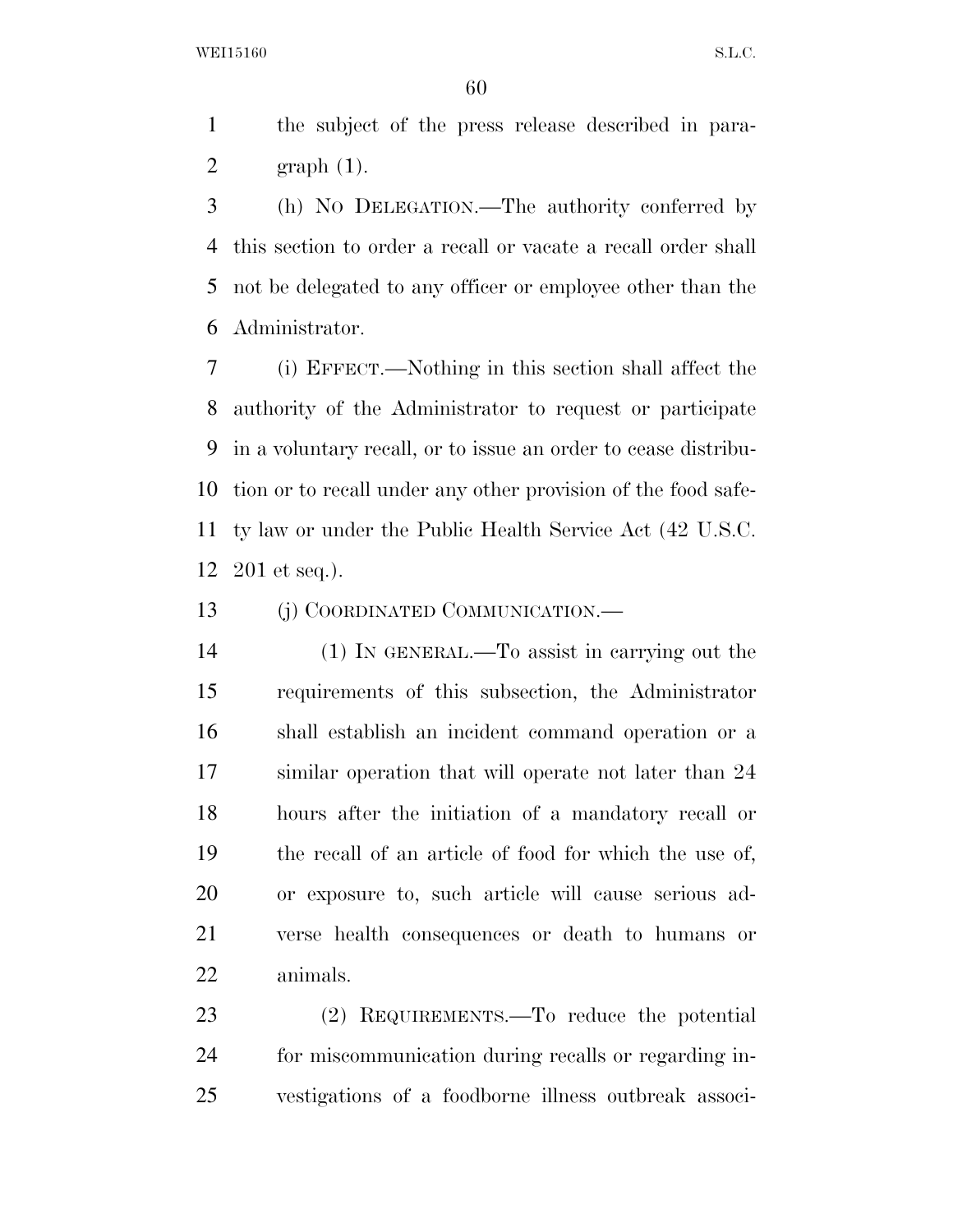the subject of the press release described in para-2 graph  $(1)$ .

 (h) NO DELEGATION.—The authority conferred by this section to order a recall or vacate a recall order shall not be delegated to any officer or employee other than the Administrator.

 (i) EFFECT.—Nothing in this section shall affect the authority of the Administrator to request or participate in a voluntary recall, or to issue an order to cease distribu- tion or to recall under any other provision of the food safe- ty law or under the Public Health Service Act (42 U.S.C. 201 et seq.).

13 (j) COORDINATED COMMUNICATION.—

 (1) IN GENERAL.—To assist in carrying out the requirements of this subsection, the Administrator shall establish an incident command operation or a similar operation that will operate not later than 24 hours after the initiation of a mandatory recall or the recall of an article of food for which the use of, or exposure to, such article will cause serious ad- verse health consequences or death to humans or animals.

 (2) REQUIREMENTS.—To reduce the potential for miscommunication during recalls or regarding in-vestigations of a foodborne illness outbreak associ-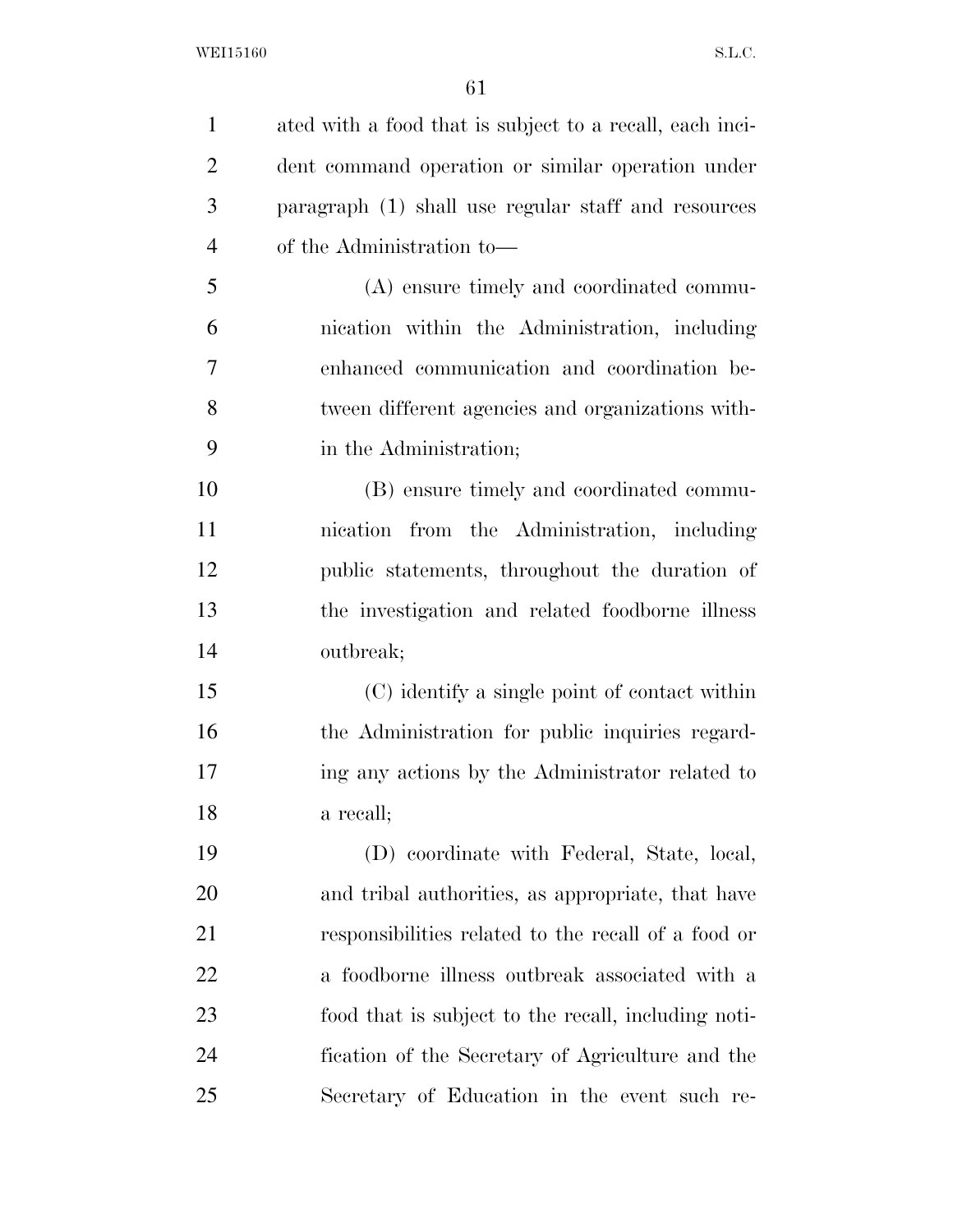| $\mathbf{1}$   | ated with a food that is subject to a recall, each inci- |
|----------------|----------------------------------------------------------|
| $\overline{2}$ | dent command operation or similar operation under        |
| 3              | paragraph (1) shall use regular staff and resources      |
| $\overline{4}$ | of the Administration to—                                |
| 5              | (A) ensure timely and coordinated commu-                 |
| 6              | nication within the Administration, including            |
| $\tau$         | enhanced communication and coordination be-              |
| 8              | tween different agencies and organizations with-         |
| 9              | in the Administration;                                   |
| 10             | (B) ensure timely and coordinated commu-                 |
| 11             | nication from the Administration, including              |
| 12             | public statements, throughout the duration of            |
| 13             | the investigation and related foodborne illness          |
| 14             | outbreak;                                                |
| 15             | (C) identify a single point of contact within            |
| 16             | the Administration for public inquiries regard-          |
| 17             | ing any actions by the Administrator related to          |
| 18             | a recall;                                                |
| 19             | (D) coordinate with Federal, State, local,               |
| 20             | and tribal authorities, as appropriate, that have        |
| 21             | responsibilities related to the recall of a food or      |
| 22             | a foodborne illness outbreak associated with a           |
| 23             | food that is subject to the recall, including noti-      |
| 24             | fication of the Secretary of Agriculture and the         |
| 25             | Secretary of Education in the event such re-             |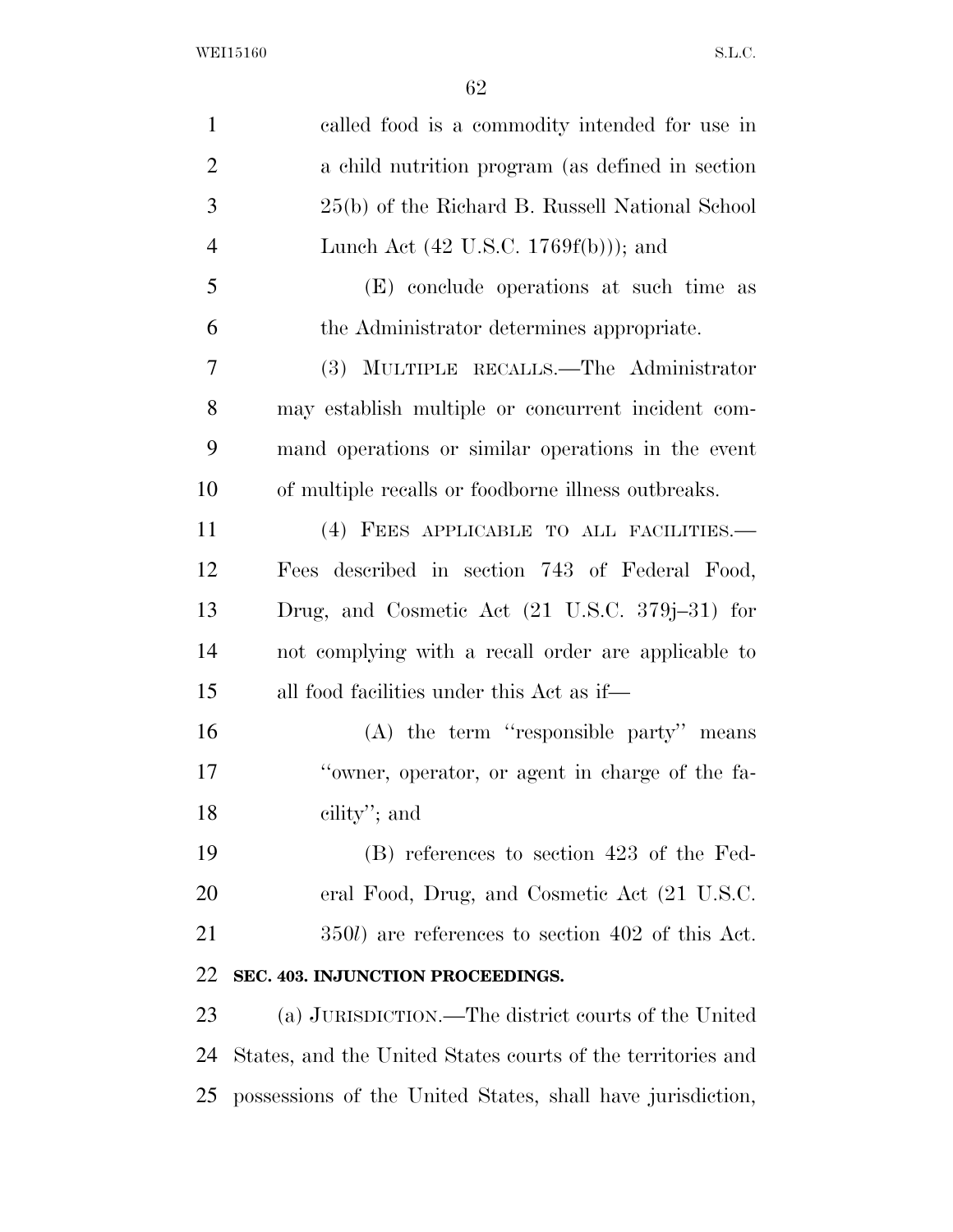| $\mathbf{1}$   | called food is a commodity intended for use in              |
|----------------|-------------------------------------------------------------|
| $\overline{2}$ | a child nutrition program (as defined in section            |
| 3              | 25(b) of the Richard B. Russell National School             |
| $\overline{4}$ | Lunch Act $(42 \text{ U.S.C. } 1769f(b))$ ; and             |
| 5              | (E) conclude operations at such time as                     |
| 6              | the Administrator determines appropriate.                   |
| 7              | (3) MULTIPLE RECALLS.—The Administrator                     |
| 8              | may establish multiple or concurrent incident com-          |
| 9              | mand operations or similar operations in the event          |
| 10             | of multiple recalls or foodborne illness outbreaks.         |
| 11             | (4) FEES APPLICABLE TO ALL FACILITIES.-                     |
| 12             | Fees described in section 743 of Federal Food,              |
| 13             | Drug, and Cosmetic Act $(21 \text{ U.S.C. } 379j-31)$ for   |
| 14             | not complying with a recall order are applicable to         |
| 15             | all food facilities under this Act as if—                   |
| 16             | $(A)$ the term "responsible party" means                    |
| 17             | "owner, operator, or agent in charge of the fa-             |
| 18             | cility"; and                                                |
| 19             | (B) references to section 423 of the Fed-                   |
| 20             | eral Food, Drug, and Cosmetic Act (21 U.S.C.                |
| 21             | 350 <i>l</i> ) are references to section 402 of this Act.   |
| 22             | SEC. 403. INJUNCTION PROCEEDINGS.                           |
| 23             | (a) JURISDICTION.—The district courts of the United         |
| 24             | States, and the United States courts of the territories and |
| 25             | possessions of the United States, shall have jurisdiction,  |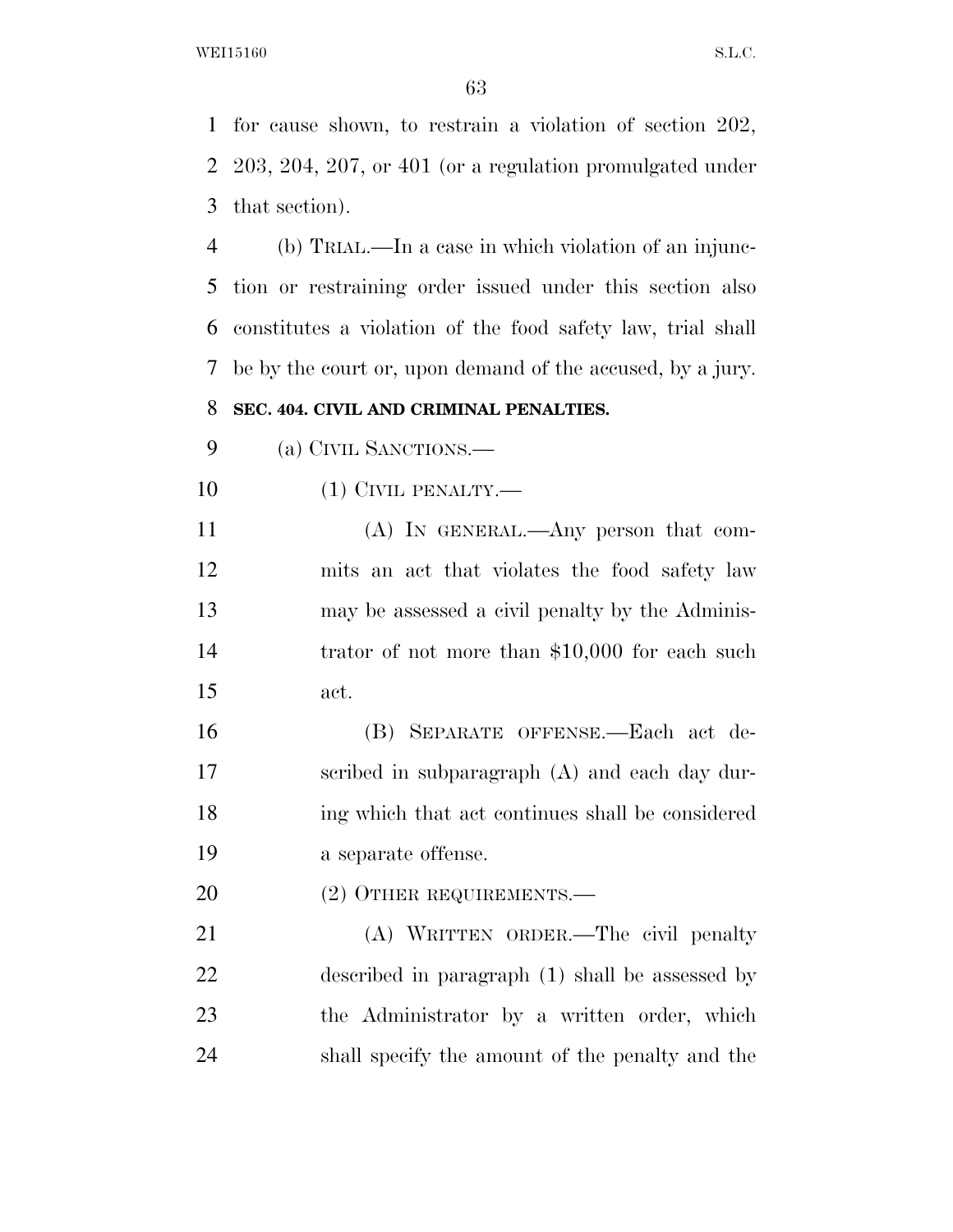for cause shown, to restrain a violation of section 202, 203, 204, 207, or 401 (or a regulation promulgated under that section).

 (b) TRIAL.—In a case in which violation of an injunc- tion or restraining order issued under this section also constitutes a violation of the food safety law, trial shall be by the court or, upon demand of the accused, by a jury.

# **SEC. 404. CIVIL AND CRIMINAL PENALTIES.**

(a) CIVIL SANCTIONS.—

(1) CIVIL PENALTY.—

 (A) IN GENERAL.—Any person that com- mits an act that violates the food safety law may be assessed a civil penalty by the Adminis- trator of not more than \$10,000 for each such act.

 (B) SEPARATE OFFENSE.—Each act de- scribed in subparagraph (A) and each day dur- ing which that act continues shall be considered a separate offense.

20 (2) OTHER REQUIREMENTS.—

 (A) WRITTEN ORDER.—The civil penalty described in paragraph (1) shall be assessed by the Administrator by a written order, which shall specify the amount of the penalty and the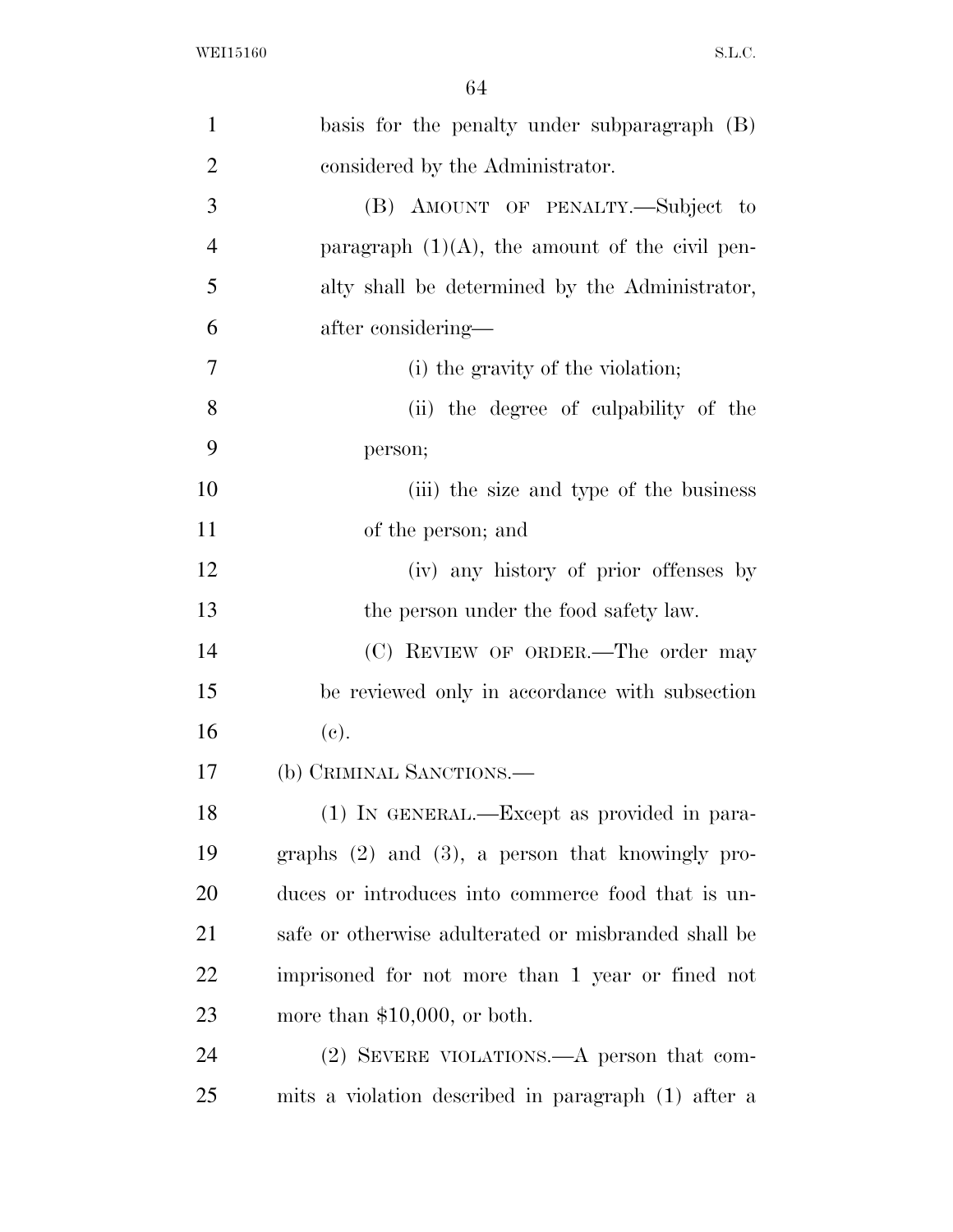| $\mathbf{1}$   | basis for the penalty under subparagraph (B)          |
|----------------|-------------------------------------------------------|
| $\overline{2}$ | considered by the Administrator.                      |
| 3              | (B) AMOUNT OF PENALTY.—Subject to                     |
| $\overline{4}$ | paragraph $(1)(A)$ , the amount of the civil pen-     |
| 5              | alty shall be determined by the Administrator,        |
| 6              | after considering—                                    |
| 7              | (i) the gravity of the violation;                     |
| 8              | (ii) the degree of culpability of the                 |
| 9              | person;                                               |
| 10             | (iii) the size and type of the business               |
| 11             | of the person; and                                    |
| 12             | (iv) any history of prior offenses by                 |
| 13             | the person under the food safety law.                 |
| 14             | (C) REVIEW OF ORDER.—The order may                    |
| 15             | be reviewed only in accordance with subsection        |
| 16             | (e).                                                  |
| 17             | (b) CRIMINAL SANCTIONS.—                              |
| 18             | (1) IN GENERAL.—Except as provided in para-           |
| 19             | graphs $(2)$ and $(3)$ , a person that knowingly pro- |
| 20             | duces or introduces into commerce food that is un-    |
| 21             | safe or otherwise adulterated or misbranded shall be  |
| 22             | imprisoned for not more than 1 year or fined not      |
| 23             | more than $$10,000$ , or both.                        |
| 24             | $(2)$ SEVERE VIOLATIONS.—A person that com-           |
| 25             | mits a violation described in paragraph (1) after a   |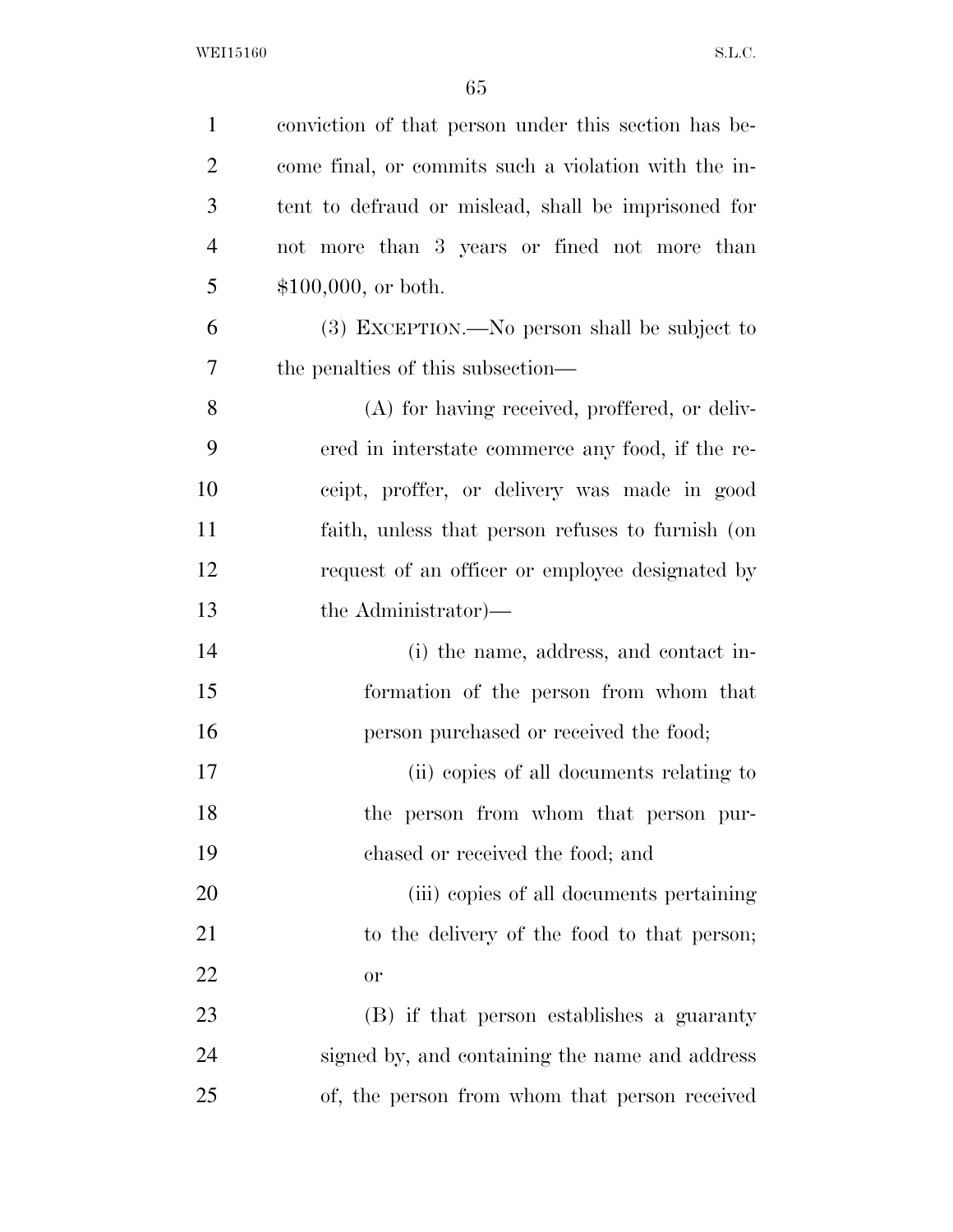| $\mathbf{1}$   | conviction of that person under this section has be- |
|----------------|------------------------------------------------------|
| $\overline{2}$ | come final, or commits such a violation with the in- |
| 3              | tent to defraud or mislead, shall be imprisoned for  |
| $\overline{4}$ | not more than 3 years or fined not more than         |
| 5              | $$100,000$ , or both.                                |
| 6              | $(3)$ EXCEPTION.—No person shall be subject to       |
| 7              | the penalties of this subsection—                    |
| 8              | (A) for having received, proffered, or deliv-        |
| 9              | ered in interstate commerce any food, if the re-     |
| 10             | ceipt, proffer, or delivery was made in good         |
| 11             | faith, unless that person refuses to furnish (on     |
| 12             | request of an officer or employee designated by      |
| 13             | the Administrator)—                                  |
| 14             | (i) the name, address, and contact in-               |
| 15             | formation of the person from whom that               |
| 16             | person purchased or received the food;               |
| 17             | (ii) copies of all documents relating to             |
| 18             | the person from whom that person pur-                |
| 19             | chased or received the food; and                     |
| 20             | (iii) copies of all documents pertaining             |
| 21             | to the delivery of the food to that person;          |
| 22             | or                                                   |
| 23             | (B) if that person establishes a guaranty            |
| 24             | signed by, and containing the name and address       |
| 25             | of, the person from whom that person received        |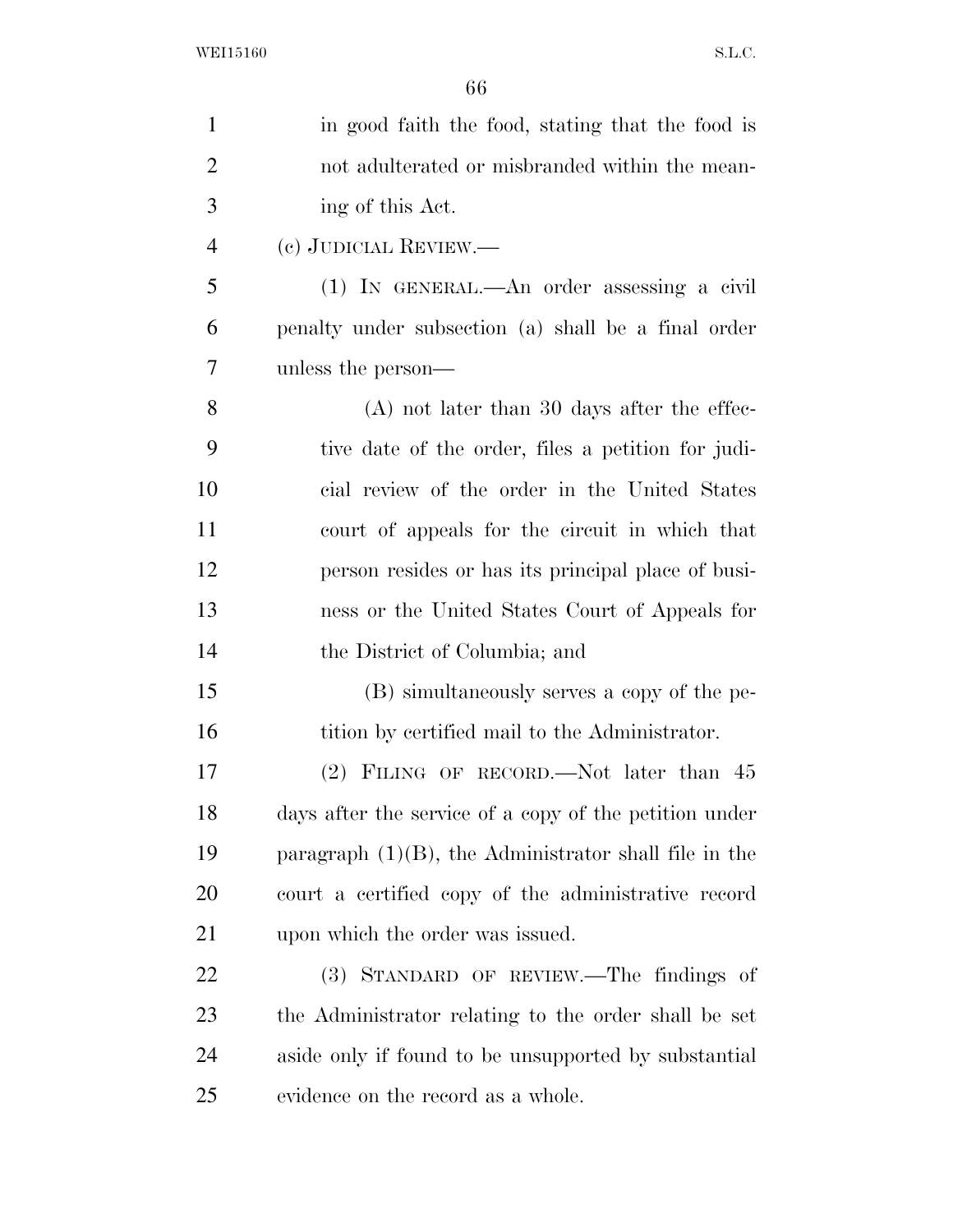| $\mathbf{1}$   | in good faith the food, stating that the food is         |
|----------------|----------------------------------------------------------|
| $\overline{2}$ | not adulterated or misbranded within the mean-           |
| 3              | ing of this Act.                                         |
| $\overline{4}$ | (c) JUDICIAL REVIEW.—                                    |
| 5              | (1) IN GENERAL.—An order assessing a civil               |
| 6              | penalty under subsection (a) shall be a final order      |
| 7              | unless the person—                                       |
| 8              | $(A)$ not later than 30 days after the effec-            |
| 9              | tive date of the order, files a petition for judi-       |
| 10             | cial review of the order in the United States            |
| 11             | court of appeals for the circuit in which that           |
| 12             | person resides or has its principal place of busi-       |
| 13             | ness or the United States Court of Appeals for           |
| 14             | the District of Columbia; and                            |
| 15             | (B) simultaneously serves a copy of the pe-              |
| 16             | tition by certified mail to the Administrator.           |
| 17             | $(2)$ FILING OF RECORD.—Not later than 45                |
| 18             | days after the service of a copy of the petition under   |
| 19             | paragraph $(1)(B)$ , the Administrator shall file in the |
| 20             | court a certified copy of the administrative record      |
| 21             | upon which the order was issued.                         |
| 22             | (3) STANDARD OF REVIEW.—The findings of                  |
| 23             | the Administrator relating to the order shall be set     |
| 24             | aside only if found to be unsupported by substantial     |
| 25             | evidence on the record as a whole.                       |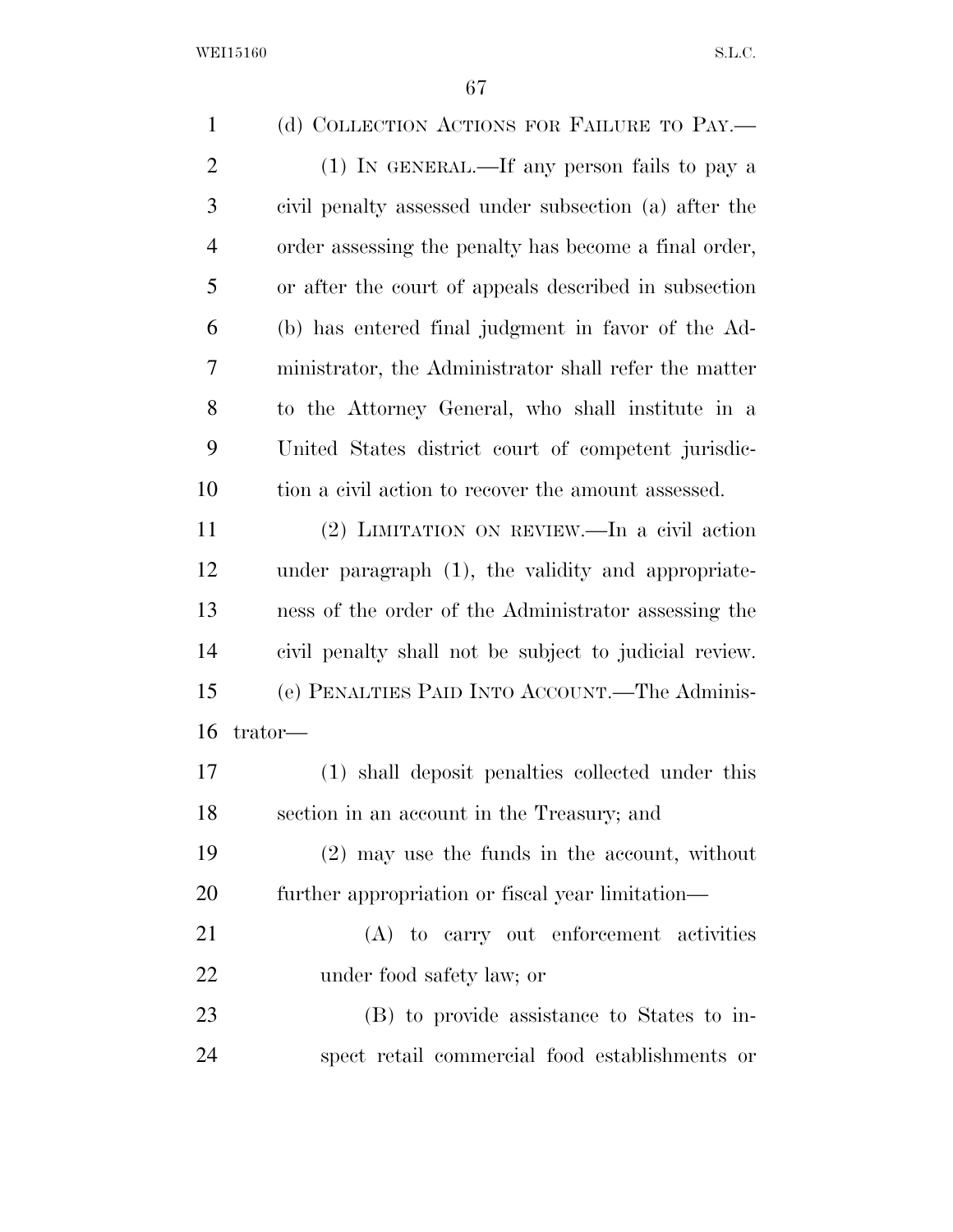| $\mathbf{1}$   | (d) COLLECTION ACTIONS FOR FAILURE TO PAY.—            |
|----------------|--------------------------------------------------------|
| $\overline{2}$ | (1) IN GENERAL.—If any person fails to pay a           |
| 3              | civil penalty assessed under subsection (a) after the  |
| 4              | order assessing the penalty has become a final order,  |
| 5              | or after the court of appeals described in subsection  |
| 6              | (b) has entered final judgment in favor of the Ad-     |
| 7              | ministrator, the Administrator shall refer the matter  |
| 8              | to the Attorney General, who shall institute in a      |
| 9              | United States district court of competent jurisdic-    |
| 10             | tion a civil action to recover the amount assessed.    |
| 11             | $(2)$ LIMITATION ON REVIEW.—In a civil action          |
| 12             | under paragraph (1), the validity and appropriate-     |
| 13             | ness of the order of the Administrator assessing the   |
| 14             | civil penalty shall not be subject to judicial review. |
| 15             | (e) PENALTIES PAID INTO ACCOUNT.—The Adminis-          |
| 16             | trator-                                                |
| 17             | (1) shall deposit penalties collected under this       |
| 18             | section in an account in the Treasury; and             |
| 19             | $(2)$ may use the funds in the account, without        |
| 20             | further appropriation or fiscal year limitation—       |
| 21             | (A) to carry out enforcement activities                |
| 22             | under food safety law; or                              |
| 23             | (B) to provide assistance to States to in-             |
| 24             | spect retail commercial food establishments or         |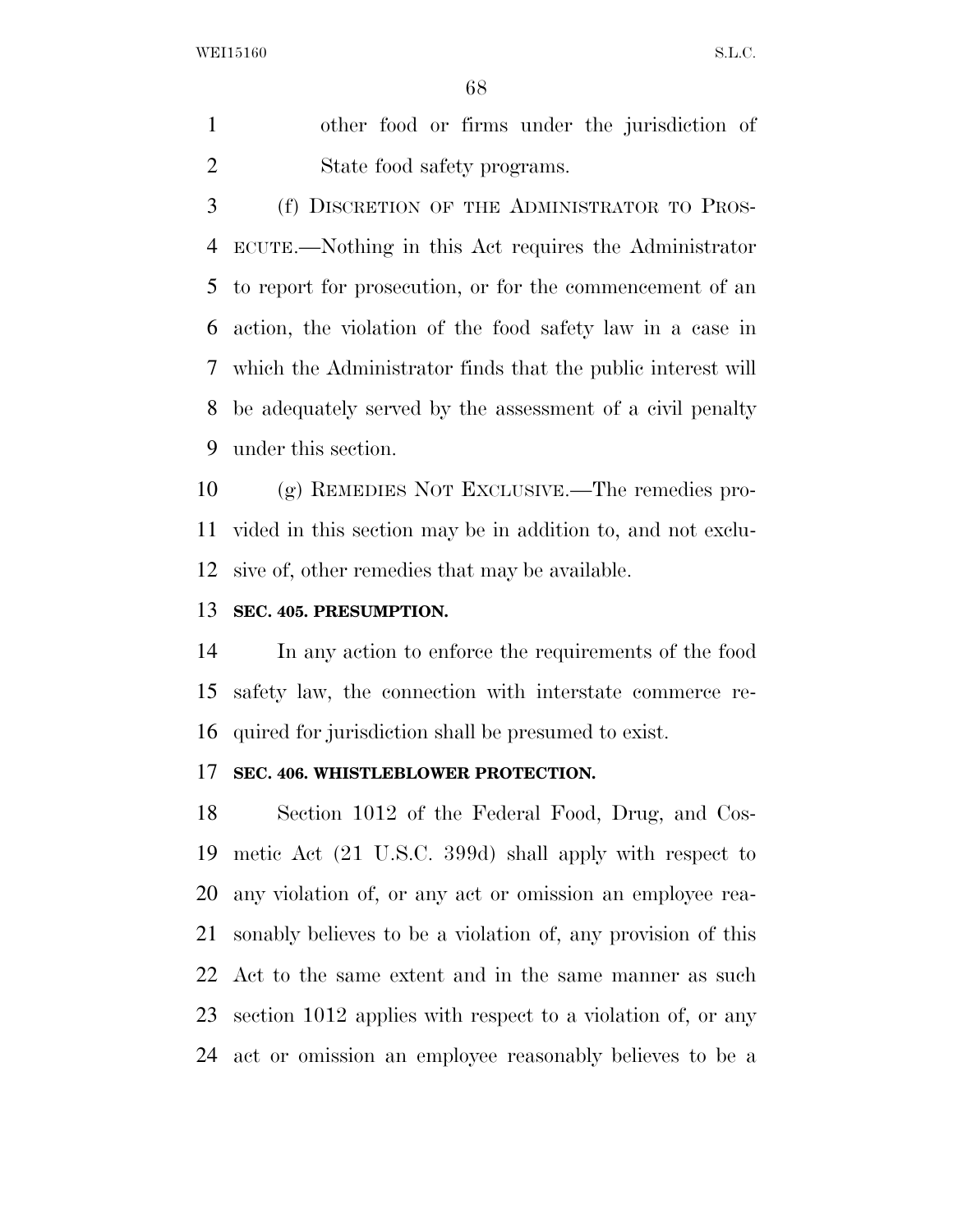other food or firms under the jurisdiction of State food safety programs.

 (f) DISCRETION OF THE ADMINISTRATOR TO PROS- ECUTE.—Nothing in this Act requires the Administrator to report for prosecution, or for the commencement of an action, the violation of the food safety law in a case in which the Administrator finds that the public interest will be adequately served by the assessment of a civil penalty under this section.

 (g) REMEDIES NOT EXCLUSIVE.—The remedies pro- vided in this section may be in addition to, and not exclu-sive of, other remedies that may be available.

## **SEC. 405. PRESUMPTION.**

 In any action to enforce the requirements of the food safety law, the connection with interstate commerce re-quired for jurisdiction shall be presumed to exist.

#### **SEC. 406. WHISTLEBLOWER PROTECTION.**

 Section 1012 of the Federal Food, Drug, and Cos- metic Act (21 U.S.C. 399d) shall apply with respect to any violation of, or any act or omission an employee rea- sonably believes to be a violation of, any provision of this Act to the same extent and in the same manner as such section 1012 applies with respect to a violation of, or any act or omission an employee reasonably believes to be a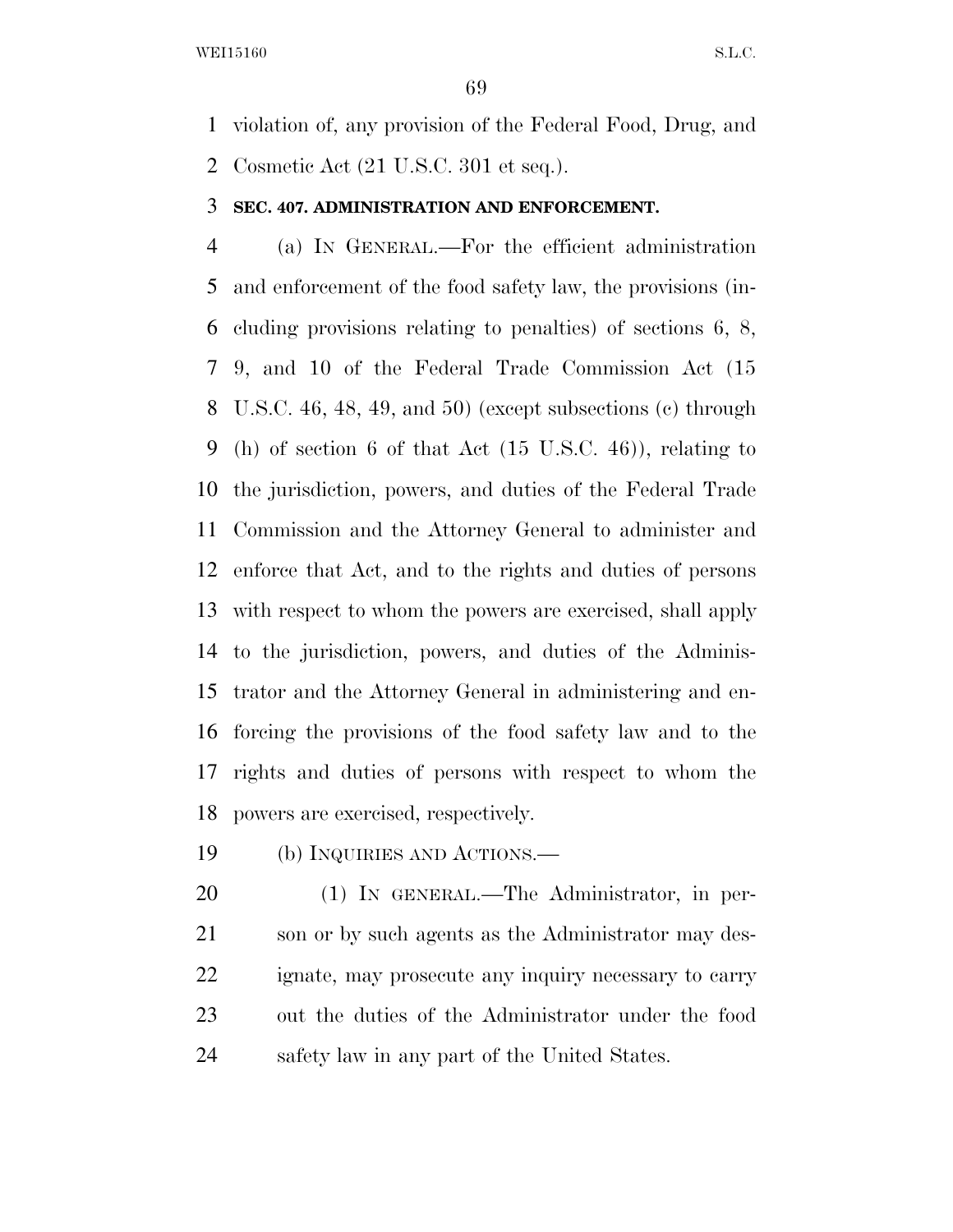violation of, any provision of the Federal Food, Drug, and Cosmetic Act (21 U.S.C. 301 et seq.).

## **SEC. 407. ADMINISTRATION AND ENFORCEMENT.**

 (a) IN GENERAL.—For the efficient administration and enforcement of the food safety law, the provisions (in- cluding provisions relating to penalties) of sections 6, 8, 9, and 10 of the Federal Trade Commission Act (15 U.S.C. 46, 48, 49, and 50) (except subsections (c) through (h) of section 6 of that Act (15 U.S.C. 46)), relating to the jurisdiction, powers, and duties of the Federal Trade Commission and the Attorney General to administer and enforce that Act, and to the rights and duties of persons with respect to whom the powers are exercised, shall apply to the jurisdiction, powers, and duties of the Adminis- trator and the Attorney General in administering and en- forcing the provisions of the food safety law and to the rights and duties of persons with respect to whom the powers are exercised, respectively.

(b) INQUIRIES AND ACTIONS.—

 (1) IN GENERAL.—The Administrator, in per-21 son or by such agents as the Administrator may des- ignate, may prosecute any inquiry necessary to carry out the duties of the Administrator under the food safety law in any part of the United States.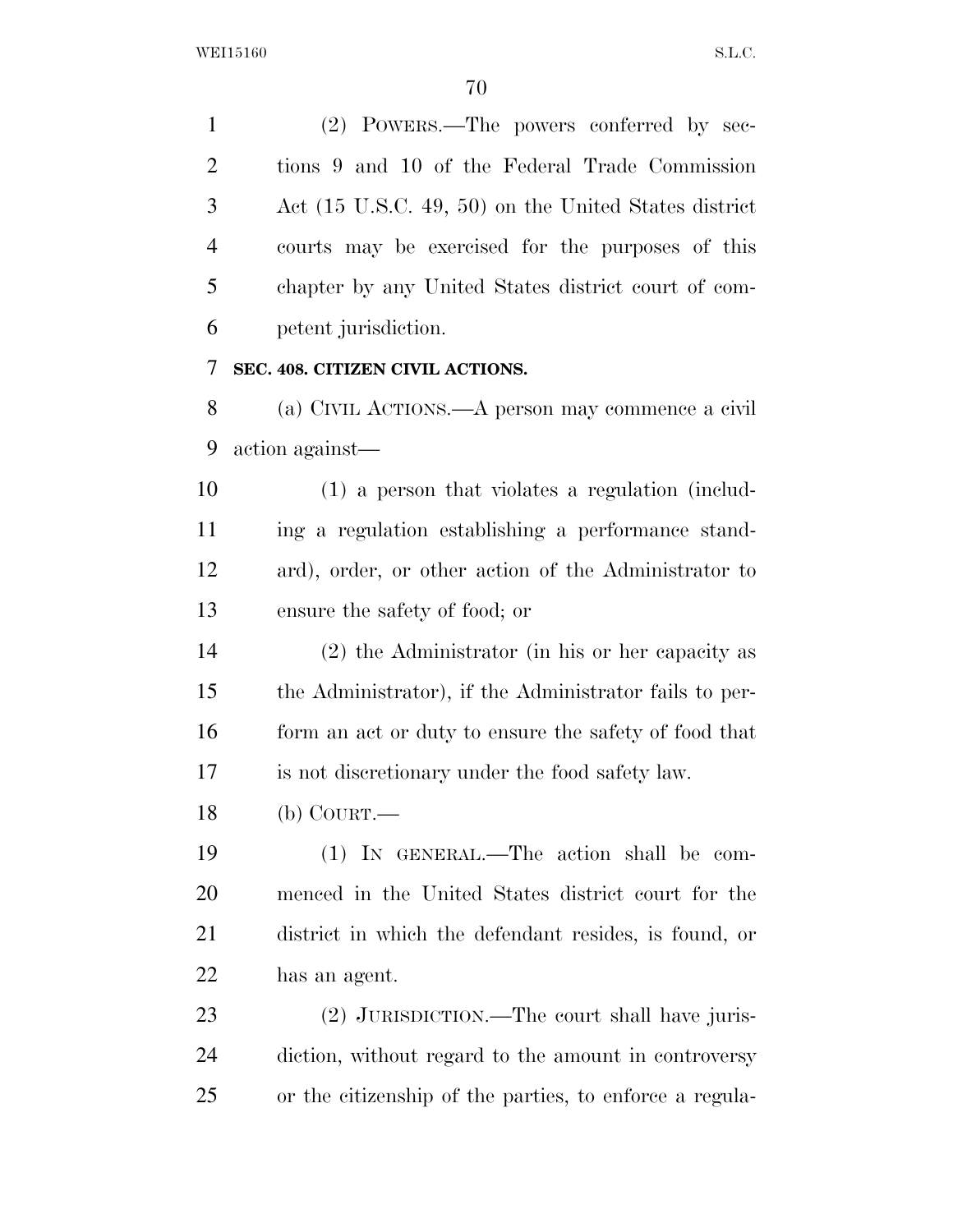(2) POWERS.—The powers conferred by sec- tions 9 and 10 of the Federal Trade Commission Act (15 U.S.C. 49, 50) on the United States district courts may be exercised for the purposes of this chapter by any United States district court of com- petent jurisdiction. **SEC. 408. CITIZEN CIVIL ACTIONS.** 

 (a) CIVIL ACTIONS.—A person may commence a civil action against—

 (1) a person that violates a regulation (includ- ing a regulation establishing a performance stand- ard), order, or other action of the Administrator to ensure the safety of food; or

 (2) the Administrator (in his or her capacity as the Administrator), if the Administrator fails to per-16 form an act or duty to ensure the safety of food that is not discretionary under the food safety law.

(b) COURT.—

 (1) IN GENERAL.—The action shall be com- menced in the United States district court for the district in which the defendant resides, is found, or has an agent.

 (2) JURISDICTION.—The court shall have juris- diction, without regard to the amount in controversy or the citizenship of the parties, to enforce a regula-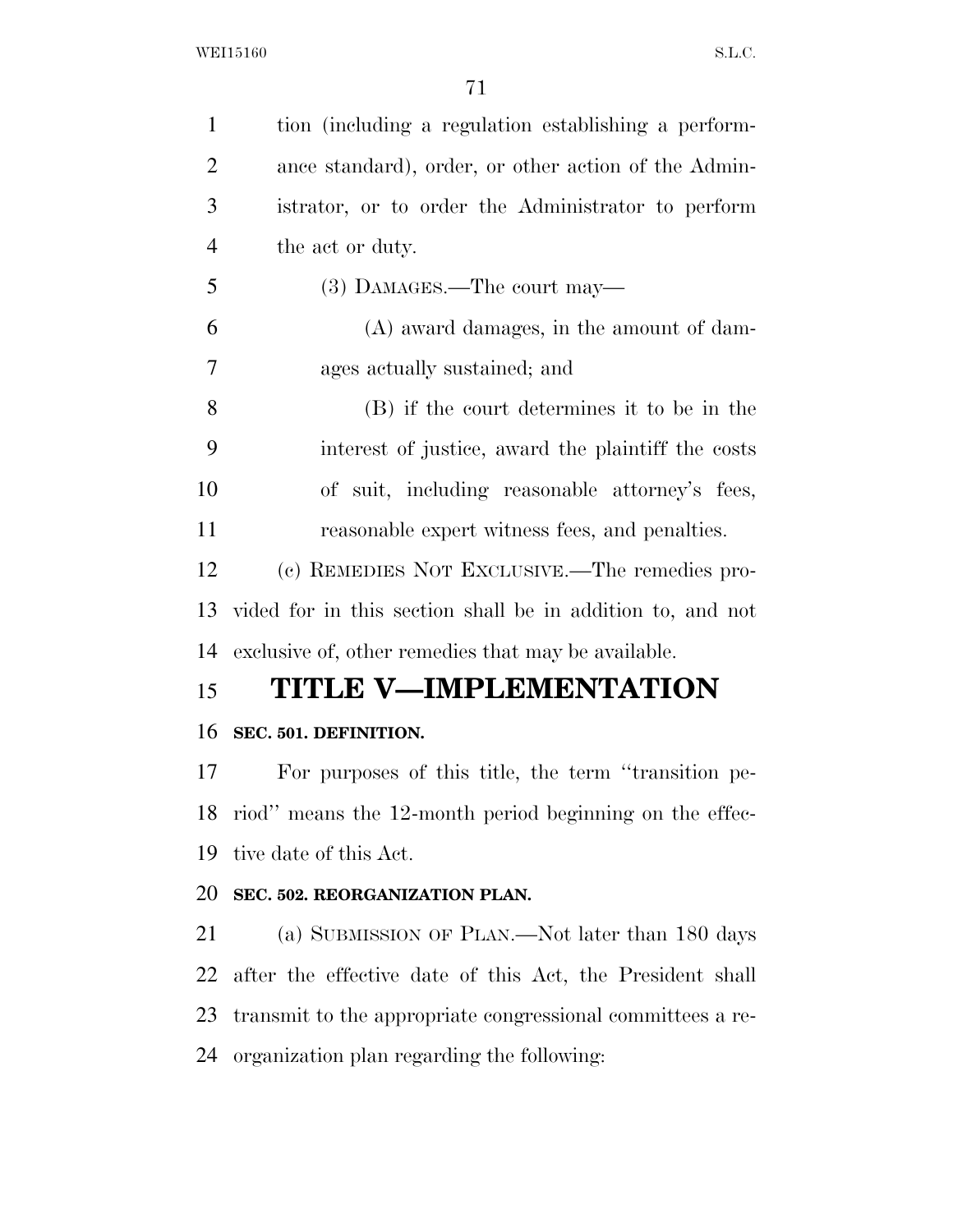| $\mathbf{1}$   | tion (including a regulation establishing a perform-       |
|----------------|------------------------------------------------------------|
| $\overline{2}$ | ance standard), order, or other action of the Admin-       |
| 3              | istrator, or to order the Administrator to perform         |
| $\overline{4}$ | the act or duty.                                           |
| 5              | (3) DAMAGES.—The court may—                                |
| 6              | $(A)$ award damages, in the amount of dam-                 |
| 7              | ages actually sustained; and                               |
| 8              | (B) if the court determines it to be in the                |
| 9              | interest of justice, award the plaintiff the costs         |
| 10             | of suit, including reasonable attorney's fees,             |
| 11             | reasonable expert witness fees, and penalties.             |
| 12             | (c) REMEDIES NOT EXCLUSIVE.—The remedies pro-              |
| 13             | vided for in this section shall be in addition to, and not |
| 14             | exclusive of, other remedies that may be available.        |
| 15             | <b>TITLE V-IMPLEMENTATION</b>                              |
| 16             | SEC. 501. DEFINITION.                                      |
| 17             | For purposes of this title, the term "transition pe-       |
|                | 18 riod" means the 12-month period beginning on the effec- |
| 19             | tive date of this Act.                                     |
| 20             | SEC. 502. REORGANIZATION PLAN.                             |
| 21             | (a) SUBMISSION OF PLAN.—Not later than 180 days            |
| 22             | after the effective date of this Act, the President shall  |
| 23             | transmit to the appropriate congressional committees a re- |
| 24             | organization plan regarding the following:                 |
|                |                                                            |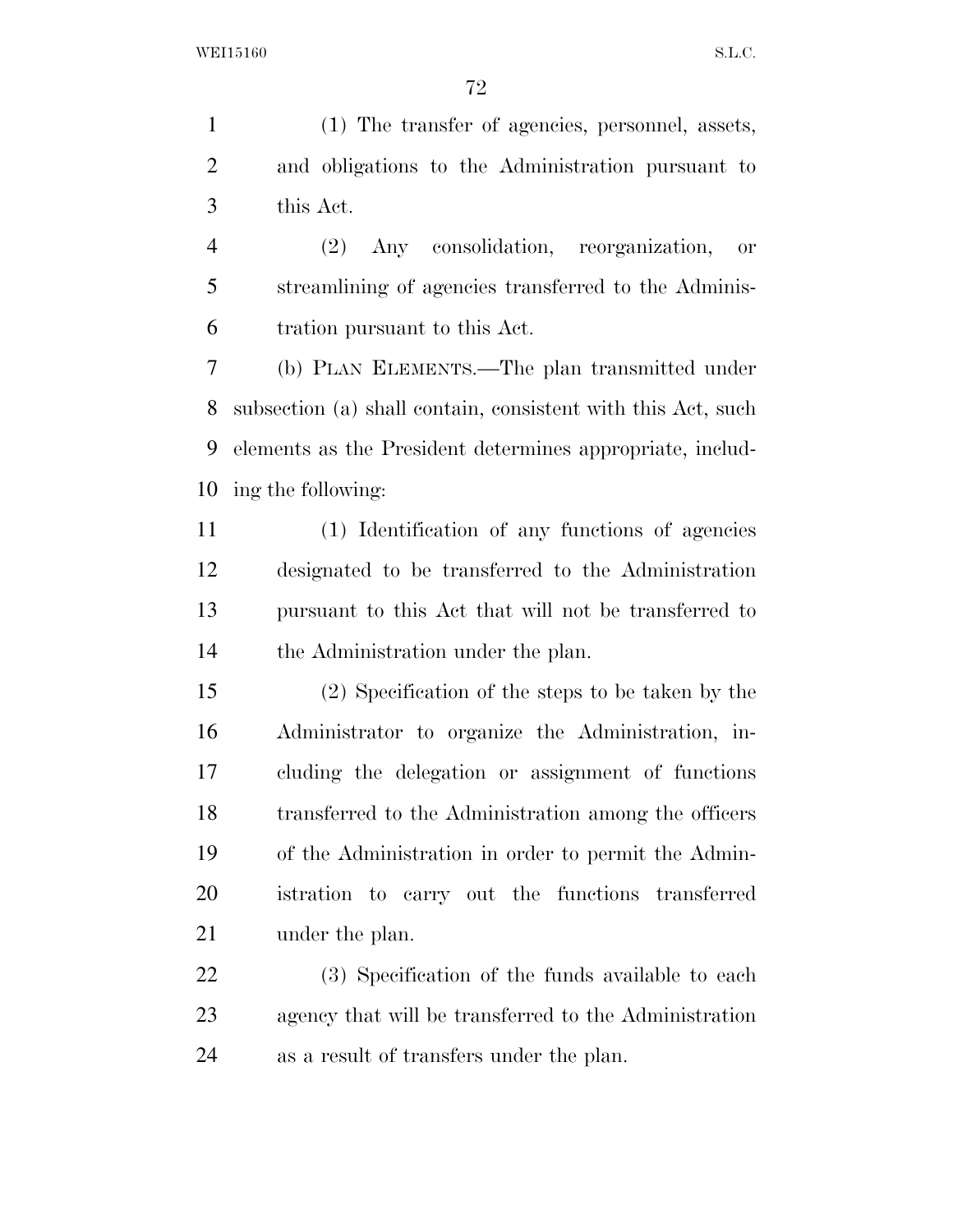(1) The transfer of agencies, personnel, assets, and obligations to the Administration pursuant to this Act.

 (2) Any consolidation, reorganization, or streamlining of agencies transferred to the Adminis-tration pursuant to this Act.

 (b) PLAN ELEMENTS.—The plan transmitted under subsection (a) shall contain, consistent with this Act, such elements as the President determines appropriate, includ-ing the following:

 (1) Identification of any functions of agencies designated to be transferred to the Administration pursuant to this Act that will not be transferred to the Administration under the plan.

 (2) Specification of the steps to be taken by the Administrator to organize the Administration, in- cluding the delegation or assignment of functions transferred to the Administration among the officers of the Administration in order to permit the Admin- istration to carry out the functions transferred 21 under the plan.

 (3) Specification of the funds available to each agency that will be transferred to the Administration as a result of transfers under the plan.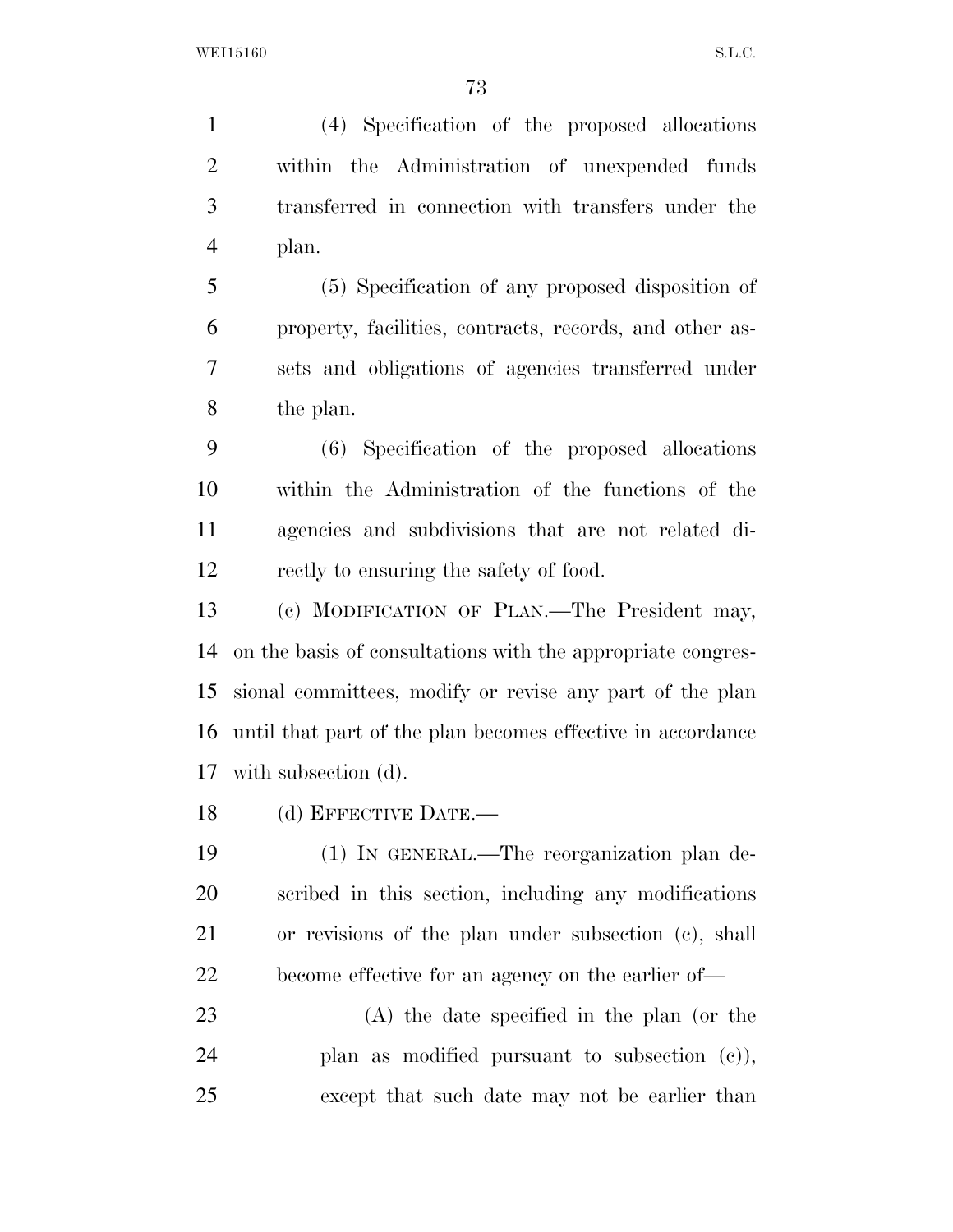(4) Specification of the proposed allocations within the Administration of unexpended funds transferred in connection with transfers under the plan.

 (5) Specification of any proposed disposition of property, facilities, contracts, records, and other as- sets and obligations of agencies transferred under the plan.

 (6) Specification of the proposed allocations within the Administration of the functions of the agencies and subdivisions that are not related di-rectly to ensuring the safety of food.

 (c) MODIFICATION OF PLAN.—The President may, on the basis of consultations with the appropriate congres- sional committees, modify or revise any part of the plan until that part of the plan becomes effective in accordance with subsection (d).

(d) EFFECTIVE DATE.—

 (1) IN GENERAL.—The reorganization plan de- scribed in this section, including any modifications or revisions of the plan under subsection (c), shall become effective for an agency on the earlier of—

 (A) the date specified in the plan (or the plan as modified pursuant to subsection (c)), except that such date may not be earlier than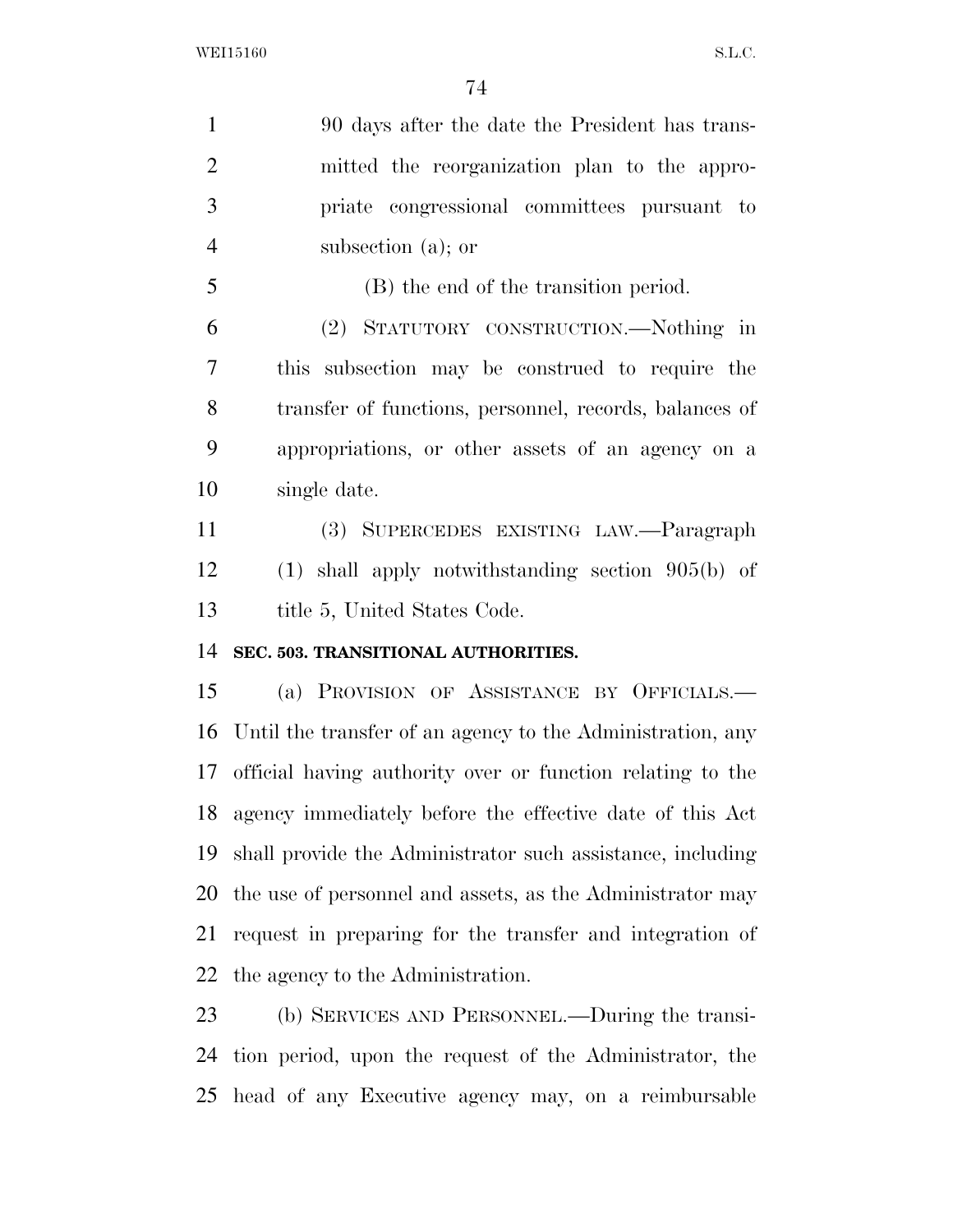90 days after the date the President has trans- mitted the reorganization plan to the appro- priate congressional committees pursuant to subsection (a); or (B) the end of the transition period. (2) STATUTORY CONSTRUCTION.—Nothing in this subsection may be construed to require the transfer of functions, personnel, records, balances of appropriations, or other assets of an agency on a single date. (3) SUPERCEDES EXISTING LAW.—Paragraph (1) shall apply notwithstanding section 905(b) of 13 title 5, United States Code. **SEC. 503. TRANSITIONAL AUTHORITIES.**  (a) PROVISION OF ASSISTANCE BY OFFICIALS.— Until the transfer of an agency to the Administration, any official having authority over or function relating to the agency immediately before the effective date of this Act shall provide the Administrator such assistance, including the use of personnel and assets, as the Administrator may request in preparing for the transfer and integration of the agency to the Administration. (b) SERVICES AND PERSONNEL.—During the transi- tion period, upon the request of the Administrator, the head of any Executive agency may, on a reimbursable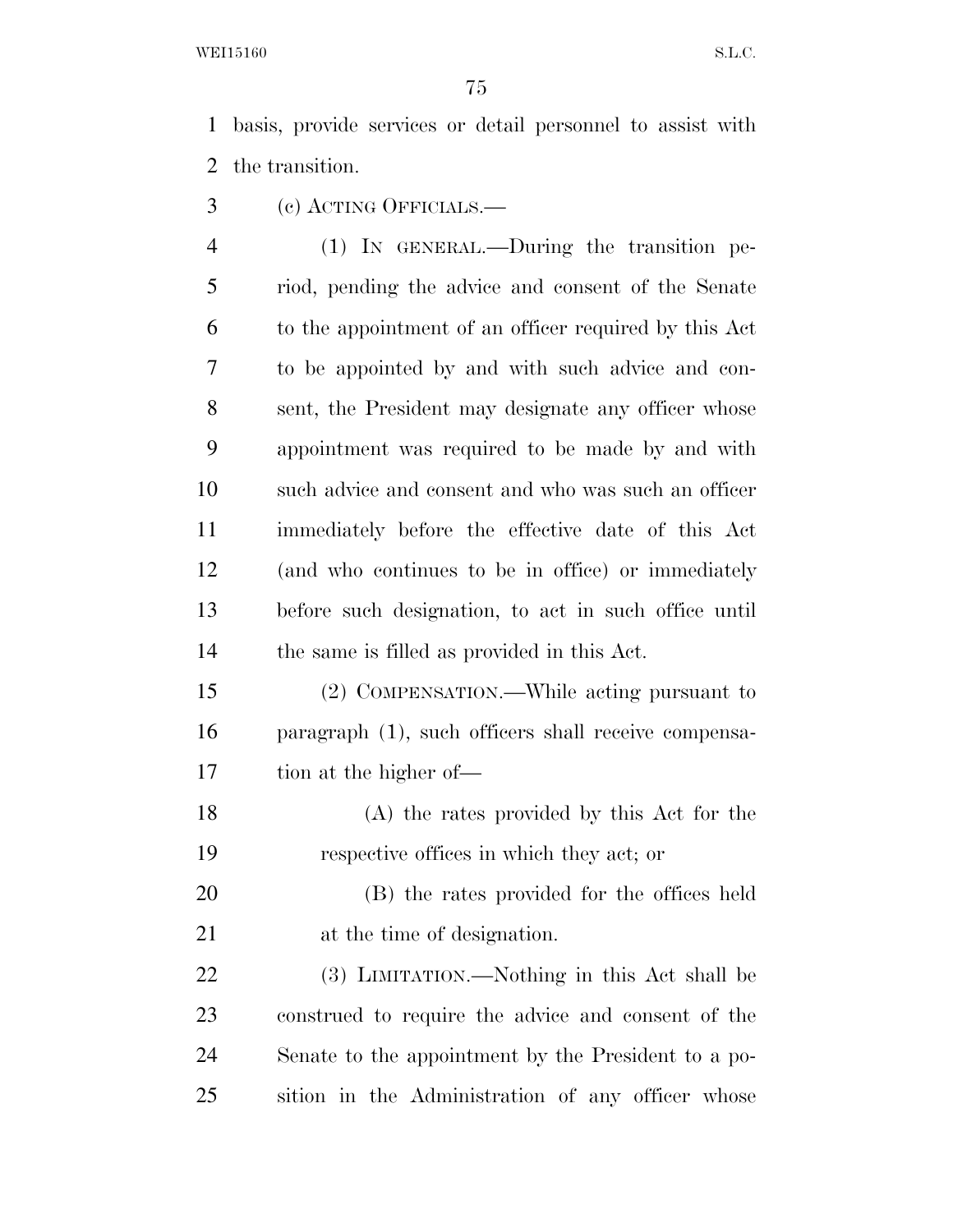WEI15160 S.L.C.

 basis, provide services or detail personnel to assist with the transition.

- (c) ACTING OFFICIALS.—
- (1) IN GENERAL.—During the transition pe- riod, pending the advice and consent of the Senate to the appointment of an officer required by this Act to be appointed by and with such advice and con- sent, the President may designate any officer whose appointment was required to be made by and with such advice and consent and who was such an officer immediately before the effective date of this Act (and who continues to be in office) or immediately before such designation, to act in such office until the same is filled as provided in this Act.
- (2) COMPENSATION.—While acting pursuant to paragraph (1), such officers shall receive compensa-tion at the higher of—
- (A) the rates provided by this Act for the respective offices in which they act; or
- (B) the rates provided for the offices held at the time of designation.
- (3) LIMITATION.—Nothing in this Act shall be construed to require the advice and consent of the Senate to the appointment by the President to a po-sition in the Administration of any officer whose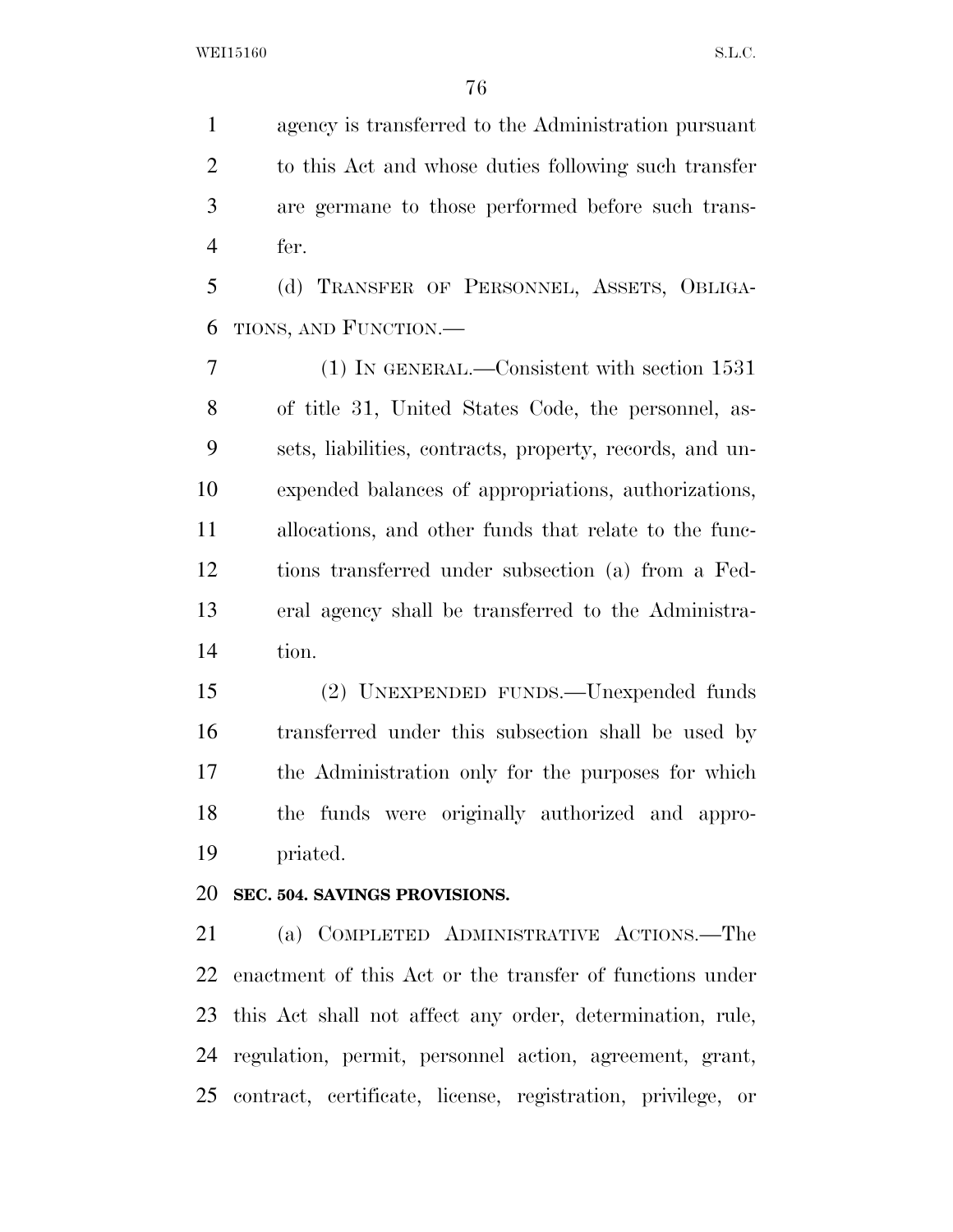agency is transferred to the Administration pursuant to this Act and whose duties following such transfer are germane to those performed before such trans-fer.

 (d) TRANSFER OF PERSONNEL, ASSETS, OBLIGA-TIONS, AND FUNCTION.—

 (1) IN GENERAL.—Consistent with section 1531 of title 31, United States Code, the personnel, as- sets, liabilities, contracts, property, records, and un- expended balances of appropriations, authorizations, allocations, and other funds that relate to the func- tions transferred under subsection (a) from a Fed- eral agency shall be transferred to the Administra-tion.

 (2) UNEXPENDED FUNDS.—Unexpended funds transferred under this subsection shall be used by the Administration only for the purposes for which the funds were originally authorized and appro-priated.

## **SEC. 504. SAVINGS PROVISIONS.**

 (a) COMPLETED ADMINISTRATIVE ACTIONS.—The enactment of this Act or the transfer of functions under this Act shall not affect any order, determination, rule, regulation, permit, personnel action, agreement, grant, contract, certificate, license, registration, privilege, or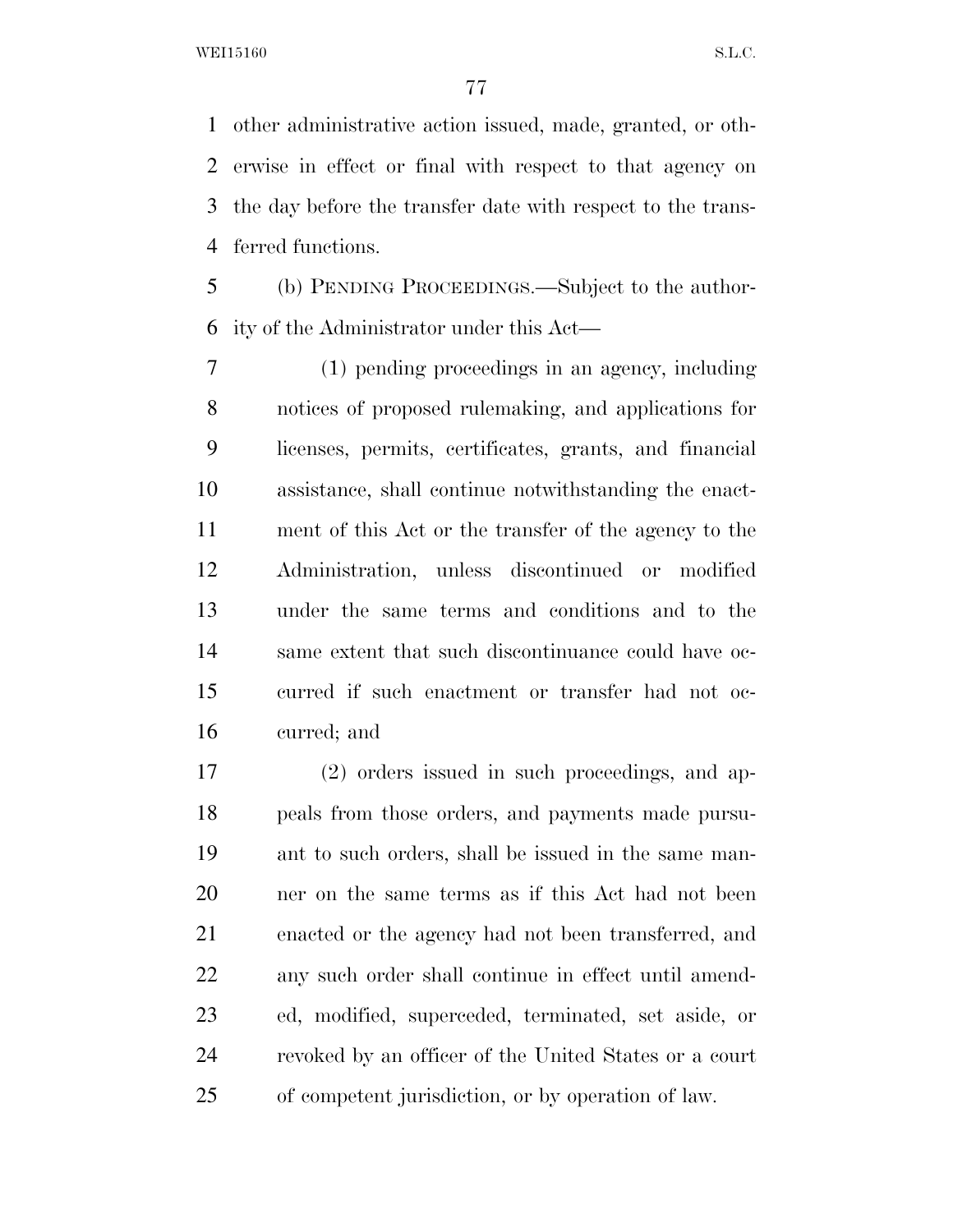other administrative action issued, made, granted, or oth- erwise in effect or final with respect to that agency on the day before the transfer date with respect to the trans-ferred functions.

 (b) PENDING PROCEEDINGS.—Subject to the author-ity of the Administrator under this Act—

 (1) pending proceedings in an agency, including notices of proposed rulemaking, and applications for licenses, permits, certificates, grants, and financial assistance, shall continue notwithstanding the enact- ment of this Act or the transfer of the agency to the Administration, unless discontinued or modified under the same terms and conditions and to the same extent that such discontinuance could have oc- curred if such enactment or transfer had not oc-curred; and

 (2) orders issued in such proceedings, and ap- peals from those orders, and payments made pursu- ant to such orders, shall be issued in the same man- ner on the same terms as if this Act had not been enacted or the agency had not been transferred, and any such order shall continue in effect until amend- ed, modified, superceded, terminated, set aside, or revoked by an officer of the United States or a court of competent jurisdiction, or by operation of law.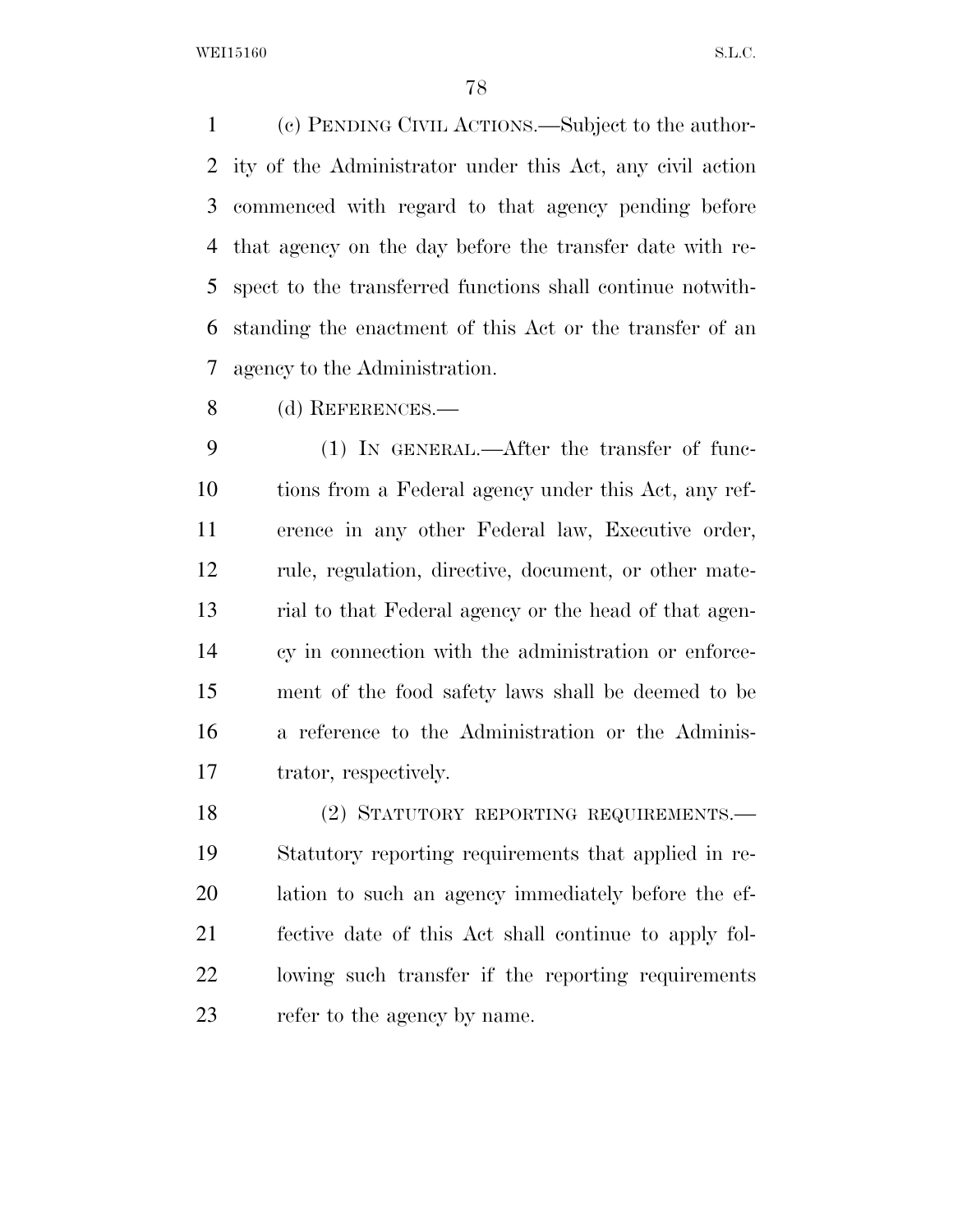WEI15160 S.L.C.

 (c) PENDING CIVIL ACTIONS.—Subject to the author- ity of the Administrator under this Act, any civil action commenced with regard to that agency pending before that agency on the day before the transfer date with re- spect to the transferred functions shall continue notwith- standing the enactment of this Act or the transfer of an agency to the Administration.

(d) REFERENCES.—

 (1) IN GENERAL.—After the transfer of func- tions from a Federal agency under this Act, any ref- erence in any other Federal law, Executive order, rule, regulation, directive, document, or other mate- rial to that Federal agency or the head of that agen- cy in connection with the administration or enforce- ment of the food safety laws shall be deemed to be a reference to the Administration or the Adminis-trator, respectively.

18 (2) STATUTORY REPORTING REQUIREMENTS. Statutory reporting requirements that applied in re- lation to such an agency immediately before the ef- fective date of this Act shall continue to apply fol- lowing such transfer if the reporting requirements refer to the agency by name.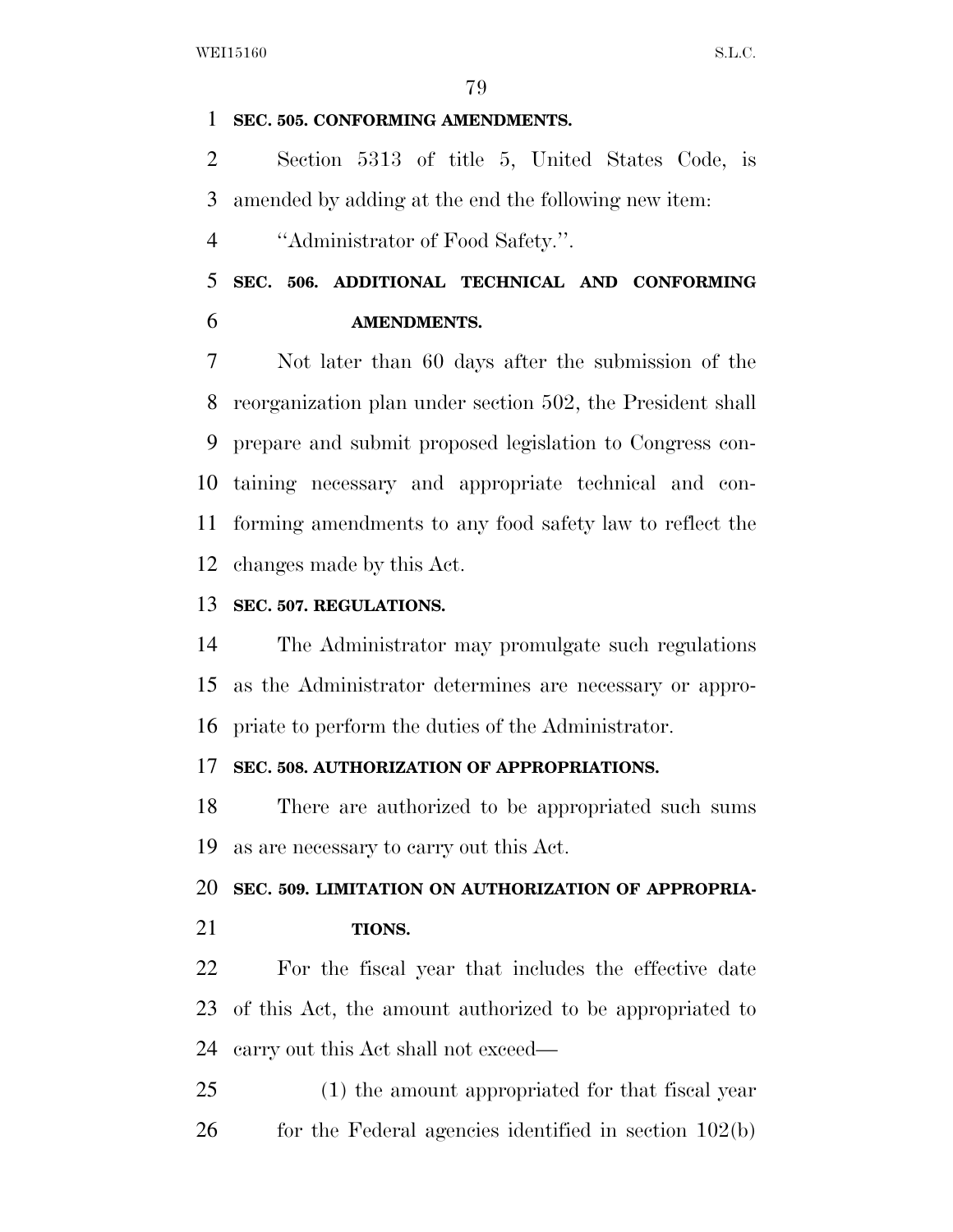#### **SEC. 505. CONFORMING AMENDMENTS.**

 Section 5313 of title 5, United States Code, is amended by adding at the end the following new item:

''Administrator of Food Safety.''.

 **SEC. 506. ADDITIONAL TECHNICAL AND CONFORMING AMENDMENTS.** 

 Not later than 60 days after the submission of the reorganization plan under section 502, the President shall prepare and submit proposed legislation to Congress con- taining necessary and appropriate technical and con- forming amendments to any food safety law to reflect the changes made by this Act.

## **SEC. 507. REGULATIONS.**

 The Administrator may promulgate such regulations as the Administrator determines are necessary or appro-priate to perform the duties of the Administrator.

### **SEC. 508. AUTHORIZATION OF APPROPRIATIONS.**

 There are authorized to be appropriated such sums as are necessary to carry out this Act.

# **SEC. 509. LIMITATION ON AUTHORIZATION OF APPROPRIA-**

**TIONS.** 

 For the fiscal year that includes the effective date of this Act, the amount authorized to be appropriated to carry out this Act shall not exceed—

 (1) the amount appropriated for that fiscal year 26 for the Federal agencies identified in section 102(b)